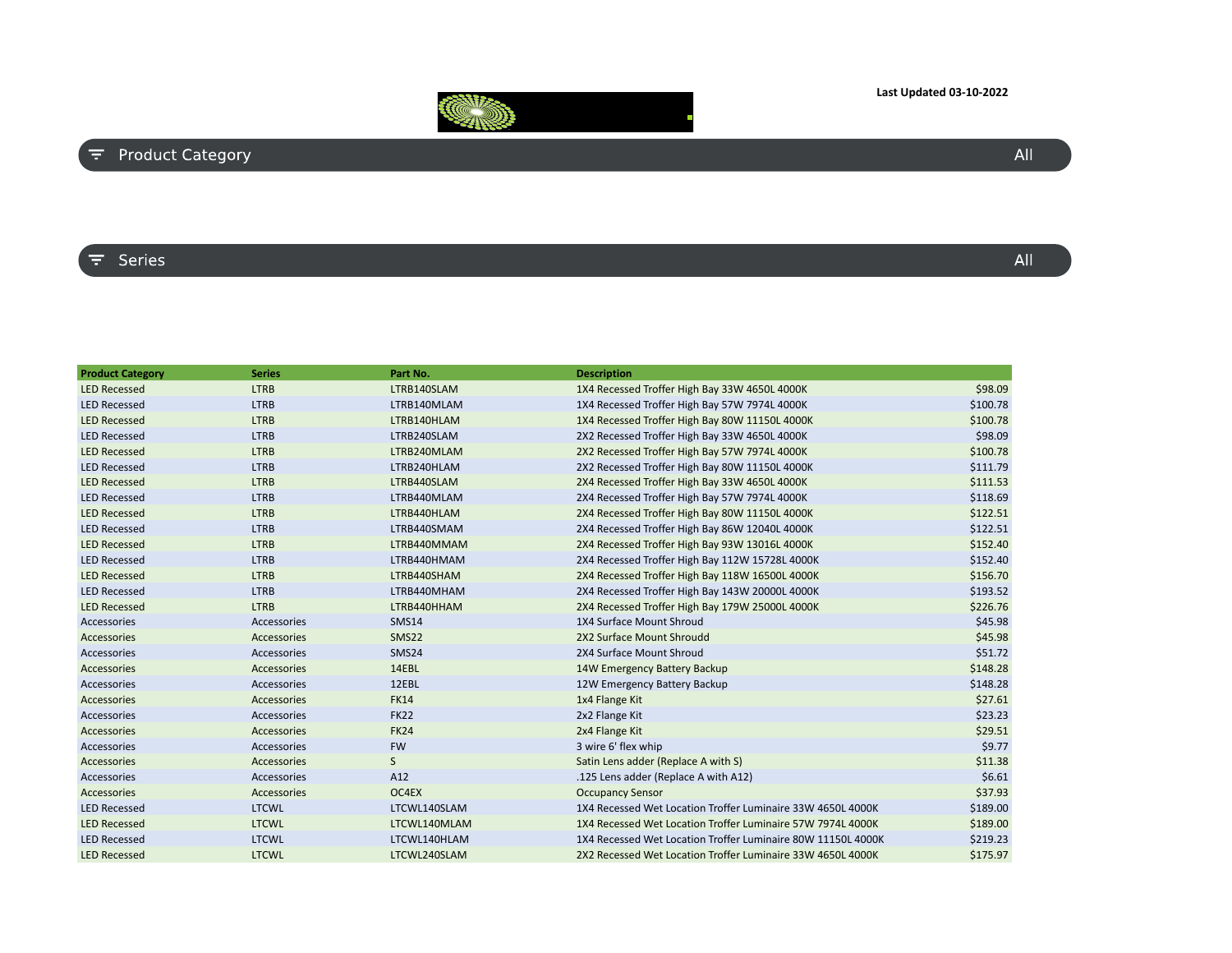## **Last Updated 03-10-2022**



## $\overline{F}$  Product Category

## $\overline{z}$  Series

| <b>Product Category</b> | <b>Series</b> | Part No.          | <b>Description</b>                                           |          |
|-------------------------|---------------|-------------------|--------------------------------------------------------------|----------|
| <b>LED Recessed</b>     | <b>LTRB</b>   | LTRB140SLAM       | 1X4 Recessed Troffer High Bay 33W 4650L 4000K                | \$98.09  |
| <b>LED Recessed</b>     | <b>LTRB</b>   | LTRB140MLAM       | 1X4 Recessed Troffer High Bay 57W 7974L 4000K                | \$100.78 |
| <b>LED Recessed</b>     | <b>LTRB</b>   | LTRB140HLAM       | 1X4 Recessed Troffer High Bay 80W 11150L 4000K               | \$100.78 |
| <b>LED Recessed</b>     | <b>LTRB</b>   | LTRB240SLAM       | 2X2 Recessed Troffer High Bay 33W 4650L 4000K                | \$98.09  |
| <b>LED Recessed</b>     | <b>LTRB</b>   | LTRB240MLAM       | 2X2 Recessed Troffer High Bay 57W 7974L 4000K                | \$100.78 |
| <b>LED Recessed</b>     | <b>LTRB</b>   | LTRB240HLAM       | 2X2 Recessed Troffer High Bay 80W 11150L 4000K               | \$111.79 |
| <b>LED Recessed</b>     | <b>LTRB</b>   | LTRB440SLAM       | 2X4 Recessed Troffer High Bay 33W 4650L 4000K                | \$111.53 |
| <b>LED Recessed</b>     | <b>LTRB</b>   | LTRB440MLAM       | 2X4 Recessed Troffer High Bay 57W 7974L 4000K                | \$118.69 |
| <b>LED Recessed</b>     | <b>LTRB</b>   | LTRB440HLAM       | 2X4 Recessed Troffer High Bay 80W 11150L 4000K               | \$122.51 |
| <b>LED Recessed</b>     | <b>LTRB</b>   | LTRB440SMAM       | 2X4 Recessed Troffer High Bay 86W 12040L 4000K               | \$122.51 |
| <b>LED Recessed</b>     | <b>LTRB</b>   | LTRB440MMAM       | 2X4 Recessed Troffer High Bay 93W 13016L 4000K               | \$152.40 |
| <b>LED Recessed</b>     | <b>LTRB</b>   | LTRB440HMAM       | 2X4 Recessed Troffer High Bay 112W 15728L 4000K              | \$152.40 |
| <b>LED Recessed</b>     | <b>LTRB</b>   | LTRB440SHAM       | 2X4 Recessed Troffer High Bay 118W 16500L 4000K              | \$156.70 |
| <b>LED Recessed</b>     | <b>LTRB</b>   | LTRB440MHAM       | 2X4 Recessed Troffer High Bay 143W 20000L 4000K              | \$193.52 |
| <b>LED Recessed</b>     | <b>LTRB</b>   | LTRB440HHAM       | 2X4 Recessed Troffer High Bay 179W 25000L 4000K              | \$226.76 |
| Accessories             | Accessories   | <b>SMS14</b>      | 1X4 Surface Mount Shroud                                     | \$45.98  |
| Accessories             | Accessories   | SMS <sub>22</sub> | 2X2 Surface Mount Shroudd                                    | \$45.98  |
| Accessories             | Accessories   | SMS24             | 2X4 Surface Mount Shroud                                     | \$51.72  |
| Accessories             | Accessories   | 14EBL             | 14W Emergency Battery Backup                                 | \$148.28 |
| Accessories             | Accessories   | 12EBL             | 12W Emergency Battery Backup                                 | \$148.28 |
| Accessories             | Accessories   | <b>FK14</b>       | 1x4 Flange Kit                                               | \$27.61  |
| Accessories             | Accessories   | <b>FK22</b>       | 2x2 Flange Kit                                               | \$23.23  |
| Accessories             | Accessories   | <b>FK24</b>       | 2x4 Flange Kit                                               | \$29.51  |
| Accessories             | Accessories   | <b>FW</b>         | 3 wire 6' flex whip                                          | \$9.77   |
| Accessories             | Accessories   | S                 | Satin Lens adder (Replace A with S)                          | \$11.38  |
| Accessories             | Accessories   | A12               | .125 Lens adder (Replace A with A12)                         | \$6.61   |
| Accessories             | Accessories   | OC4EX             | <b>Occupancy Sensor</b>                                      | \$37.93  |
| <b>LED Recessed</b>     | <b>LTCWL</b>  | LTCWL140SLAM      | 1X4 Recessed Wet Location Troffer Luminaire 33W 4650L 4000K  | \$189.00 |
| <b>LED Recessed</b>     | <b>LTCWL</b>  | LTCWL140MLAM      | 1X4 Recessed Wet Location Troffer Luminaire 57W 7974L 4000K  | \$189.00 |
| <b>LED Recessed</b>     | <b>LTCWL</b>  | LTCWL140HLAM      | 1X4 Recessed Wet Location Troffer Luminaire 80W 11150L 4000K | \$219.23 |
| <b>LED Recessed</b>     | <b>LTCWL</b>  | LTCWL240SLAM      | 2X2 Recessed Wet Location Troffer Luminaire 33W 4650L 4000K  | \$175.97 |

 $All$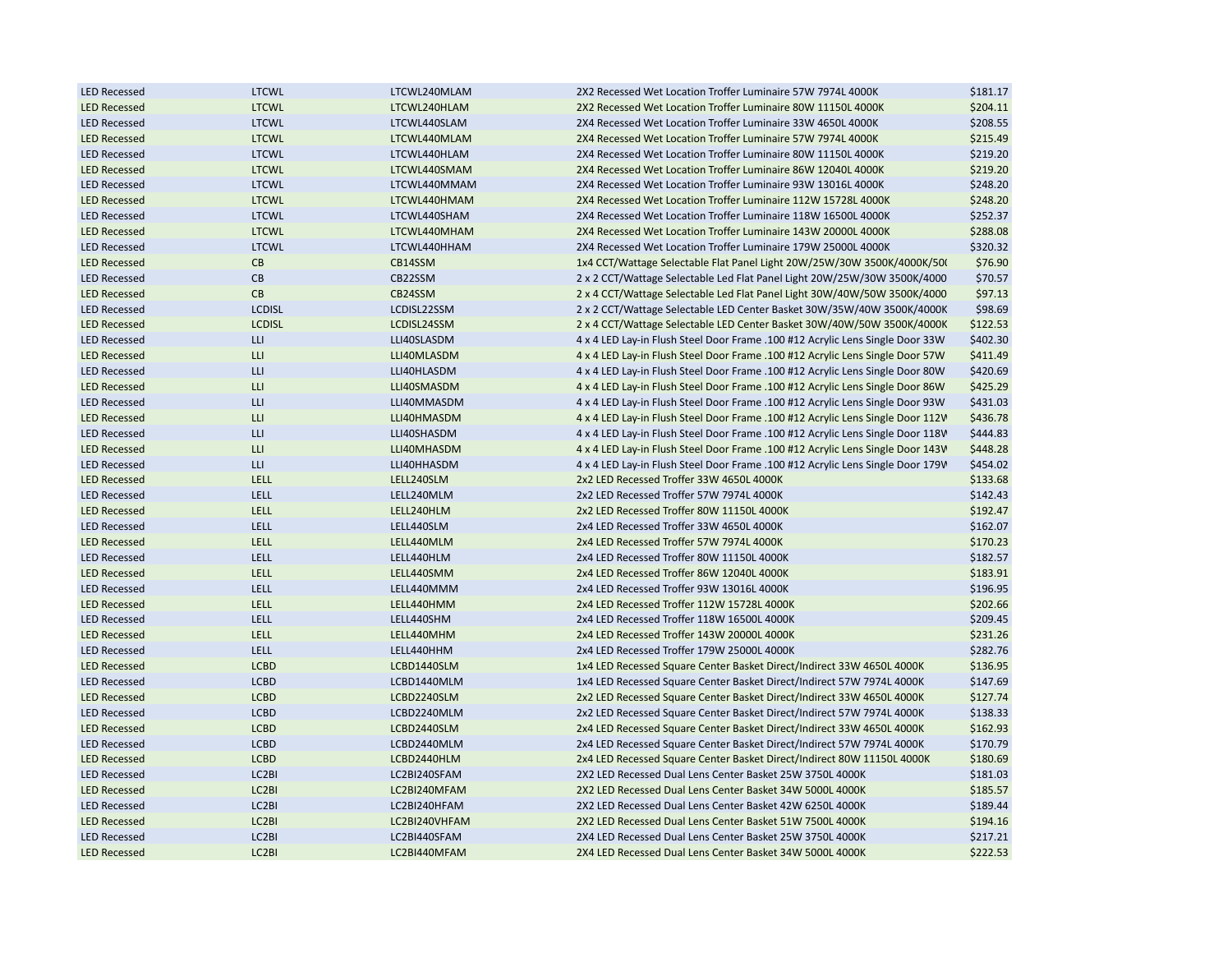| <b>LED Recessed</b> | <b>LTCWL</b>       | LTCWL240MLAM  | 2X2 Recessed Wet Location Troffer Luminaire 57W 7974L 4000K                    | \$181.17 |
|---------------------|--------------------|---------------|--------------------------------------------------------------------------------|----------|
| <b>LED Recessed</b> | <b>LTCWL</b>       | LTCWL240HLAM  | 2X2 Recessed Wet Location Troffer Luminaire 80W 11150L 4000K                   | \$204.11 |
| <b>LED Recessed</b> | <b>LTCWL</b>       | LTCWL440SLAM  | 2X4 Recessed Wet Location Troffer Luminaire 33W 4650L 4000K                    | \$208.55 |
| <b>LED Recessed</b> | <b>LTCWL</b>       | LTCWL440MLAM  | 2X4 Recessed Wet Location Troffer Luminaire 57W 7974L 4000K                    | \$215.49 |
| <b>LED Recessed</b> | <b>LTCWL</b>       | LTCWL440HLAM  | 2X4 Recessed Wet Location Troffer Luminaire 80W 11150L 4000K                   | \$219.20 |
| <b>LED Recessed</b> | <b>LTCWL</b>       | LTCWL440SMAM  | 2X4 Recessed Wet Location Troffer Luminaire 86W 12040L 4000K                   | \$219.20 |
| <b>LED Recessed</b> | <b>LTCWL</b>       | LTCWL440MMAM  | 2X4 Recessed Wet Location Troffer Luminaire 93W 13016L 4000K                   | \$248.20 |
| <b>LED Recessed</b> | <b>LTCWL</b>       | LTCWL440HMAM  | 2X4 Recessed Wet Location Troffer Luminaire 112W 15728L 4000K                  | \$248.20 |
| <b>LED Recessed</b> | <b>LTCWL</b>       | LTCWL440SHAM  | 2X4 Recessed Wet Location Troffer Luminaire 118W 16500L 4000K                  | \$252.37 |
| <b>LED Recessed</b> | <b>LTCWL</b>       | LTCWL440MHAM  | 2X4 Recessed Wet Location Troffer Luminaire 143W 20000L 4000K                  | \$288.08 |
| <b>LED Recessed</b> | <b>LTCWL</b>       | LTCWL440HHAM  | 2X4 Recessed Wet Location Troffer Luminaire 179W 25000L 4000K                  | \$320.32 |
| <b>LED Recessed</b> | CB                 | CB14SSM       | 1x4 CCT/Wattage Selectable Flat Panel Light 20W/25W/30W 3500K/4000K/50         | \$76.90  |
| <b>LED Recessed</b> | CB                 | CB22SSM       | 2 x 2 CCT/Wattage Selectable Led Flat Panel Light 20W/25W/30W 3500K/4000       | \$70.57  |
| <b>LED Recessed</b> | CB                 | CB24SSM       | 2 x 4 CCT/Wattage Selectable Led Flat Panel Light 30W/40W/50W 3500K/4000       | \$97.13  |
| <b>LED Recessed</b> | <b>LCDISL</b>      | LCDISL22SSM   | 2 x 2 CCT/Wattage Selectable LED Center Basket 30W/35W/40W 3500K/4000K         | \$98.69  |
| <b>LED Recessed</b> | <b>LCDISL</b>      | LCDISL24SSM   | 2 x 4 CCT/Wattage Selectable LED Center Basket 30W/40W/50W 3500K/4000K         | \$122.53 |
| <b>LED Recessed</b> | LLI                | LLI40SLASDM   | 4 x 4 LED Lay-in Flush Steel Door Frame .100 #12 Acrylic Lens Single Door 33W  | \$402.30 |
| <b>LED Recessed</b> | LLI                | LLI40MLASDM   | 4 x 4 LED Lay-in Flush Steel Door Frame .100 #12 Acrylic Lens Single Door 57W  | \$411.49 |
| <b>LED Recessed</b> | LLI                | LLI40HLASDM   | 4 x 4 LED Lay-in Flush Steel Door Frame .100 #12 Acrylic Lens Single Door 80W  | \$420.69 |
| <b>LED Recessed</b> | LLI                | LLI40SMASDM   | 4 x 4 LED Lay-in Flush Steel Door Frame .100 #12 Acrylic Lens Single Door 86W  | \$425.29 |
| <b>LED Recessed</b> | LLI                | LLI40MMASDM   | 4 x 4 LED Lay-in Flush Steel Door Frame .100 #12 Acrylic Lens Single Door 93W  | \$431.03 |
| <b>LED Recessed</b> | LLI                | LLI40HMASDM   | 4 x 4 LED Lay-in Flush Steel Door Frame .100 #12 Acrylic Lens Single Door 112V | \$436.78 |
| <b>LED Recessed</b> | LLI                | LLI40SHASDM   |                                                                                |          |
|                     |                    |               | 4 x 4 LED Lay-in Flush Steel Door Frame .100 #12 Acrylic Lens Single Door 118V | \$444.83 |
| <b>LED Recessed</b> | LLI.               | LLI40MHASDM   | 4 x 4 LED Lay-in Flush Steel Door Frame .100 #12 Acrylic Lens Single Door 143V | \$448.28 |
| <b>LED Recessed</b> | <b>LLI</b>         | LLI40HHASDM   | 4 x 4 LED Lay-in Flush Steel Door Frame .100 #12 Acrylic Lens Single Door 179V | \$454.02 |
| <b>LED Recessed</b> | LELL               | LELL240SLM    | 2x2 LED Recessed Troffer 33W 4650L 4000K                                       | \$133.68 |
| <b>LED Recessed</b> | LELL               | LELL240MLM    | 2x2 LED Recessed Troffer 57W 7974L 4000K                                       | \$142.43 |
| <b>LED Recessed</b> | LELL               | LELL240HLM    | 2x2 LED Recessed Troffer 80W 11150L 4000K                                      | \$192.47 |
| <b>LED Recessed</b> | LELL               | LELL440SLM    | 2x4 LED Recessed Troffer 33W 4650L 4000K                                       | \$162.07 |
| <b>LED Recessed</b> | LELL               | LELL440MLM    | 2x4 LED Recessed Troffer 57W 7974L 4000K                                       | \$170.23 |
| <b>LED Recessed</b> | LELL               | LELL440HLM    | 2x4 LED Recessed Troffer 80W 11150L 4000K                                      | \$182.57 |
| <b>LED Recessed</b> | LELL               | LELL440SMM    | 2x4 LED Recessed Troffer 86W 12040L 4000K                                      | \$183.91 |
| <b>LED Recessed</b> | LELL               | LELL440MMM    | 2x4 LED Recessed Troffer 93W 13016L 4000K                                      | \$196.95 |
| <b>LED Recessed</b> | <b>LELL</b>        | LELL440HMM    | 2x4 LED Recessed Troffer 112W 15728L 4000K                                     | \$202.66 |
| <b>LED Recessed</b> | <b>LELL</b>        | LELL440SHM    | 2x4 LED Recessed Troffer 118W 16500L 4000K                                     | \$209.45 |
| <b>LED Recessed</b> | <b>LELL</b>        | LELL440MHM    | 2x4 LED Recessed Troffer 143W 20000L 4000K                                     | \$231.26 |
| <b>LED Recessed</b> | <b>LELL</b>        | LELL440HHM    | 2x4 LED Recessed Troffer 179W 25000L 4000K                                     | \$282.76 |
| <b>LED Recessed</b> | <b>LCBD</b>        | LCBD1440SLM   | 1x4 LED Recessed Square Center Basket Direct/Indirect 33W 4650L 4000K          | \$136.95 |
| <b>LED Recessed</b> | <b>LCBD</b>        | LCBD1440MLM   | 1x4 LED Recessed Square Center Basket Direct/Indirect 57W 7974L 4000K          | \$147.69 |
| <b>LED Recessed</b> | <b>LCBD</b>        | LCBD2240SLM   | 2x2 LED Recessed Square Center Basket Direct/Indirect 33W 4650L 4000K          | \$127.74 |
| <b>LED Recessed</b> | <b>LCBD</b>        | LCBD2240MLM   | 2x2 LED Recessed Square Center Basket Direct/Indirect 57W 7974L 4000K          | \$138.33 |
| <b>LED Recessed</b> | <b>LCBD</b>        | LCBD2440SLM   | 2x4 LED Recessed Square Center Basket Direct/Indirect 33W 4650L 4000K          | \$162.93 |
| <b>LED Recessed</b> | <b>LCBD</b>        | LCBD2440MLM   | 2x4 LED Recessed Square Center Basket Direct/Indirect 57W 7974L 4000K          | \$170.79 |
| <b>LED Recessed</b> | <b>LCBD</b>        | LCBD2440HLM   | 2x4 LED Recessed Square Center Basket Direct/Indirect 80W 11150L 4000K         | \$180.69 |
| <b>LED Recessed</b> | LC <sub>2</sub> BI | LC2BI240SFAM  | 2X2 LED Recessed Dual Lens Center Basket 25W 3750L 4000K                       | \$181.03 |
| <b>LED Recessed</b> | LC <sub>2</sub> BI | LC2BI240MFAM  | 2X2 LED Recessed Dual Lens Center Basket 34W 5000L 4000K                       | \$185.57 |
| <b>LED Recessed</b> | LC <sub>2</sub> BI | LC2BI240HFAM  | 2X2 LED Recessed Dual Lens Center Basket 42W 6250L 4000K                       | \$189.44 |
| <b>LED Recessed</b> | LC <sub>2</sub> BI | LC2BI240VHFAM | 2X2 LED Recessed Dual Lens Center Basket 51W 7500L 4000K                       | \$194.16 |
| <b>LED Recessed</b> | LC2BI              | LC2BI440SFAM  | 2X4 LED Recessed Dual Lens Center Basket 25W 3750L 4000K                       | \$217.21 |
| <b>LED Recessed</b> | LC <sub>2</sub> BI | LC2BI440MFAM  | 2X4 LED Recessed Dual Lens Center Basket 34W 5000L 4000K                       | \$222.53 |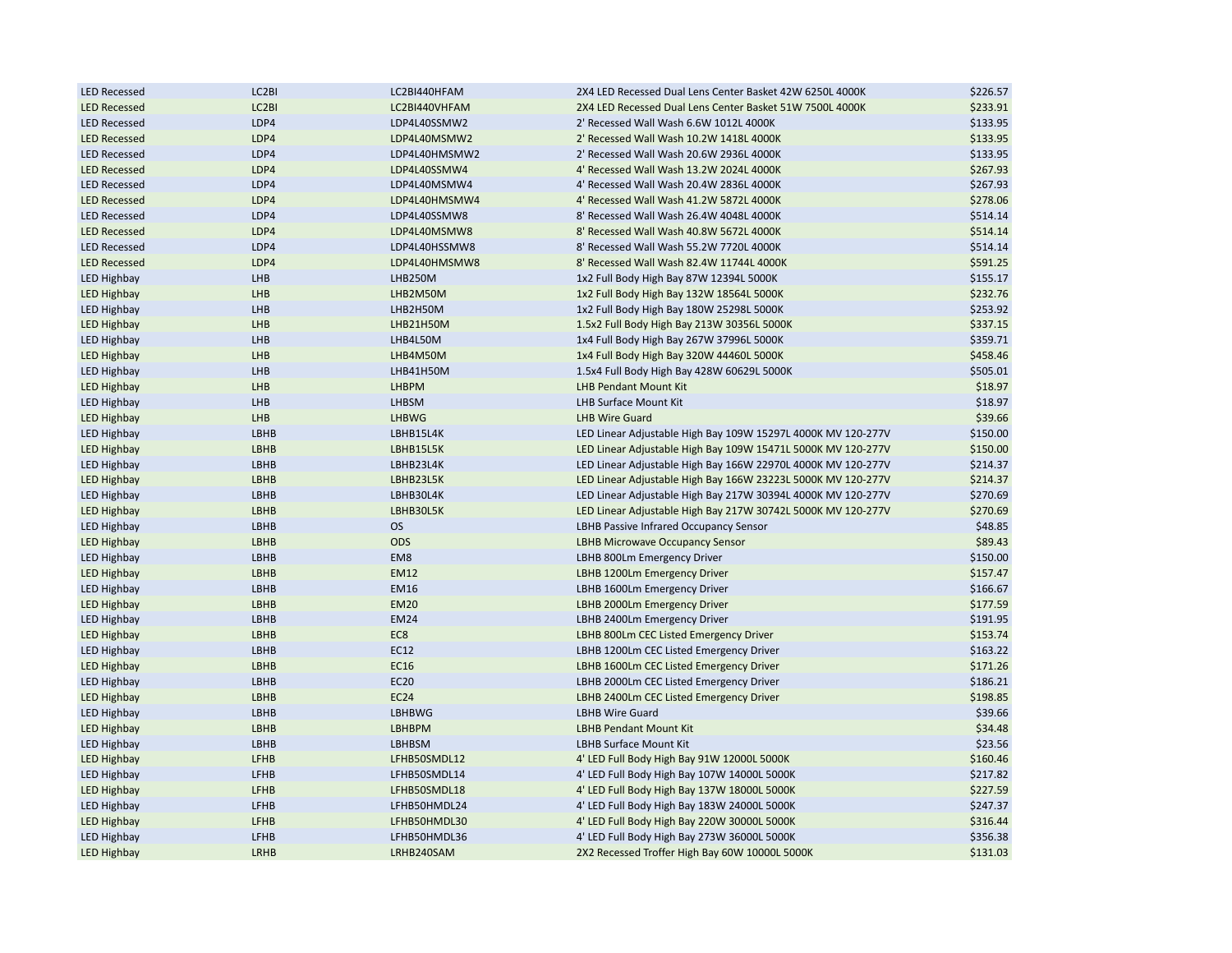| <b>LED Recessed</b> | LC2BI        | LC2BI440HFAM               | 2X4 LED Recessed Dual Lens Center Basket 42W 6250L 4000K     | \$226.57 |
|---------------------|--------------|----------------------------|--------------------------------------------------------------|----------|
| <b>LED Recessed</b> | LC2BI        | LC2BI440VHFAM              | 2X4 LED Recessed Dual Lens Center Basket 51W 7500L 4000K     | \$233.91 |
| <b>LED Recessed</b> | LDP4         | LDP4L40SSMW2               | 2' Recessed Wall Wash 6.6W 1012L 4000K                       | \$133.95 |
| <b>LED Recessed</b> | LDP4         | LDP4L40MSMW2               | 2' Recessed Wall Wash 10.2W 1418L 4000K                      | \$133.95 |
| <b>LED Recessed</b> | LDP4         | LDP4L40HMSMW2              | 2' Recessed Wall Wash 20.6W 2936L 4000K                      | \$133.95 |
| <b>LED Recessed</b> | LDP4         | LDP4L40SSMW4               | 4' Recessed Wall Wash 13.2W 2024L 4000K                      | \$267.93 |
| <b>LED Recessed</b> | LDP4         | LDP4L40MSMW4               | 4' Recessed Wall Wash 20.4W 2836L 4000K                      | \$267.93 |
| <b>LED Recessed</b> | LDP4         | LDP4L40HMSMW4              | 4' Recessed Wall Wash 41.2W 5872L 4000K                      | \$278.06 |
| <b>LED Recessed</b> | LDP4         | LDP4L40SSMW8               | 8' Recessed Wall Wash 26.4W 4048L 4000K                      | \$514.14 |
| <b>LED Recessed</b> | LDP4         | LDP4L40MSMW8               | 8' Recessed Wall Wash 40.8W 5672L 4000K                      | \$514.14 |
| <b>LED Recessed</b> | LDP4         | LDP4L40HSSMW8              | 8' Recessed Wall Wash 55.2W 7720L 4000K                      | \$514.14 |
| <b>LED Recessed</b> | LDP4         | LDP4L40HMSMW8              | 8' Recessed Wall Wash 82.4W 11744L 4000K                     | \$591.25 |
| <b>LED Highbay</b>  | LHB          | LHB250M                    | 1x2 Full Body High Bay 87W 12394L 5000K                      | \$155.17 |
| <b>LED Highbay</b>  | LHB          | LHB2M50M                   | 1x2 Full Body High Bay 132W 18564L 5000K                     | \$232.76 |
| <b>LED Highbay</b>  | LHB          | LHB2H50M                   | 1x2 Full Body High Bay 180W 25298L 5000K                     | \$253.92 |
| <b>LED Highbay</b>  | LHB          | LHB21H50M                  | 1.5x2 Full Body High Bay 213W 30356L 5000K                   | \$337.15 |
| <b>LED Highbay</b>  | LHB          | LHB4L50M                   | 1x4 Full Body High Bay 267W 37996L 5000K                     | \$359.71 |
| <b>LED Highbay</b>  | LHB          | LHB4M50M                   | 1x4 Full Body High Bay 320W 44460L 5000K                     | \$458.46 |
| <b>LED Highbay</b>  | LHB          | LHB41H50M                  | 1.5x4 Full Body High Bay 428W 60629L 5000K                   | \$505.01 |
| <b>LED Highbay</b>  | LHB          | <b>LHBPM</b>               | LHB Pendant Mount Kit                                        | \$18.97  |
| <b>LED Highbay</b>  | LHB          | LHBSM                      | LHB Surface Mount Kit                                        | \$18.97  |
| <b>LED Highbay</b>  | LHB          | <b>LHBWG</b>               | <b>LHB Wire Guard</b>                                        | \$39.66  |
| <b>LED Highbay</b>  | LBHB         | LBHB15L4K                  | LED Linear Adjustable High Bay 109W 15297L 4000K MV 120-277V | \$150.00 |
| <b>LED Highbay</b>  | LBHB         | LBHB15L5K                  | LED Linear Adjustable High Bay 109W 15471L 5000K MV 120-277V | \$150.00 |
| <b>LED Highbay</b>  | LBHB         | LBHB23L4K                  | LED Linear Adjustable High Bay 166W 22970L 4000K MV 120-277V | \$214.37 |
| <b>LED Highbay</b>  | LBHB         | LBHB23L5K                  | LED Linear Adjustable High Bay 166W 23223L 5000K MV 120-277V | \$214.37 |
| <b>LED Highbay</b>  | LBHB         | LBHB30L4K                  | LED Linear Adjustable High Bay 217W 30394L 4000K MV 120-277V | \$270.69 |
| <b>LED Highbay</b>  | LBHB         | LBHB30L5K                  | LED Linear Adjustable High Bay 217W 30742L 5000K MV 120-277V | \$270.69 |
| <b>LED Highbay</b>  | LBHB         | <b>OS</b>                  |                                                              | \$48.85  |
|                     |              | <b>ODS</b>                 | LBHB Passive Infrared Occupancy Sensor                       |          |
| <b>LED Highbay</b>  | LBHB<br>LBHB | EM8                        | <b>LBHB Microwave Occupancy Sensor</b>                       | \$89.43  |
| <b>LED Highbay</b>  |              |                            | LBHB 800Lm Emergency Driver                                  | \$150.00 |
| <b>LED Highbay</b>  | LBHB<br>LBHB | <b>EM12</b><br><b>EM16</b> | LBHB 1200Lm Emergency Driver                                 | \$157.47 |
| <b>LED Highbay</b>  |              |                            | LBHB 1600Lm Emergency Driver                                 | \$166.67 |
| <b>LED Highbay</b>  | LBHB         | <b>EM20</b>                | LBHB 2000Lm Emergency Driver                                 | \$177.59 |
| <b>LED Highbay</b>  | LBHB         | <b>EM24</b>                | LBHB 2400Lm Emergency Driver                                 | \$191.95 |
| <b>LED Highbay</b>  | LBHB         | EC8                        | LBHB 800Lm CEC Listed Emergency Driver                       | \$153.74 |
| <b>LED Highbay</b>  | LBHB         | EC12                       | LBHB 1200Lm CEC Listed Emergency Driver                      | \$163.22 |
| <b>LED Highbay</b>  | LBHB         | EC16                       | LBHB 1600Lm CEC Listed Emergency Driver                      | \$171.26 |
| <b>LED Highbay</b>  | LBHB         | <b>EC20</b>                | LBHB 2000Lm CEC Listed Emergency Driver                      | \$186.21 |
| <b>LED Highbay</b>  | LBHB         | <b>EC24</b>                | LBHB 2400Lm CEC Listed Emergency Driver                      | \$198.85 |
| <b>LED Highbay</b>  | LBHB         | LBHBWG                     | <b>LBHB Wire Guard</b>                                       | \$39.66  |
| <b>LED Highbay</b>  | LBHB         | LBHBPM                     | <b>LBHB Pendant Mount Kit</b>                                | \$34.48  |
| <b>LED Highbay</b>  | LBHB         | LBHBSM                     | LBHB Surface Mount Kit                                       | \$23.56  |
| <b>LED Highbay</b>  | <b>LFHB</b>  | LFHB50SMDL12               | 4' LED Full Body High Bay 91W 12000L 5000K                   | \$160.46 |
| <b>LED Highbay</b>  | LFHB         | LFHB50SMDL14               | 4' LED Full Body High Bay 107W 14000L 5000K                  | \$217.82 |
| <b>LED Highbay</b>  | LFHB         | LFHB50SMDL18               | 4' LED Full Body High Bay 137W 18000L 5000K                  | \$227.59 |
| <b>LED Highbay</b>  | <b>LFHB</b>  | LFHB50HMDL24               | 4' LED Full Body High Bay 183W 24000L 5000K                  | \$247.37 |
| <b>LED Highbay</b>  | LFHB         | LFHB50HMDL30               | 4' LED Full Body High Bay 220W 30000L 5000K                  | \$316.44 |
| <b>LED Highbay</b>  | LFHB         | LFHB50HMDL36               | 4' LED Full Body High Bay 273W 36000L 5000K                  | \$356.38 |
| <b>LED Highbay</b>  | LRHB         | LRHB240SAM                 | 2X2 Recessed Troffer High Bay 60W 10000L 5000K               | \$131.03 |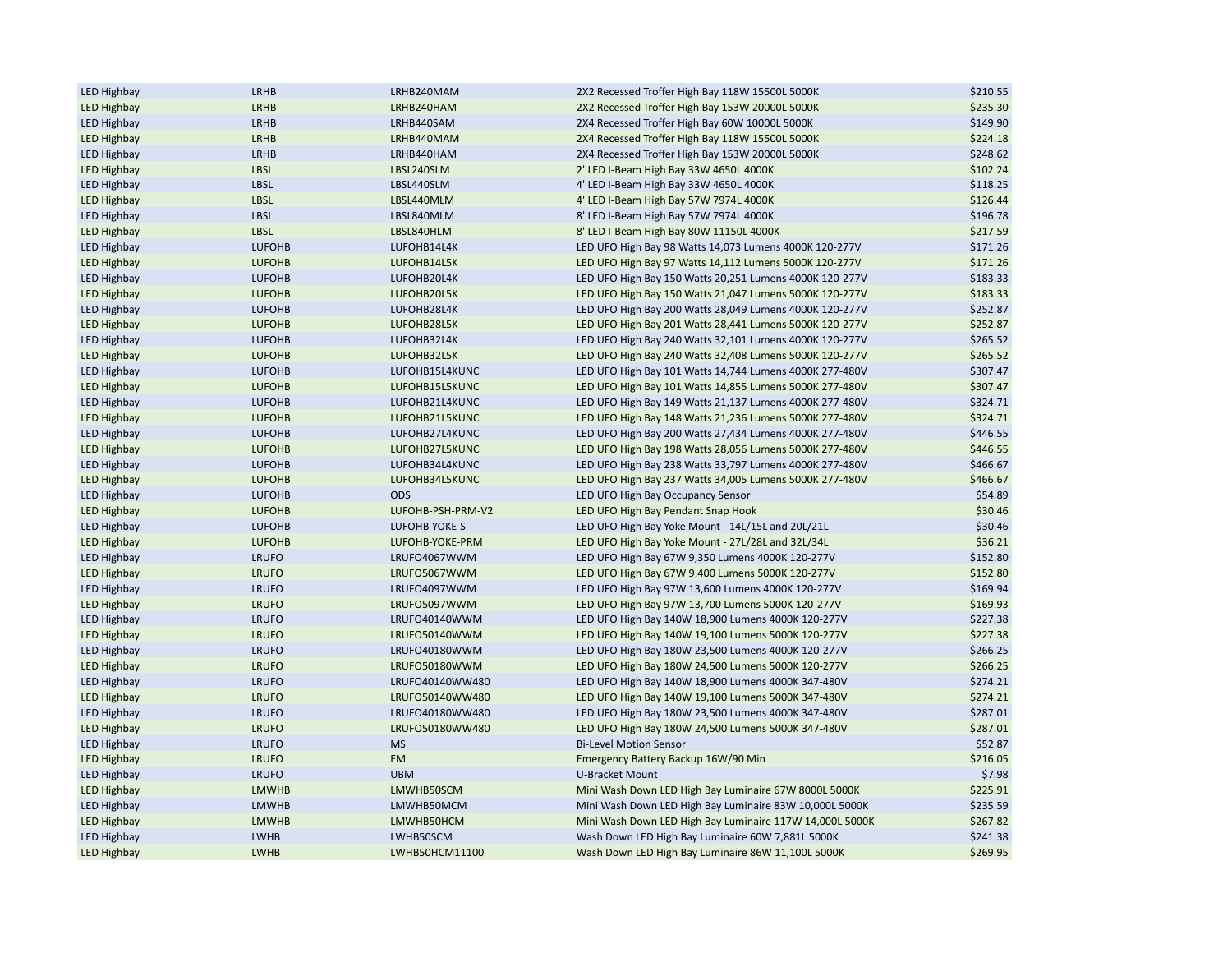| <b>LED Highbay</b>                       | LRHB          | LRHB240MAM        | 2X2 Recessed Troffer High Bay 118W 15500L 5000K          | \$210.55 |
|------------------------------------------|---------------|-------------------|----------------------------------------------------------|----------|
| <b>LED Highbay</b>                       | LRHB          | LRHB240HAM        | 2X2 Recessed Troffer High Bay 153W 20000L 5000K          | \$235.30 |
| <b>LED Highbay</b>                       | LRHB          | LRHB440SAM        | 2X4 Recessed Troffer High Bay 60W 10000L 5000K           | \$149.90 |
| <b>LED Highbay</b>                       | LRHB          | LRHB440MAM        | 2X4 Recessed Troffer High Bay 118W 15500L 5000K          | \$224.18 |
| LED Highbay                              | LRHB          | LRHB440HAM        | 2X4 Recessed Troffer High Bay 153W 20000L 5000K          | \$248.62 |
| <b>LED Highbay</b>                       | <b>LBSL</b>   | LBSL240SLM        | 2' LED I-Beam High Bay 33W 4650L 4000K                   | \$102.24 |
| <b>LED Highbay</b>                       | LBSL          | LBSL440SLM        | 4' LED I-Beam High Bay 33W 4650L 4000K                   | \$118.25 |
| <b>LED Highbay</b>                       | <b>LBSL</b>   | LBSL440MLM        | 4' LED I-Beam High Bay 57W 7974L 4000K                   | \$126.44 |
| <b>LED Highbay</b>                       | <b>LBSL</b>   | LBSL840MLM        | 8' LED I-Beam High Bay 57W 7974L 4000K                   | \$196.78 |
| <b>LED Highbay</b>                       | <b>LBSL</b>   | LBSL840HLM        | 8' LED I-Beam High Bay 80W 11150L 4000K                  | \$217.59 |
| <b>LED Highbay</b>                       | <b>LUFOHB</b> | LUFOHB14L4K       | LED UFO High Bay 98 Watts 14,073 Lumens 4000K 120-277V   | \$171.26 |
| <b>LED Highbay</b>                       | <b>LUFOHB</b> | LUFOHB14L5K       | LED UFO High Bay 97 Watts 14,112 Lumens 5000K 120-277V   | \$171.26 |
| <b>LED Highbay</b>                       | <b>LUFOHB</b> | LUFOHB20L4K       | LED UFO High Bay 150 Watts 20,251 Lumens 4000K 120-277V  | \$183.33 |
| <b>LED Highbay</b>                       | <b>LUFOHB</b> | LUFOHB20L5K       | LED UFO High Bay 150 Watts 21,047 Lumens 5000K 120-277V  | \$183.33 |
| <b>LED Highbay</b>                       | <b>LUFOHB</b> | LUFOHB28L4K       | LED UFO High Bay 200 Watts 28,049 Lumens 4000K 120-277V  | \$252.87 |
| <b>LED Highbay</b>                       | <b>LUFOHB</b> | LUFOHB28L5K       | LED UFO High Bay 201 Watts 28,441 Lumens 5000K 120-277V  | \$252.87 |
| <b>LED Highbay</b>                       | <b>LUFOHB</b> | LUFOHB32L4K       | LED UFO High Bay 240 Watts 32,101 Lumens 4000K 120-277V  | \$265.52 |
| <b>LED Highbay</b>                       | <b>LUFOHB</b> | LUFOHB32L5K       | LED UFO High Bay 240 Watts 32,408 Lumens 5000K 120-277V  | \$265.52 |
| LED Highbay                              | <b>LUFOHB</b> | LUFOHB15L4KUNC    | LED UFO High Bay 101 Watts 14,744 Lumens 4000K 277-480V  | \$307.47 |
| <b>LED Highbay</b>                       | <b>LUFOHB</b> | LUFOHB15L5KUNC    | LED UFO High Bay 101 Watts 14,855 Lumens 5000K 277-480V  | \$307.47 |
| <b>LED Highbay</b>                       | <b>LUFOHB</b> | LUFOHB21L4KUNC    | LED UFO High Bay 149 Watts 21,137 Lumens 4000K 277-480V  | \$324.71 |
| <b>LED Highbay</b>                       | <b>LUFOHB</b> | LUFOHB21L5KUNC    | LED UFO High Bay 148 Watts 21,236 Lumens 5000K 277-480V  | \$324.71 |
| <b>LED Highbay</b>                       | <b>LUFOHB</b> | LUFOHB27L4KUNC    | LED UFO High Bay 200 Watts 27,434 Lumens 4000K 277-480V  | \$446.55 |
|                                          | <b>LUFOHB</b> | LUFOHB27L5KUNC    | LED UFO High Bay 198 Watts 28,056 Lumens 5000K 277-480V  | \$446.55 |
| <b>LED Highbay</b><br><b>LED Highbay</b> | <b>LUFOHB</b> |                   |                                                          | \$466.67 |
|                                          |               | LUFOHB34L4KUNC    | LED UFO High Bay 238 Watts 33,797 Lumens 4000K 277-480V  |          |
| <b>LED Highbay</b>                       | <b>LUFOHB</b> | LUFOHB34L5KUNC    | LED UFO High Bay 237 Watts 34,005 Lumens 5000K 277-480V  | \$466.67 |
| LED Highbay                              | <b>LUFOHB</b> | <b>ODS</b>        | LED UFO High Bay Occupancy Sensor                        | \$54.89  |
| <b>LED Highbay</b>                       | <b>LUFOHB</b> | LUFOHB-PSH-PRM-V2 | LED UFO High Bay Pendant Snap Hook                       | \$30.46  |
| <b>LED Highbay</b>                       | <b>LUFOHB</b> | LUFOHB-YOKE-S     | LED UFO High Bay Yoke Mount - 14L/15L and 20L/21L        | \$30.46  |
| <b>LED Highbay</b>                       | <b>LUFOHB</b> | LUFOHB-YOKE-PRM   | LED UFO High Bay Yoke Mount - 27L/28L and 32L/34L        | \$36.21  |
| <b>LED Highbay</b>                       | <b>LRUFO</b>  | LRUFO4067WWM      | LED UFO High Bay 67W 9,350 Lumens 4000K 120-277V         | \$152.80 |
| <b>LED Highbay</b>                       | <b>LRUFO</b>  | LRUFO5067WWM      | LED UFO High Bay 67W 9,400 Lumens 5000K 120-277V         | \$152.80 |
| <b>LED Highbay</b>                       | <b>LRUFO</b>  | LRUFO4097WWM      | LED UFO High Bay 97W 13,600 Lumens 4000K 120-277V        | \$169.94 |
| <b>LED Highbay</b>                       | <b>LRUFO</b>  | LRUFO5097WWM      | LED UFO High Bay 97W 13,700 Lumens 5000K 120-277V        | \$169.93 |
| <b>LED Highbay</b>                       | <b>LRUFO</b>  | LRUFO40140WWM     | LED UFO High Bay 140W 18,900 Lumens 4000K 120-277V       | \$227.38 |
| <b>LED Highbay</b>                       | <b>LRUFO</b>  | LRUFO50140WWM     | LED UFO High Bay 140W 19,100 Lumens 5000K 120-277V       | \$227.38 |
| <b>LED Highbay</b>                       | <b>LRUFO</b>  | LRUFO40180WWM     | LED UFO High Bay 180W 23,500 Lumens 4000K 120-277V       | \$266.25 |
| <b>LED Highbay</b>                       | <b>LRUFO</b>  | LRUFO50180WWM     | LED UFO High Bay 180W 24,500 Lumens 5000K 120-277V       | \$266.25 |
| <b>LED Highbay</b>                       | <b>LRUFO</b>  | LRUFO40140WW480   | LED UFO High Bay 140W 18,900 Lumens 4000K 347-480V       | \$274.21 |
| <b>LED Highbay</b>                       | <b>LRUFO</b>  | LRUFO50140WW480   | LED UFO High Bay 140W 19,100 Lumens 5000K 347-480V       | \$274.21 |
| <b>LED Highbay</b>                       | <b>LRUFO</b>  | LRUFO40180WW480   | LED UFO High Bay 180W 23,500 Lumens 4000K 347-480V       | \$287.01 |
| <b>LED Highbay</b>                       | <b>LRUFO</b>  | LRUFO50180WW480   | LED UFO High Bay 180W 24,500 Lumens 5000K 347-480V       | \$287.01 |
| <b>LED Highbay</b>                       | <b>LRUFO</b>  | <b>MS</b>         | <b>Bi-Level Motion Sensor</b>                            | \$52.87  |
| <b>LED Highbay</b>                       | <b>LRUFO</b>  | <b>EM</b>         | Emergency Battery Backup 16W/90 Min                      | \$216.05 |
| <b>LED Highbay</b>                       | <b>LRUFO</b>  | <b>UBM</b>        | U-Bracket Mount                                          | \$7.98   |
| <b>LED Highbay</b>                       | <b>LMWHB</b>  | LMWHB50SCM        | Mini Wash Down LED High Bay Luminaire 67W 8000L 5000K    | \$225.91 |
| <b>LED Highbay</b>                       | <b>LMWHB</b>  | LMWHB50MCM        | Mini Wash Down LED High Bay Luminaire 83W 10,000L 5000K  | \$235.59 |
| <b>LED Highbay</b>                       | <b>LMWHB</b>  | LMWHB50HCM        | Mini Wash Down LED High Bay Luminaire 117W 14,000L 5000K | \$267.82 |
| <b>LED Highbay</b>                       | <b>LWHB</b>   | LWHB50SCM         | Wash Down LED High Bay Luminaire 60W 7,881L 5000K        | \$241.38 |
| <b>LED Highbay</b>                       | <b>LWHB</b>   | LWHB50HCM11100    | Wash Down LED High Bay Luminaire 86W 11,100L 5000K       | \$269.95 |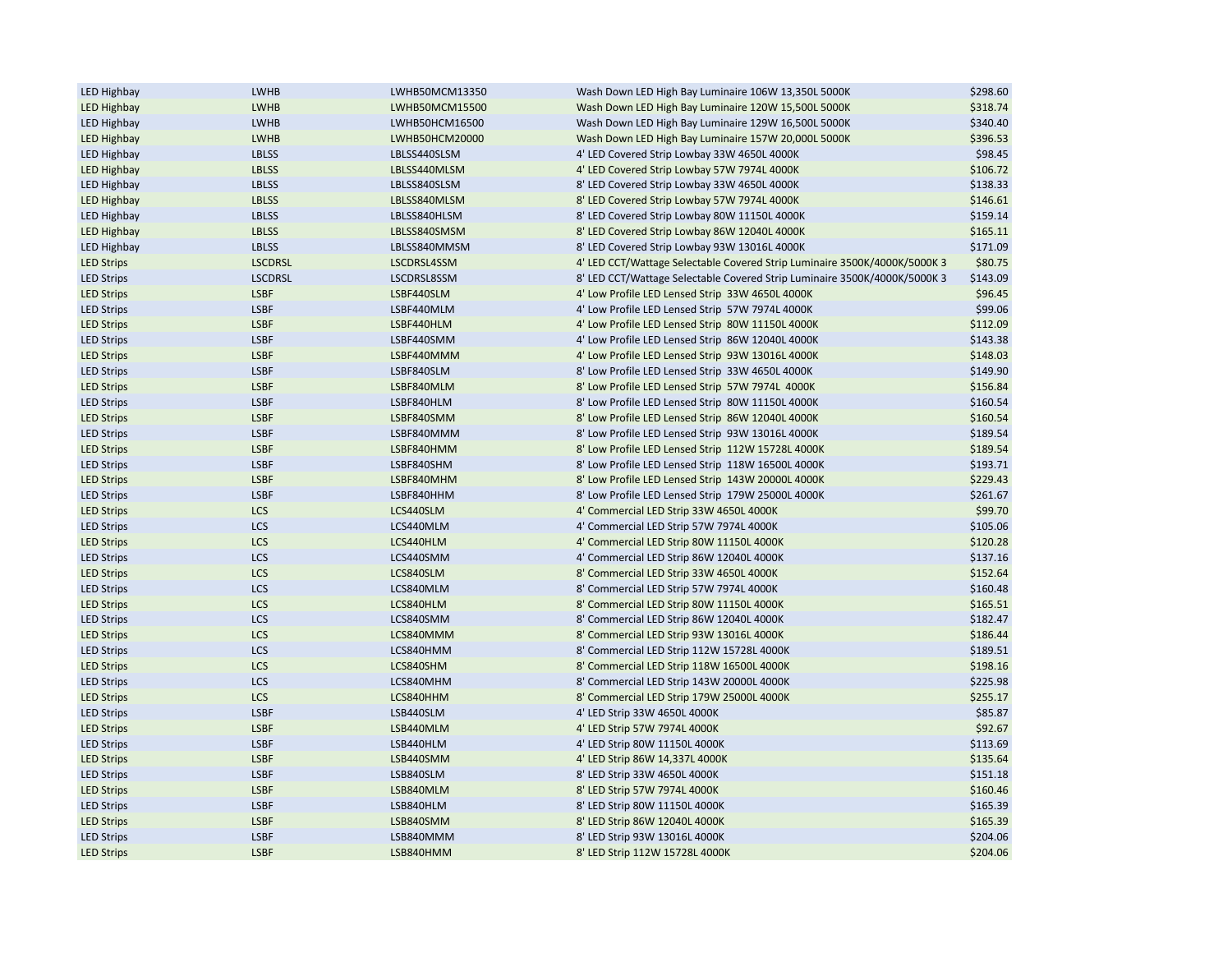| <b>LED Highbay</b> | LWHB           | LWHB50MCM13350 | Wash Down LED High Bay Luminaire 106W 13,350L 5000K                       | \$298.60 |
|--------------------|----------------|----------------|---------------------------------------------------------------------------|----------|
| <b>LED Highbay</b> | LWHB           | LWHB50MCM15500 | Wash Down LED High Bay Luminaire 120W 15,500L 5000K                       | \$318.74 |
| <b>LED Highbay</b> | LWHB           | LWHB50HCM16500 | Wash Down LED High Bay Luminaire 129W 16,500L 5000K                       | \$340.40 |
| <b>LED Highbay</b> | LWHB           | LWHB50HCM20000 | Wash Down LED High Bay Luminaire 157W 20,000L 5000K                       | \$396.53 |
| <b>LED Highbay</b> | <b>LBLSS</b>   | LBLSS440SLSM   | 4' LED Covered Strip Lowbay 33W 4650L 4000K                               | \$98.45  |
| <b>LED Highbay</b> | <b>LBLSS</b>   | LBLSS440MLSM   | 4' LED Covered Strip Lowbay 57W 7974L 4000K                               | \$106.72 |
| <b>LED Highbay</b> | <b>LBLSS</b>   | LBLSS840SLSM   | 8' LED Covered Strip Lowbay 33W 4650L 4000K                               | \$138.33 |
| <b>LED Highbay</b> | <b>LBLSS</b>   | LBLSS840MLSM   | 8' LED Covered Strip Lowbay 57W 7974L 4000K                               | \$146.61 |
| <b>LED Highbay</b> | <b>LBLSS</b>   | LBLSS840HLSM   | 8' LED Covered Strip Lowbay 80W 11150L 4000K                              | \$159.14 |
| <b>LED Highbay</b> | <b>LBLSS</b>   | LBLSS840SMSM   | 8' LED Covered Strip Lowbay 86W 12040L 4000K                              | \$165.11 |
| <b>LED Highbay</b> | <b>LBLSS</b>   | LBLSS840MMSM   | 8' LED Covered Strip Lowbay 93W 13016L 4000K                              | \$171.09 |
| <b>LED Strips</b>  | <b>LSCDRSL</b> | LSCDRSL4SSM    | 4' LED CCT/Wattage Selectable Covered Strip Luminaire 3500K/4000K/5000K 3 | \$80.75  |
| <b>LED Strips</b>  | <b>LSCDRSL</b> | LSCDRSL8SSM    | 8' LED CCT/Wattage Selectable Covered Strip Luminaire 3500K/4000K/5000K 3 | \$143.09 |
| <b>LED Strips</b>  | <b>LSBF</b>    | LSBF440SLM     | 4' Low Profile LED Lensed Strip 33W 4650L 4000K                           | \$96.45  |
| <b>LED Strips</b>  | <b>LSBF</b>    | LSBF440MLM     | 4' Low Profile LED Lensed Strip 57W 7974L 4000K                           | \$99.06  |
| <b>LED Strips</b>  | <b>LSBF</b>    | LSBF440HLM     | 4' Low Profile LED Lensed Strip 80W 11150L 4000K                          | \$112.09 |
| <b>LED Strips</b>  | <b>LSBF</b>    | LSBF440SMM     | 4' Low Profile LED Lensed Strip 86W 12040L 4000K                          | \$143.38 |
| <b>LED Strips</b>  | <b>LSBF</b>    | LSBF440MMM     | 4' Low Profile LED Lensed Strip 93W 13016L 4000K                          | \$148.03 |
| <b>LED Strips</b>  | <b>LSBF</b>    | LSBF840SLM     | 8' Low Profile LED Lensed Strip 33W 4650L 4000K                           | \$149.90 |
| <b>LED Strips</b>  | <b>LSBF</b>    | LSBF840MLM     | 8' Low Profile LED Lensed Strip 57W 7974L 4000K                           | \$156.84 |
| <b>LED Strips</b>  | <b>LSBF</b>    | LSBF840HLM     | 8' Low Profile LED Lensed Strip 80W 11150L 4000K                          | \$160.54 |
| <b>LED Strips</b>  | <b>LSBF</b>    | LSBF840SMM     | 8' Low Profile LED Lensed Strip 86W 12040L 4000K                          | \$160.54 |
| <b>LED Strips</b>  | <b>LSBF</b>    | LSBF840MMM     | 8' Low Profile LED Lensed Strip 93W 13016L 4000K                          | \$189.54 |
| <b>LED Strips</b>  | <b>LSBF</b>    | LSBF840HMM     | 8' Low Profile LED Lensed Strip 112W 15728L 4000K                         | \$189.54 |
| <b>LED Strips</b>  | <b>LSBF</b>    | LSBF840SHM     | 8' Low Profile LED Lensed Strip 118W 16500L 4000K                         | \$193.71 |
| <b>LED Strips</b>  | <b>LSBF</b>    | LSBF840MHM     | 8' Low Profile LED Lensed Strip 143W 20000L 4000K                         | \$229.43 |
| <b>LED Strips</b>  | <b>LSBF</b>    | LSBF840HHM     | 8' Low Profile LED Lensed Strip 179W 25000L 4000K                         | \$261.67 |
| <b>LED Strips</b>  | <b>LCS</b>     | LCS440SLM      | 4' Commercial LED Strip 33W 4650L 4000K                                   | \$99.70  |
| <b>LED Strips</b>  | <b>LCS</b>     | LCS440MLM      | 4' Commercial LED Strip 57W 7974L 4000K                                   | \$105.06 |
| <b>LED Strips</b>  | LCS            | LCS440HLM      | 4' Commercial LED Strip 80W 11150L 4000K                                  | \$120.28 |
| <b>LED Strips</b>  | <b>LCS</b>     | LCS440SMM      | 4' Commercial LED Strip 86W 12040L 4000K                                  | \$137.16 |
| <b>LED Strips</b>  | LCS            | LCS840SLM      | 8' Commercial LED Strip 33W 4650L 4000K                                   | \$152.64 |
| <b>LED Strips</b>  | <b>LCS</b>     | LCS840MLM      | 8' Commercial LED Strip 57W 7974L 4000K                                   | \$160.48 |
| <b>LED Strips</b>  | LCS            | LCS840HLM      | 8' Commercial LED Strip 80W 11150L 4000K                                  | \$165.51 |
| <b>LED Strips</b>  | <b>LCS</b>     | LCS840SMM      | 8' Commercial LED Strip 86W 12040L 4000K                                  | \$182.47 |
| <b>LED Strips</b>  | <b>LCS</b>     | LCS840MMM      | 8' Commercial LED Strip 93W 13016L 4000K                                  | \$186.44 |
| <b>LED Strips</b>  | LCS            | LCS840HMM      | 8' Commercial LED Strip 112W 15728L 4000K                                 | \$189.51 |
| <b>LED Strips</b>  | LCS            | LCS840SHM      | 8' Commercial LED Strip 118W 16500L 4000K                                 | \$198.16 |
| <b>LED Strips</b>  | <b>LCS</b>     | LCS840MHM      | 8' Commercial LED Strip 143W 20000L 4000K                                 | \$225.98 |
| <b>LED Strips</b>  | <b>LCS</b>     | LCS840HHM      | 8' Commercial LED Strip 179W 25000L 4000K                                 | \$255.17 |
| <b>LED Strips</b>  | <b>LSBF</b>    | LSB440SLM      | 4' LED Strip 33W 4650L 4000K                                              | \$85.87  |
| <b>LED Strips</b>  | <b>LSBF</b>    | LSB440MLM      | 4' LED Strip 57W 7974L 4000K                                              | \$92.67  |
| <b>LED Strips</b>  | <b>LSBF</b>    | LSB440HLM      | 4' LED Strip 80W 11150L 4000K                                             | \$113.69 |
| <b>LED Strips</b>  | <b>LSBF</b>    | LSB440SMM      | 4' LED Strip 86W 14,337L 4000K                                            | \$135.64 |
| <b>LED Strips</b>  | <b>LSBF</b>    | LSB840SLM      | 8' LED Strip 33W 4650L 4000K                                              | \$151.18 |
| <b>LED Strips</b>  | <b>LSBF</b>    | LSB840MLM      | 8' LED Strip 57W 7974L 4000K                                              | \$160.46 |
| <b>LED Strips</b>  | <b>LSBF</b>    | LSB840HLM      | 8' LED Strip 80W 11150L 4000K                                             | \$165.39 |
| <b>LED Strips</b>  | <b>LSBF</b>    | LSB840SMM      | 8' LED Strip 86W 12040L 4000K                                             | \$165.39 |
| <b>LED Strips</b>  | <b>LSBF</b>    | LSB840MMM      | 8' LED Strip 93W 13016L 4000K                                             | \$204.06 |
| <b>LED Strips</b>  | <b>LSBF</b>    | LSB840HMM      | 8' LED Strip 112W 15728L 4000K                                            | \$204.06 |
|                    |                |                |                                                                           |          |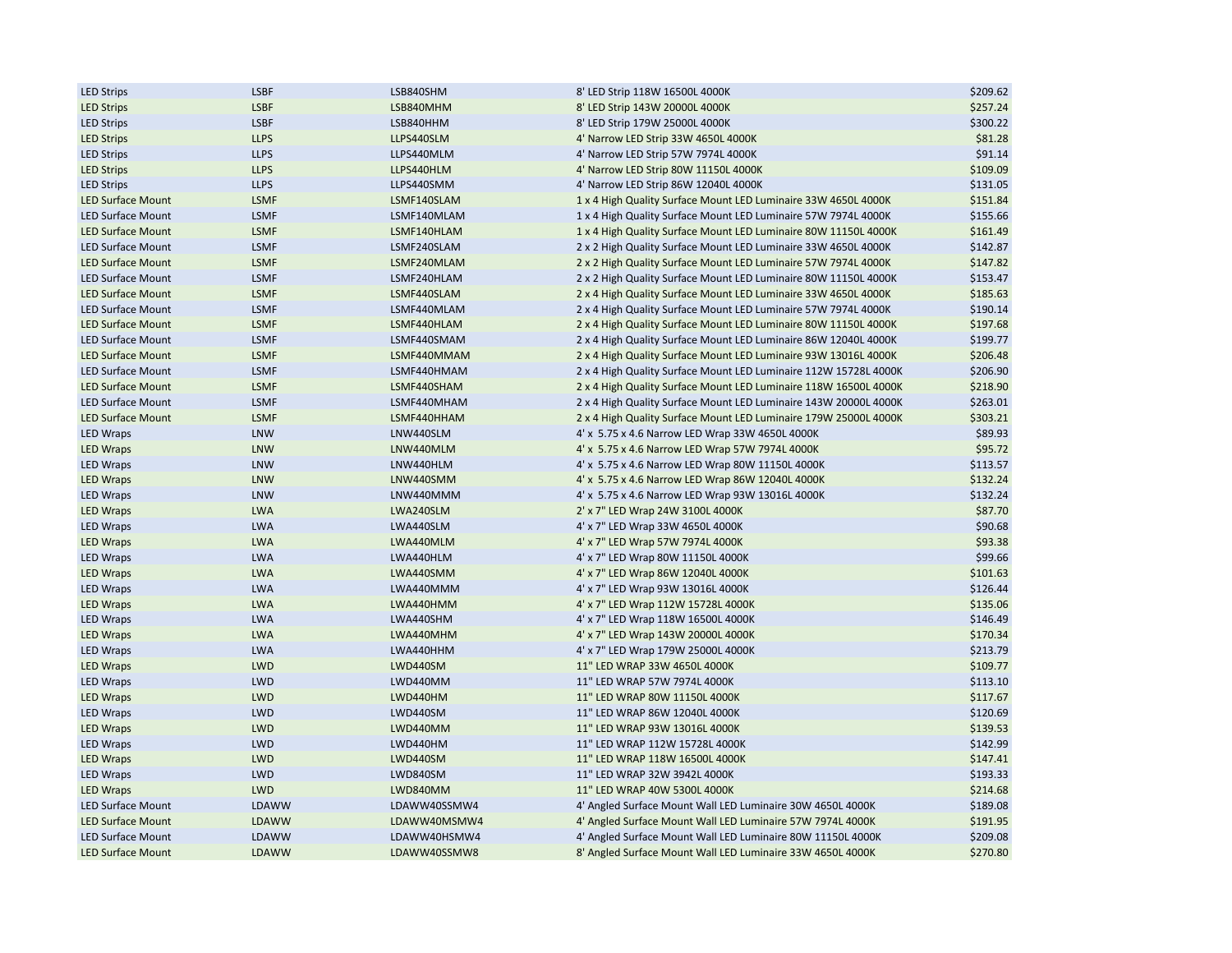| <b>LED Strips</b>                    | <b>LSBF</b>              | LSB840SHM    | 8' LED Strip 118W 16500L 4000K                                   | \$209.62             |
|--------------------------------------|--------------------------|--------------|------------------------------------------------------------------|----------------------|
| <b>LED Strips</b>                    | <b>LSBF</b>              | LSB840MHM    | 8' LED Strip 143W 20000L 4000K                                   | \$257.24             |
| <b>LED Strips</b>                    | <b>LSBF</b>              | LSB840HHM    | 8' LED Strip 179W 25000L 4000K                                   | \$300.22             |
| <b>LED Strips</b>                    | <b>LLPS</b>              | LLPS440SLM   | 4' Narrow LED Strip 33W 4650L 4000K                              | \$81.28              |
| <b>LED Strips</b>                    | <b>LLPS</b>              | LLPS440MLM   | 4' Narrow LED Strip 57W 7974L 4000K                              | \$91.14              |
| <b>LED Strips</b>                    | <b>LLPS</b>              | LLPS440HLM   | 4' Narrow LED Strip 80W 11150L 4000K                             | \$109.09             |
| <b>LED Strips</b>                    | <b>LLPS</b>              | LLPS440SMM   | 4' Narrow LED Strip 86W 12040L 4000K                             | \$131.05             |
| <b>LED Surface Mount</b>             | <b>LSMF</b>              | LSMF140SLAM  | 1 x 4 High Quality Surface Mount LED Luminaire 33W 4650L 4000K   | \$151.84             |
| <b>LED Surface Mount</b>             | <b>LSMF</b>              | LSMF140MLAM  | 1 x 4 High Quality Surface Mount LED Luminaire 57W 7974L 4000K   | \$155.66             |
| <b>LED Surface Mount</b>             | LSMF                     | LSMF140HLAM  | 1 x 4 High Quality Surface Mount LED Luminaire 80W 11150L 4000K  | \$161.49             |
| <b>LED Surface Mount</b>             | <b>LSMF</b>              | LSMF240SLAM  | 2 x 2 High Quality Surface Mount LED Luminaire 33W 4650L 4000K   | \$142.87             |
| <b>LED Surface Mount</b>             | <b>LSMF</b>              | LSMF240MLAM  | 2 x 2 High Quality Surface Mount LED Luminaire 57W 7974L 4000K   | \$147.82             |
| <b>LED Surface Mount</b>             | <b>LSMF</b>              | LSMF240HLAM  | 2 x 2 High Quality Surface Mount LED Luminaire 80W 11150L 4000K  | \$153.47             |
| <b>LED Surface Mount</b>             | <b>LSMF</b>              | LSMF440SLAM  | 2 x 4 High Quality Surface Mount LED Luminaire 33W 4650L 4000K   | \$185.63             |
| <b>LED Surface Mount</b>             | <b>LSMF</b>              | LSMF440MLAM  | 2 x 4 High Quality Surface Mount LED Luminaire 57W 7974L 4000K   | \$190.14             |
| <b>LED Surface Mount</b>             | <b>LSMF</b>              | LSMF440HLAM  | 2 x 4 High Quality Surface Mount LED Luminaire 80W 11150L 4000K  | \$197.68             |
| <b>LED Surface Mount</b>             | <b>LSMF</b>              | LSMF440SMAM  | 2 x 4 High Quality Surface Mount LED Luminaire 86W 12040L 4000K  | \$199.77             |
| <b>LED Surface Mount</b>             | <b>LSMF</b>              | LSMF440MMAM  | 2 x 4 High Quality Surface Mount LED Luminaire 93W 13016L 4000K  | \$206.48             |
| <b>LED Surface Mount</b>             | <b>LSMF</b>              | LSMF440HMAM  | 2 x 4 High Quality Surface Mount LED Luminaire 112W 15728L 4000K | \$206.90             |
| <b>LED Surface Mount</b>             | LSMF                     | LSMF440SHAM  | 2 x 4 High Quality Surface Mount LED Luminaire 118W 16500L 4000K | \$218.90             |
| <b>LED Surface Mount</b>             | <b>LSMF</b>              | LSMF440MHAM  | 2 x 4 High Quality Surface Mount LED Luminaire 143W 20000L 4000K | \$263.01             |
| <b>LED Surface Mount</b>             | <b>LSMF</b>              | LSMF440HHAM  | 2 x 4 High Quality Surface Mount LED Luminaire 179W 25000L 4000K | \$303.21             |
| <b>LED Wraps</b>                     | <b>LNW</b>               | LNW440SLM    | 4' x 5.75 x 4.6 Narrow LED Wrap 33W 4650L 4000K                  | \$89.93              |
| <b>LED Wraps</b>                     | <b>LNW</b>               | LNW440MLM    | 4' x 5.75 x 4.6 Narrow LED Wrap 57W 7974L 4000K                  | \$95.72              |
| <b>LED Wraps</b>                     | <b>LNW</b>               | LNW440HLM    | 4' x 5.75 x 4.6 Narrow LED Wrap 80W 11150L 4000K                 | \$113.57             |
| <b>LED Wraps</b>                     | <b>LNW</b>               | LNW440SMM    | 4' x 5.75 x 4.6 Narrow LED Wrap 86W 12040L 4000K                 | \$132.24             |
| <b>LED Wraps</b>                     | <b>LNW</b>               | LNW440MMM    | 4' x 5.75 x 4.6 Narrow LED Wrap 93W 13016L 4000K                 | \$132.24             |
| <b>LED Wraps</b>                     | <b>LWA</b>               | LWA240SLM    | 2' x 7" LED Wrap 24W 3100L 4000K                                 | \$87.70              |
| <b>LED Wraps</b>                     | <b>LWA</b>               | LWA440SLM    | 4' x 7" LED Wrap 33W 4650L 4000K                                 | \$90.68              |
|                                      | <b>LWA</b>               | LWA440MLM    | 4' x 7" LED Wrap 57W 7974L 4000K                                 | \$93.38              |
| <b>LED Wraps</b><br><b>LED Wraps</b> | <b>LWA</b>               | LWA440HLM    | 4' x 7" LED Wrap 80W 11150L 4000K                                | \$99.66              |
|                                      |                          |              |                                                                  |                      |
| <b>LED Wraps</b>                     | <b>LWA</b><br><b>LWA</b> | LWA440SMM    | 4' x 7" LED Wrap 86W 12040L 4000K                                | \$101.63<br>\$126.44 |
| <b>LED Wraps</b>                     |                          | LWA440MMM    | 4' x 7" LED Wrap 93W 13016L 4000K                                |                      |
| <b>LED Wraps</b>                     | <b>LWA</b>               | LWA440HMM    | 4' x 7" LED Wrap 112W 15728L 4000K                               | \$135.06             |
| LED Wraps                            | <b>LWA</b>               | LWA440SHM    | 4' x 7" LED Wrap 118W 16500L 4000K                               | \$146.49             |
| <b>LED Wraps</b>                     | <b>LWA</b>               | LWA440MHM    | 4' x 7" LED Wrap 143W 20000L 4000K                               | \$170.34             |
| <b>LED Wraps</b>                     | <b>LWA</b>               | LWA440HHM    | 4' x 7" LED Wrap 179W 25000L 4000K                               | \$213.79             |
| <b>LED Wraps</b>                     | <b>LWD</b>               | LWD440SM     | 11" LED WRAP 33W 4650L 4000K                                     | \$109.77             |
| <b>LED Wraps</b>                     | LWD                      | LWD440MM     | 11" LED WRAP 57W 7974L 4000K                                     | \$113.10             |
| <b>LED Wraps</b>                     | <b>LWD</b>               | LWD440HM     | 11" LED WRAP 80W 11150L 4000K                                    | \$117.67             |
| <b>LED Wraps</b>                     | <b>LWD</b>               | LWD440SM     | 11" LED WRAP 86W 12040L 4000K                                    | \$120.69             |
| <b>LED Wraps</b>                     | <b>LWD</b>               | LWD440MM     | 11" LED WRAP 93W 13016L 4000K                                    | \$139.53             |
| <b>LED Wraps</b>                     | <b>LWD</b>               | LWD440HM     | 11" LED WRAP 112W 15728L 4000K                                   | \$142.99             |
| <b>LED Wraps</b>                     | <b>LWD</b>               | LWD440SM     | 11" LED WRAP 118W 16500L 4000K                                   | \$147.41             |
| <b>LED Wraps</b>                     | <b>LWD</b>               | LWD840SM     | 11" LED WRAP 32W 3942L 4000K                                     | \$193.33             |
| <b>LED Wraps</b>                     | <b>LWD</b>               | LWD840MM     | 11" LED WRAP 40W 5300L 4000K                                     | \$214.68             |
| <b>LED Surface Mount</b>             | LDAWW                    | LDAWW40SSMW4 | 4' Angled Surface Mount Wall LED Luminaire 30W 4650L 4000K       | \$189.08             |
| <b>LED Surface Mount</b>             | <b>LDAWW</b>             | LDAWW40MSMW4 | 4' Angled Surface Mount Wall LED Luminaire 57W 7974L 4000K       | \$191.95             |
| <b>LED Surface Mount</b>             | <b>LDAWW</b>             | LDAWW40HSMW4 | 4' Angled Surface Mount Wall LED Luminaire 80W 11150L 4000K      | \$209.08             |
| <b>LED Surface Mount</b>             | LDAWW                    | LDAWW40SSMW8 | 8' Angled Surface Mount Wall LED Luminaire 33W 4650L 4000K       | \$270.80             |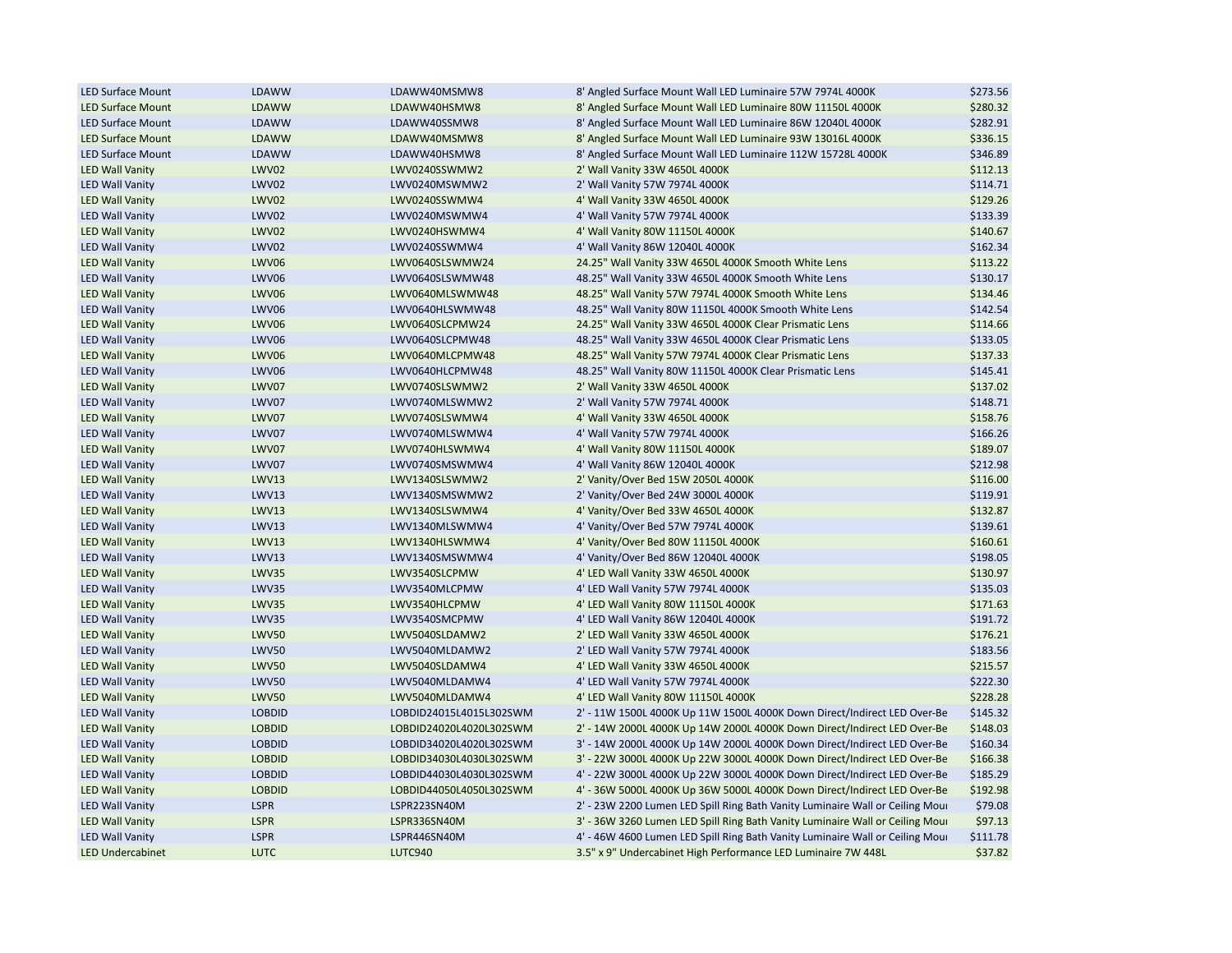| <b>LED Surface Mount</b> | LDAWW         | LDAWW40MSMW8            | 8' Angled Surface Mount Wall LED Luminaire 57W 7974L 4000K                    | \$273.56 |
|--------------------------|---------------|-------------------------|-------------------------------------------------------------------------------|----------|
| <b>LED Surface Mount</b> | LDAWW         | LDAWW40HSMW8            | 8' Angled Surface Mount Wall LED Luminaire 80W 11150L 4000K                   | \$280.32 |
| <b>LED Surface Mount</b> | LDAWW         | LDAWW40SSMW8            | 8' Angled Surface Mount Wall LED Luminaire 86W 12040L 4000K                   | \$282.91 |
| <b>LED Surface Mount</b> | <b>LDAWW</b>  | LDAWW40MSMW8            | 8' Angled Surface Mount Wall LED Luminaire 93W 13016L 4000K                   | \$336.15 |
| <b>LED Surface Mount</b> | LDAWW         | LDAWW40HSMW8            | 8' Angled Surface Mount Wall LED Luminaire 112W 15728L 4000K                  | \$346.89 |
| <b>LED Wall Vanity</b>   | LWV02         | LWV0240SSWMW2           | 2' Wall Vanity 33W 4650L 4000K                                                | \$112.13 |
| <b>LED Wall Vanity</b>   | LWV02         | LWV0240MSWMW2           | 2' Wall Vanity 57W 7974L 4000K                                                | \$114.71 |
| <b>LED Wall Vanity</b>   | LWV02         | LWV0240SSWMW4           | 4' Wall Vanity 33W 4650L 4000K                                                | \$129.26 |
| <b>LED Wall Vanity</b>   | LWV02         | LWV0240MSWMW4           | 4' Wall Vanity 57W 7974L 4000K                                                | \$133.39 |
| <b>LED Wall Vanity</b>   | <b>LWV02</b>  | LWV0240HSWMW4           | 4' Wall Vanity 80W 11150L 4000K                                               | \$140.67 |
| <b>LED Wall Vanity</b>   | LWV02         | LWV0240SSWMW4           | 4' Wall Vanity 86W 12040L 4000K                                               | \$162.34 |
| <b>LED Wall Vanity</b>   | LWV06         | LWV0640SLSWMW24         | 24.25" Wall Vanity 33W 4650L 4000K Smooth White Lens                          | \$113.22 |
| <b>LED Wall Vanity</b>   | LWV06         | LWV0640SLSWMW48         | 48.25" Wall Vanity 33W 4650L 4000K Smooth White Lens                          | \$130.17 |
| <b>LED Wall Vanity</b>   | LWV06         | LWV0640MLSWMW48         | 48.25" Wall Vanity 57W 7974L 4000K Smooth White Lens                          | \$134.46 |
| <b>LED Wall Vanity</b>   | <b>LWV06</b>  | LWV0640HLSWMW48         | 48.25" Wall Vanity 80W 11150L 4000K Smooth White Lens                         | \$142.54 |
| <b>LED Wall Vanity</b>   | LWV06         | LWV0640SLCPMW24         | 24.25" Wall Vanity 33W 4650L 4000K Clear Prismatic Lens                       | \$114.66 |
| <b>LED Wall Vanity</b>   | LWV06         | LWV0640SLCPMW48         | 48.25" Wall Vanity 33W 4650L 4000K Clear Prismatic Lens                       | \$133.05 |
| <b>LED Wall Vanity</b>   | LWV06         | LWV0640MLCPMW48         | 48.25" Wall Vanity 57W 7974L 4000K Clear Prismatic Lens                       | \$137.33 |
| <b>LED Wall Vanity</b>   | LWV06         | LWV0640HLCPMW48         | 48.25" Wall Vanity 80W 11150L 4000K Clear Prismatic Lens                      | \$145.41 |
| <b>LED Wall Vanity</b>   | LWV07         | LWV0740SLSWMW2          | 2' Wall Vanity 33W 4650L 4000K                                                | \$137.02 |
| <b>LED Wall Vanity</b>   | LWV07         | LWV0740MLSWMW2          | 2' Wall Vanity 57W 7974L 4000K                                                | \$148.71 |
| <b>LED Wall Vanity</b>   | LWV07         | LWV0740SLSWMW4          | 4' Wall Vanity 33W 4650L 4000K                                                | \$158.76 |
| <b>LED Wall Vanity</b>   | LWV07         | LWV0740MLSWMW4          | 4' Wall Vanity 57W 7974L 4000K                                                | \$166.26 |
|                          |               |                         |                                                                               |          |
| <b>LED Wall Vanity</b>   | LWV07         | LWV0740HLSWMW4          | 4' Wall Vanity 80W 11150L 4000K                                               | \$189.07 |
| <b>LED Wall Vanity</b>   | LWV07         | LWV0740SMSWMW4          | 4' Wall Vanity 86W 12040L 4000K                                               | \$212.98 |
| <b>LED Wall Vanity</b>   | <b>LWV13</b>  | LWV1340SLSWMW2          | 2' Vanity/Over Bed 15W 2050L 4000K                                            | \$116.00 |
| <b>LED Wall Vanity</b>   | <b>LWV13</b>  | LWV1340SMSWMW2          | 2' Vanity/Over Bed 24W 3000L 4000K                                            | \$119.91 |
| <b>LED Wall Vanity</b>   | <b>LWV13</b>  | LWV1340SLSWMW4          | 4' Vanity/Over Bed 33W 4650L 4000K                                            | \$132.87 |
| <b>LED Wall Vanity</b>   | <b>LWV13</b>  | LWV1340MLSWMW4          | 4' Vanity/Over Bed 57W 7974L 4000K                                            | \$139.61 |
| <b>LED Wall Vanity</b>   | <b>LWV13</b>  | LWV1340HLSWMW4          | 4' Vanity/Over Bed 80W 11150L 4000K                                           | \$160.61 |
| <b>LED Wall Vanity</b>   | <b>LWV13</b>  | LWV1340SMSWMW4          | 4' Vanity/Over Bed 86W 12040L 4000K                                           | \$198.05 |
| <b>LED Wall Vanity</b>   | <b>LWV35</b>  | LWV3540SLCPMW           | 4' LED Wall Vanity 33W 4650L 4000K                                            | \$130.97 |
| <b>LED Wall Vanity</b>   | <b>LWV35</b>  | LWV3540MLCPMW           | 4' LED Wall Vanity 57W 7974L 4000K                                            | \$135.03 |
| <b>LED Wall Vanity</b>   | <b>LWV35</b>  | LWV3540HLCPMW           | 4' LED Wall Vanity 80W 11150L 4000K                                           | \$171.63 |
| <b>LED Wall Vanity</b>   | <b>LWV35</b>  | LWV3540SMCPMW           | 4' LED Wall Vanity 86W 12040L 4000K                                           | \$191.72 |
| <b>LED Wall Vanity</b>   | <b>LWV50</b>  | LWV5040SLDAMW2          | 2' LED Wall Vanity 33W 4650L 4000K                                            | \$176.21 |
| <b>LED Wall Vanity</b>   | <b>LWV50</b>  | LWV5040MLDAMW2          | 2' LED Wall Vanity 57W 7974L 4000K                                            | \$183.56 |
| <b>LED Wall Vanity</b>   | <b>LWV50</b>  | LWV5040SLDAMW4          | 4' LED Wall Vanity 33W 4650L 4000K                                            | \$215.57 |
| <b>LED Wall Vanity</b>   | <b>LWV50</b>  | LWV5040MLDAMW4          | 4' LED Wall Vanity 57W 7974L 4000K                                            | \$222.30 |
| <b>LED Wall Vanity</b>   | <b>LWV50</b>  | LWV5040MLDAMW4          | 4' LED Wall Vanity 80W 11150L 4000K                                           | \$228.28 |
| <b>LED Wall Vanity</b>   | <b>LOBDID</b> | LOBDID24015L4015L302SWM | 2' - 11W 1500L 4000K Up 11W 1500L 4000K Down Direct/Indirect LED Over-Be      | \$145.32 |
| <b>LED Wall Vanity</b>   | <b>LOBDID</b> | LOBDID24020L4020L302SWM | 2' - 14W 2000L 4000K Up 14W 2000L 4000K Down Direct/Indirect LED Over-Be      | \$148.03 |
| <b>LED Wall Vanity</b>   | <b>LOBDID</b> | LOBDID34020L4020L302SWM | 3' - 14W 2000L 4000K Up 14W 2000L 4000K Down Direct/Indirect LED Over-Be      | \$160.34 |
| <b>LED Wall Vanity</b>   | <b>LOBDID</b> | LOBDID34030L4030L302SWM | 3' - 22W 3000L 4000K Up 22W 3000L 4000K Down Direct/Indirect LED Over-Be      | \$166.38 |
| <b>LED Wall Vanity</b>   | <b>LOBDID</b> | LOBDID44030L4030L302SWM | 4' - 22W 3000L 4000K Up 22W 3000L 4000K Down Direct/Indirect LED Over-Be      | \$185.29 |
| <b>LED Wall Vanity</b>   | <b>LOBDID</b> | LOBDID44050L4050L302SWM | 4' - 36W 5000L 4000K Up 36W 5000L 4000K Down Direct/Indirect LED Over-Be      | \$192.98 |
| <b>LED Wall Vanity</b>   | <b>LSPR</b>   | LSPR223SN40M            | 2' - 23W 2200 Lumen LED Spill Ring Bath Vanity Luminaire Wall or Ceiling Mour | \$79.08  |
| <b>LED Wall Vanity</b>   | <b>LSPR</b>   | LSPR336SN40M            | 3' - 36W 3260 Lumen LED Spill Ring Bath Vanity Luminaire Wall or Ceiling Mour | \$97.13  |
| <b>LED Wall Vanity</b>   | <b>LSPR</b>   | LSPR446SN40M            | 4' - 46W 4600 Lumen LED Spill Ring Bath Vanity Luminaire Wall or Ceiling Mour | \$111.78 |
| <b>LED Undercabinet</b>  | <b>LUTC</b>   | <b>LUTC940</b>          | 3.5" x 9" Undercabinet High Performance LED Luminaire 7W 448L                 | \$37.82  |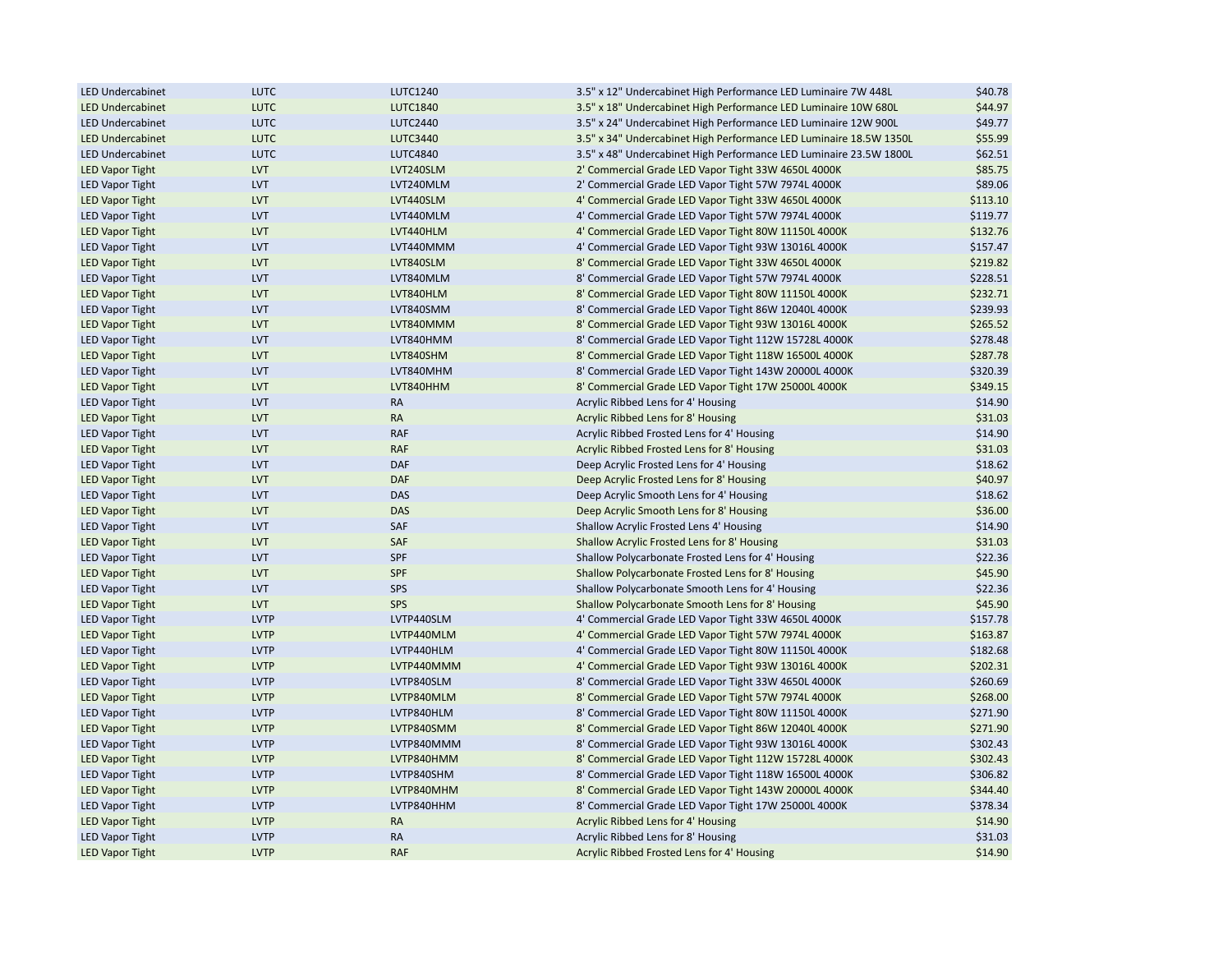| <b>LED Undercabinet</b>                          | <b>LUTC</b>                | LUTC1240                 | 3.5" x 12" Undercabinet High Performance LED Luminaire 7W 448L                                               | \$40.78  |
|--------------------------------------------------|----------------------------|--------------------------|--------------------------------------------------------------------------------------------------------------|----------|
| <b>LED Undercabinet</b>                          | <b>LUTC</b>                | <b>LUTC1840</b>          | 3.5" x 18" Undercabinet High Performance LED Luminaire 10W 680L                                              | \$44.97  |
| <b>LED Undercabinet</b>                          | <b>LUTC</b>                | <b>LUTC2440</b>          | 3.5" x 24" Undercabinet High Performance LED Luminaire 12W 900L                                              | \$49.77  |
| <b>LED Undercabinet</b>                          | <b>LUTC</b>                | <b>LUTC3440</b>          | 3.5" x 34" Undercabinet High Performance LED Luminaire 18.5W 1350L                                           | \$55.99  |
| <b>LED Undercabinet</b>                          | <b>LUTC</b>                | <b>LUTC4840</b>          | 3.5" x 48" Undercabinet High Performance LED Luminaire 23.5W 1800L                                           | \$62.51  |
| <b>LED Vapor Tight</b>                           | <b>LVT</b>                 | LVT240SLM                | 2' Commercial Grade LED Vapor Tight 33W 4650L 4000K                                                          | \$85.75  |
| <b>LED Vapor Tight</b>                           | <b>LVT</b>                 | LVT240MLM                | 2' Commercial Grade LED Vapor Tight 57W 7974L 4000K                                                          | \$89.06  |
| <b>LED Vapor Tight</b>                           | <b>LVT</b>                 | LVT440SLM                | 4' Commercial Grade LED Vapor Tight 33W 4650L 4000K                                                          | \$113.10 |
| <b>LED Vapor Tight</b>                           | <b>LVT</b>                 | LVT440MLM                | 4' Commercial Grade LED Vapor Tight 57W 7974L 4000K                                                          | \$119.77 |
| <b>LED Vapor Tight</b>                           | <b>LVT</b>                 | LVT440HLM                | 4' Commercial Grade LED Vapor Tight 80W 11150L 4000K                                                         | \$132.76 |
| <b>LED Vapor Tight</b>                           | <b>LVT</b>                 | LVT440MMM                | 4' Commercial Grade LED Vapor Tight 93W 13016L 4000K                                                         | \$157.47 |
| <b>LED Vapor Tight</b>                           | <b>LVT</b>                 | LVT840SLM                | 8' Commercial Grade LED Vapor Tight 33W 4650L 4000K                                                          | \$219.82 |
| <b>LED Vapor Tight</b>                           | <b>LVT</b>                 | LVT840MLM                | 8' Commercial Grade LED Vapor Tight 57W 7974L 4000K                                                          | \$228.51 |
| <b>LED Vapor Tight</b>                           | <b>LVT</b>                 | LVT840HLM                | 8' Commercial Grade LED Vapor Tight 80W 11150L 4000K                                                         | \$232.71 |
| <b>LED Vapor Tight</b>                           | <b>LVT</b>                 | LVT840SMM                | 8' Commercial Grade LED Vapor Tight 86W 12040L 4000K                                                         | \$239.93 |
| <b>LED Vapor Tight</b>                           | <b>LVT</b>                 | LVT840MMM                | 8' Commercial Grade LED Vapor Tight 93W 13016L 4000K                                                         | \$265.52 |
| <b>LED Vapor Tight</b>                           | <b>LVT</b>                 | LVT840HMM                | 8' Commercial Grade LED Vapor Tight 112W 15728L 4000K                                                        | \$278.48 |
| <b>LED Vapor Tight</b>                           | <b>LVT</b>                 | LVT840SHM                | 8' Commercial Grade LED Vapor Tight 118W 16500L 4000K                                                        | \$287.78 |
| <b>LED Vapor Tight</b>                           | <b>LVT</b>                 | LVT840MHM                | 8' Commercial Grade LED Vapor Tight 143W 20000L 4000K                                                        | \$320.39 |
| <b>LED Vapor Tight</b>                           | <b>LVT</b>                 | LVT840HHM                | 8' Commercial Grade LED Vapor Tight 17W 25000L 4000K                                                         | \$349.15 |
| <b>LED Vapor Tight</b>                           | <b>LVT</b>                 | <b>RA</b>                | Acrylic Ribbed Lens for 4' Housing                                                                           | \$14.90  |
| <b>LED Vapor Tight</b>                           | <b>LVT</b>                 | <b>RA</b>                | Acrylic Ribbed Lens for 8' Housing                                                                           | \$31.03  |
| <b>LED Vapor Tight</b>                           | <b>LVT</b>                 | <b>RAF</b>               | Acrylic Ribbed Frosted Lens for 4' Housing                                                                   | \$14.90  |
| <b>LED Vapor Tight</b>                           | <b>LVT</b>                 | <b>RAF</b>               | Acrylic Ribbed Frosted Lens for 8' Housing                                                                   | \$31.03  |
| <b>LED Vapor Tight</b>                           | <b>LVT</b>                 | <b>DAF</b>               | Deep Acrylic Frosted Lens for 4' Housing                                                                     | \$18.62  |
| <b>LED Vapor Tight</b>                           | <b>LVT</b>                 | <b>DAF</b>               | Deep Acrylic Frosted Lens for 8' Housing                                                                     | \$40.97  |
| <b>LED Vapor Tight</b>                           | <b>LVT</b>                 | <b>DAS</b>               | Deep Acrylic Smooth Lens for 4' Housing                                                                      | \$18.62  |
| <b>LED Vapor Tight</b>                           | <b>LVT</b>                 | <b>DAS</b>               | Deep Acrylic Smooth Lens for 8' Housing                                                                      | \$36.00  |
| <b>LED Vapor Tight</b>                           | <b>LVT</b>                 | SAF                      | Shallow Acrylic Frosted Lens 4' Housing                                                                      | \$14.90  |
| <b>LED Vapor Tight</b>                           | <b>LVT</b>                 | SAF                      | Shallow Acrylic Frosted Lens for 8' Housing                                                                  | \$31.03  |
| <b>LED Vapor Tight</b>                           | <b>LVT</b>                 | SPF                      | Shallow Polycarbonate Frosted Lens for 4' Housing                                                            | \$22.36  |
| <b>LED Vapor Tight</b>                           | <b>LVT</b>                 | <b>SPF</b>               | Shallow Polycarbonate Frosted Lens for 8' Housing                                                            | \$45.90  |
| <b>LED Vapor Tight</b>                           | <b>LVT</b>                 | SPS                      | Shallow Polycarbonate Smooth Lens for 4' Housing                                                             | \$22.36  |
| <b>LED Vapor Tight</b>                           | <b>LVT</b>                 | SPS                      | Shallow Polycarbonate Smooth Lens for 8' Housing                                                             | \$45.90  |
| <b>LED Vapor Tight</b>                           | <b>LVTP</b>                | LVTP440SLM               | 4' Commercial Grade LED Vapor Tight 33W 4650L 4000K                                                          | \$157.78 |
| <b>LED Vapor Tight</b>                           | <b>LVTP</b>                | LVTP440MLM               | 4' Commercial Grade LED Vapor Tight 57W 7974L 4000K                                                          | \$163.87 |
|                                                  | <b>LVTP</b>                | LVTP440HLM               |                                                                                                              | \$182.68 |
| <b>LED Vapor Tight</b><br><b>LED Vapor Tight</b> | <b>LVTP</b>                | LVTP440MMM               | 4' Commercial Grade LED Vapor Tight 80W 11150L 4000K<br>4' Commercial Grade LED Vapor Tight 93W 13016L 4000K | \$202.31 |
|                                                  | <b>LVTP</b>                |                          |                                                                                                              |          |
| <b>LED Vapor Tight</b>                           |                            | LVTP840SLM               | 8' Commercial Grade LED Vapor Tight 33W 4650L 4000K                                                          | \$260.69 |
| <b>LED Vapor Tight</b>                           | <b>LVTP</b><br><b>LVTP</b> | LVTP840MLM<br>LVTP840HLM | 8' Commercial Grade LED Vapor Tight 57W 7974L 4000K                                                          | \$268.00 |
| <b>LED Vapor Tight</b>                           |                            |                          | 8' Commercial Grade LED Vapor Tight 80W 11150L 4000K                                                         | \$271.90 |
| <b>LED Vapor Tight</b>                           | <b>LVTP</b>                | LVTP840SMM               | 8' Commercial Grade LED Vapor Tight 86W 12040L 4000K                                                         | \$271.90 |
| <b>LED Vapor Tight</b>                           | <b>LVTP</b>                | LVTP840MMM               | 8' Commercial Grade LED Vapor Tight 93W 13016L 4000K                                                         | \$302.43 |
| <b>LED Vapor Tight</b>                           | <b>LVTP</b>                | LVTP840HMM               | 8' Commercial Grade LED Vapor Tight 112W 15728L 4000K                                                        | \$302.43 |
| <b>LED Vapor Tight</b>                           | <b>LVTP</b>                | LVTP840SHM               | 8' Commercial Grade LED Vapor Tight 118W 16500L 4000K                                                        | \$306.82 |
| <b>LED Vapor Tight</b>                           | <b>LVTP</b>                | LVTP840MHM               | 8' Commercial Grade LED Vapor Tight 143W 20000L 4000K                                                        | \$344.40 |
| <b>LED Vapor Tight</b>                           | <b>LVTP</b>                | LVTP840HHM               | 8' Commercial Grade LED Vapor Tight 17W 25000L 4000K                                                         | \$378.34 |
| <b>LED Vapor Tight</b>                           | <b>LVTP</b>                | <b>RA</b>                | Acrylic Ribbed Lens for 4' Housing                                                                           | \$14.90  |
| <b>LED Vapor Tight</b>                           | <b>LVTP</b>                | <b>RA</b>                | Acrylic Ribbed Lens for 8' Housing                                                                           | \$31.03  |
| <b>LED Vapor Tight</b>                           | <b>LVTP</b>                | <b>RAF</b>               | Acrylic Ribbed Frosted Lens for 4' Housing                                                                   | \$14.90  |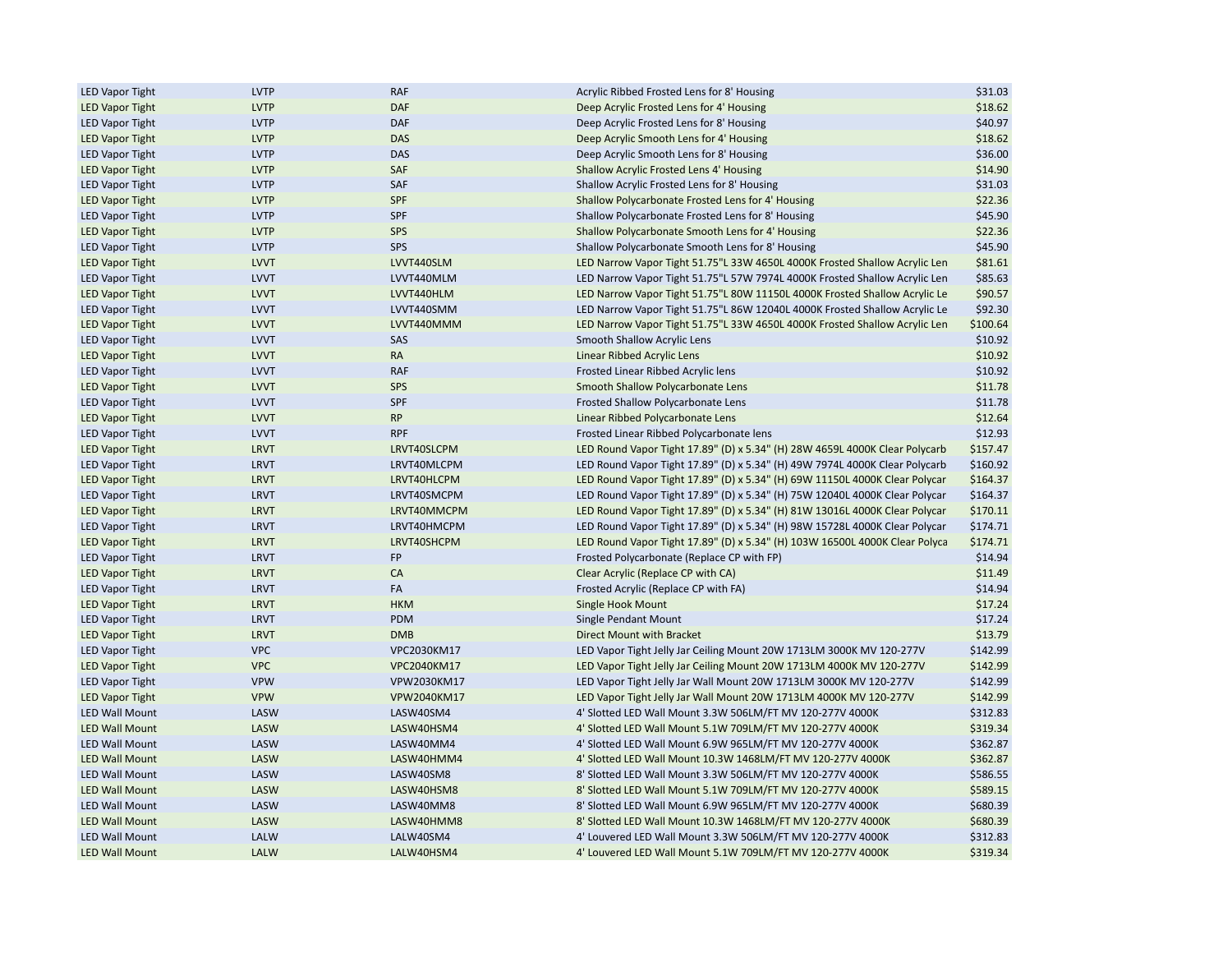| <b>LED Vapor Tight</b> | <b>LVTP</b> | RAF         | Acrylic Ribbed Frosted Lens for 8' Housing                                  | \$31.03  |
|------------------------|-------------|-------------|-----------------------------------------------------------------------------|----------|
| <b>LED Vapor Tight</b> | <b>LVTP</b> | <b>DAF</b>  | Deep Acrylic Frosted Lens for 4' Housing                                    | \$18.62  |
| <b>LED Vapor Tight</b> | <b>LVTP</b> | <b>DAF</b>  | Deep Acrylic Frosted Lens for 8' Housing                                    | \$40.97  |
| <b>LED Vapor Tight</b> | <b>LVTP</b> | <b>DAS</b>  | Deep Acrylic Smooth Lens for 4' Housing                                     | \$18.62  |
| <b>LED Vapor Tight</b> | <b>LVTP</b> | <b>DAS</b>  | Deep Acrylic Smooth Lens for 8' Housing                                     | \$36.00  |
| <b>LED Vapor Tight</b> | <b>LVTP</b> | SAF         | Shallow Acrylic Frosted Lens 4' Housing                                     | \$14.90  |
| <b>LED Vapor Tight</b> | <b>LVTP</b> | SAF         | Shallow Acrylic Frosted Lens for 8' Housing                                 | \$31.03  |
| <b>LED Vapor Tight</b> | <b>LVTP</b> | SPF         | Shallow Polycarbonate Frosted Lens for 4' Housing                           | \$22.36  |
| <b>LED Vapor Tight</b> | <b>LVTP</b> | SPF         | Shallow Polycarbonate Frosted Lens for 8' Housing                           | \$45.90  |
| <b>LED Vapor Tight</b> | <b>LVTP</b> | SPS         | Shallow Polycarbonate Smooth Lens for 4' Housing                            | \$22.36  |
| <b>LED Vapor Tight</b> | <b>LVTP</b> | SPS         | Shallow Polycarbonate Smooth Lens for 8' Housing                            | \$45.90  |
| <b>LED Vapor Tight</b> | <b>LVVT</b> | LVVT440SLM  | LED Narrow Vapor Tight 51.75"L 33W 4650L 4000K Frosted Shallow Acrylic Len  | \$81.61  |
| <b>LED Vapor Tight</b> | <b>LVVT</b> | LVVT440MLM  | LED Narrow Vapor Tight 51.75"L 57W 7974L 4000K Frosted Shallow Acrylic Len  | \$85.63  |
| <b>LED Vapor Tight</b> | <b>LVVT</b> | LVVT440HLM  | LED Narrow Vapor Tight 51.75"L 80W 11150L 4000K Frosted Shallow Acrylic Le  | \$90.57  |
| <b>LED Vapor Tight</b> | <b>LVVT</b> | LVVT440SMM  | LED Narrow Vapor Tight 51.75"L 86W 12040L 4000K Frosted Shallow Acrylic Le  | \$92.30  |
| <b>LED Vapor Tight</b> | <b>LVVT</b> | LVVT440MMM  | LED Narrow Vapor Tight 51.75"L 33W 4650L 4000K Frosted Shallow Acrylic Len  | \$100.64 |
| <b>LED Vapor Tight</b> | <b>LVVT</b> | SAS         | Smooth Shallow Acrylic Lens                                                 | \$10.92  |
| <b>LED Vapor Tight</b> | <b>LVVT</b> | <b>RA</b>   | Linear Ribbed Acrylic Lens                                                  | \$10.92  |
| <b>LED Vapor Tight</b> | <b>LVVT</b> | <b>RAF</b>  | Frosted Linear Ribbed Acrylic lens                                          | \$10.92  |
| <b>LED Vapor Tight</b> | <b>LVVT</b> | SPS         | Smooth Shallow Polycarbonate Lens                                           | \$11.78  |
| <b>LED Vapor Tight</b> | <b>LVVT</b> | SPF         | Frosted Shallow Polycarbonate Lens                                          | \$11.78  |
| <b>LED Vapor Tight</b> | <b>LVVT</b> | <b>RP</b>   | Linear Ribbed Polycarbonate Lens                                            | \$12.64  |
| <b>LED Vapor Tight</b> | <b>LVVT</b> | <b>RPF</b>  |                                                                             | \$12.93  |
|                        |             |             | Frosted Linear Ribbed Polycarbonate lens                                    |          |
| <b>LED Vapor Tight</b> | <b>LRVT</b> | LRVT40SLCPM | LED Round Vapor Tight 17.89" (D) x 5.34" (H) 28W 4659L 4000K Clear Polycarb | \$157.47 |
| <b>LED Vapor Tight</b> | <b>LRVT</b> | LRVT40MLCPM | LED Round Vapor Tight 17.89" (D) x 5.34" (H) 49W 7974L 4000K Clear Polycarb | \$160.92 |
| <b>LED Vapor Tight</b> | <b>LRVT</b> | LRVT40HLCPM | LED Round Vapor Tight 17.89" (D) x 5.34" (H) 69W 11150L 4000K Clear Polycar | \$164.37 |
| <b>LED Vapor Tight</b> | <b>LRVT</b> | LRVT40SMCPM | LED Round Vapor Tight 17.89" (D) x 5.34" (H) 75W 12040L 4000K Clear Polycar | \$164.37 |
| <b>LED Vapor Tight</b> | <b>LRVT</b> | LRVT40MMCPM | LED Round Vapor Tight 17.89" (D) x 5.34" (H) 81W 13016L 4000K Clear Polycar | \$170.11 |
| <b>LED Vapor Tight</b> | <b>LRVT</b> | LRVT40HMCPM | LED Round Vapor Tight 17.89" (D) x 5.34" (H) 98W 15728L 4000K Clear Polycar | \$174.71 |
| <b>LED Vapor Tight</b> | <b>LRVT</b> | LRVT40SHCPM | LED Round Vapor Tight 17.89" (D) x 5.34" (H) 103W 16500L 4000K Clear Polyca | \$174.71 |
| <b>LED Vapor Tight</b> | <b>LRVT</b> | FP          | Frosted Polycarbonate (Replace CP with FP)                                  | \$14.94  |
| <b>LED Vapor Tight</b> | <b>LRVT</b> | CA          | Clear Acrylic (Replace CP with CA)                                          | \$11.49  |
| <b>LED Vapor Tight</b> | <b>LRVT</b> | FA          | Frosted Acrylic (Replace CP with FA)                                        | \$14.94  |
| <b>LED Vapor Tight</b> | <b>LRVT</b> | <b>HKM</b>  | Single Hook Mount                                                           | \$17.24  |
| <b>LED Vapor Tight</b> | <b>LRVT</b> | PDM         | Single Pendant Mount                                                        | \$17.24  |
| <b>LED Vapor Tight</b> | <b>LRVT</b> | <b>DMB</b>  | Direct Mount with Bracket                                                   | \$13.79  |
| <b>LED Vapor Tight</b> | <b>VPC</b>  | VPC2030KM17 | LED Vapor Tight Jelly Jar Ceiling Mount 20W 1713LM 3000K MV 120-277V        | \$142.99 |
| <b>LED Vapor Tight</b> | <b>VPC</b>  | VPC2040KM17 | LED Vapor Tight Jelly Jar Ceiling Mount 20W 1713LM 4000K MV 120-277V        | \$142.99 |
| <b>LED Vapor Tight</b> | <b>VPW</b>  | VPW2030KM17 | LED Vapor Tight Jelly Jar Wall Mount 20W 1713LM 3000K MV 120-277V           | \$142.99 |
| <b>LED Vapor Tight</b> | <b>VPW</b>  | VPW2040KM17 | LED Vapor Tight Jelly Jar Wall Mount 20W 1713LM 4000K MV 120-277V           | \$142.99 |
| <b>LED Wall Mount</b>  | LASW        | LASW40SM4   | 4' Slotted LED Wall Mount 3.3W 506LM/FT MV 120-277V 4000K                   | \$312.83 |
| <b>LED Wall Mount</b>  | LASW        | LASW40HSM4  | 4' Slotted LED Wall Mount 5.1W 709LM/FT MV 120-277V 4000K                   | \$319.34 |
| <b>LED Wall Mount</b>  | LASW        | LASW40MM4   | 4' Slotted LED Wall Mount 6.9W 965LM/FT MV 120-277V 4000K                   | \$362.87 |
| <b>LED Wall Mount</b>  | LASW        | LASW40HMM4  | 4' Slotted LED Wall Mount 10.3W 1468LM/FT MV 120-277V 4000K                 | \$362.87 |
| <b>LED Wall Mount</b>  | LASW        | LASW40SM8   | 8' Slotted LED Wall Mount 3.3W 506LM/FT MV 120-277V 4000K                   | \$586.55 |
| <b>LED Wall Mount</b>  | LASW        | LASW40HSM8  | 8' Slotted LED Wall Mount 5.1W 709LM/FT MV 120-277V 4000K                   | \$589.15 |
| <b>LED Wall Mount</b>  | LASW        | LASW40MM8   | 8' Slotted LED Wall Mount 6.9W 965LM/FT MV 120-277V 4000K                   | \$680.39 |
| <b>LED Wall Mount</b>  | LASW        | LASW40HMM8  | 8' Slotted LED Wall Mount 10.3W 1468LM/FT MV 120-277V 4000K                 | \$680.39 |
| <b>LED Wall Mount</b>  | LALW        | LALW40SM4   | 4' Louvered LED Wall Mount 3.3W 506LM/FT MV 120-277V 4000K                  | \$312.83 |
| <b>LED Wall Mount</b>  | LALW        | LALW40HSM4  | 4' Louvered LED Wall Mount 5.1W 709LM/FT MV 120-277V 4000K                  | \$319.34 |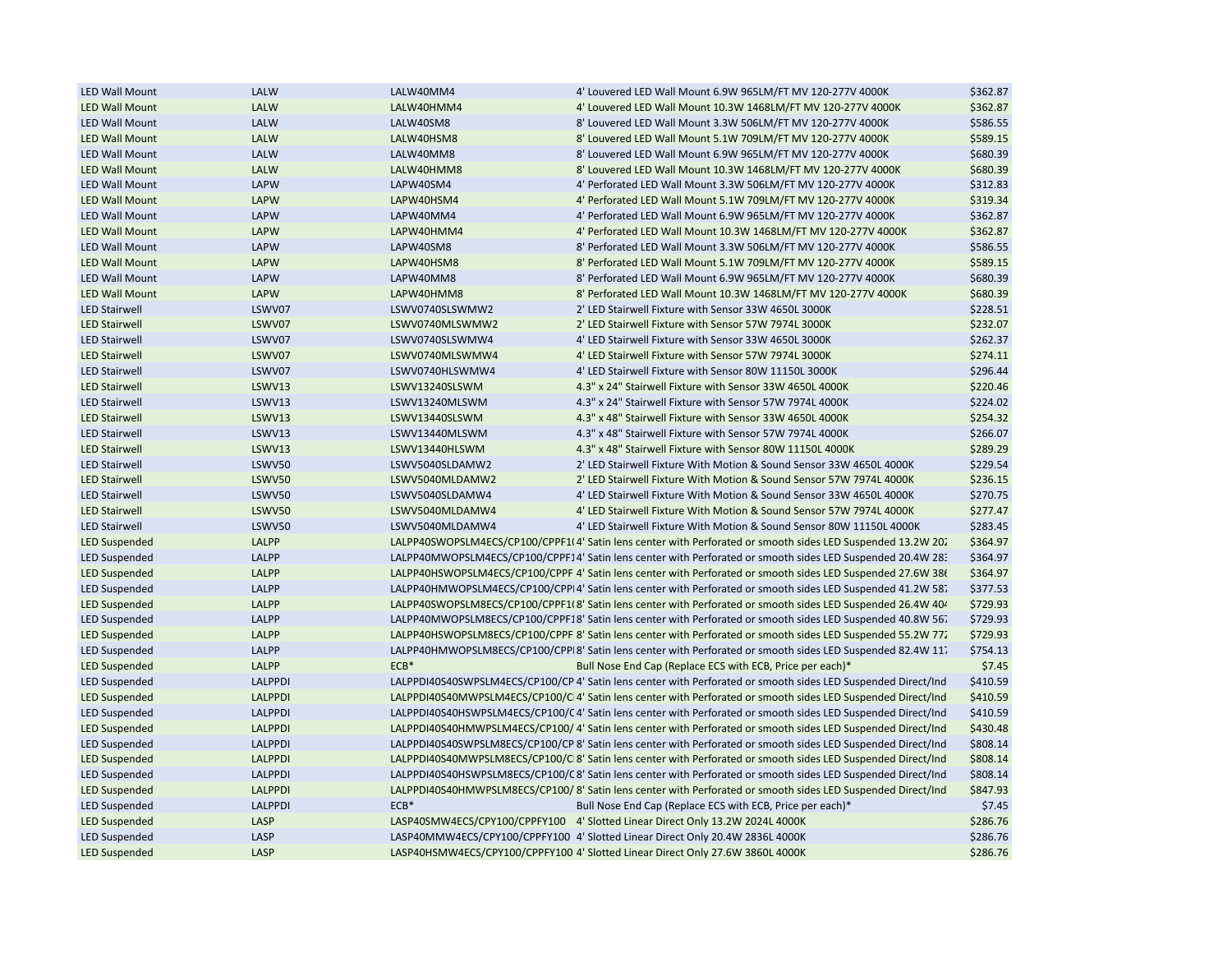| <b>LED Wall Mount</b> | LALW           | LALW40MM4       | 4' Louvered LED Wall Mount 6.9W 965LM/FT MV 120-277V 4000K                                                    | \$362.87 |
|-----------------------|----------------|-----------------|---------------------------------------------------------------------------------------------------------------|----------|
| <b>LED Wall Mount</b> | LALW           | LALW40HMM4      | 4' Louvered LED Wall Mount 10.3W 1468LM/FT MV 120-277V 4000K                                                  | \$362.87 |
| <b>LED Wall Mount</b> | LALW           | LALW40SM8       | 8' Louvered LED Wall Mount 3.3W 506LM/FT MV 120-277V 4000K                                                    | \$586.55 |
| <b>LED Wall Mount</b> | LALW           | LALW40HSM8      | 8' Louvered LED Wall Mount 5.1W 709LM/FT MV 120-277V 4000K                                                    | \$589.15 |
| <b>LED Wall Mount</b> | LALW           | LALW40MM8       | 8' Louvered LED Wall Mount 6.9W 965LM/FT MV 120-277V 4000K                                                    | \$680.39 |
| <b>LED Wall Mount</b> | LALW           | LALW40HMM8      | 8' Louvered LED Wall Mount 10.3W 1468LM/FT MV 120-277V 4000K                                                  | \$680.39 |
| <b>LED Wall Mount</b> | <b>LAPW</b>    | LAPW40SM4       | 4' Perforated LED Wall Mount 3.3W 506LM/FT MV 120-277V 4000K                                                  | \$312.83 |
| <b>LED Wall Mount</b> | <b>LAPW</b>    | LAPW40HSM4      | 4' Perforated LED Wall Mount 5.1W 709LM/FT MV 120-277V 4000K                                                  | \$319.34 |
| <b>LED Wall Mount</b> | <b>LAPW</b>    | LAPW40MM4       | 4' Perforated LED Wall Mount 6.9W 965LM/FT MV 120-277V 4000K                                                  | \$362.87 |
| <b>LED Wall Mount</b> | <b>LAPW</b>    | LAPW40HMM4      | 4' Perforated LED Wall Mount 10.3W 1468LM/FT MV 120-277V 4000K                                                | \$362.87 |
| <b>LED Wall Mount</b> | <b>LAPW</b>    | LAPW40SM8       | 8' Perforated LED Wall Mount 3.3W 506LM/FT MV 120-277V 4000K                                                  | \$586.55 |
| <b>LED Wall Mount</b> | <b>LAPW</b>    | LAPW40HSM8      | 8' Perforated LED Wall Mount 5.1W 709LM/FT MV 120-277V 4000K                                                  | \$589.15 |
| <b>LED Wall Mount</b> | <b>LAPW</b>    | LAPW40MM8       | 8' Perforated LED Wall Mount 6.9W 965LM/FT MV 120-277V 4000K                                                  | \$680.39 |
| <b>LED Wall Mount</b> | <b>LAPW</b>    | LAPW40HMM8      | 8' Perforated LED Wall Mount 10.3W 1468LM/FT MV 120-277V 4000K                                                | \$680.39 |
| <b>LED Stairwell</b>  | LSWV07         | LSWV0740SLSWMW2 | 2' LED Stairwell Fixture with Sensor 33W 4650L 3000K                                                          | \$228.51 |
| <b>LED Stairwell</b>  | LSWV07         | LSWV0740MLSWMW2 | 2' LED Stairwell Fixture with Sensor 57W 7974L 3000K                                                          | \$232.07 |
| <b>LED Stairwell</b>  | LSWV07         | LSWV0740SLSWMW4 | 4' LED Stairwell Fixture with Sensor 33W 4650L 3000K                                                          | \$262.37 |
| <b>LED Stairwell</b>  | LSWV07         | LSWV0740MLSWMW4 | 4' LED Stairwell Fixture with Sensor 57W 7974L 3000K                                                          | \$274.11 |
| <b>LED Stairwell</b>  | LSWV07         | LSWV0740HLSWMW4 | 4' LED Stairwell Fixture with Sensor 80W 11150L 3000K                                                         | \$296.44 |
| <b>LED Stairwell</b>  | LSWV13         | LSWV13240SLSWM  | 4.3" x 24" Stairwell Fixture with Sensor 33W 4650L 4000K                                                      | \$220.46 |
| <b>LED Stairwell</b>  | LSWV13         | LSWV13240MLSWM  | 4.3" x 24" Stairwell Fixture with Sensor 57W 7974L 4000K                                                      | \$224.02 |
| <b>LED Stairwell</b>  | LSWV13         | LSWV13440SLSWM  | 4.3" x 48" Stairwell Fixture with Sensor 33W 4650L 4000K                                                      | \$254.32 |
| <b>LED Stairwell</b>  | LSWV13         | LSWV13440MLSWM  | 4.3" x 48" Stairwell Fixture with Sensor 57W 7974L 4000K                                                      | \$266.07 |
| <b>LED Stairwell</b>  | LSWV13         | LSWV13440HLSWM  | 4.3" x 48" Stairwell Fixture with Sensor 80W 11150L 4000K                                                     | \$289.29 |
| <b>LED Stairwell</b>  | LSWV50         | LSWV5040SLDAMW2 | 2' LED Stairwell Fixture With Motion & Sound Sensor 33W 4650L 4000K                                           | \$229.54 |
| <b>LED Stairwell</b>  | LSWV50         | LSWV5040MLDAMW2 | 2' LED Stairwell Fixture With Motion & Sound Sensor 57W 7974L 4000K                                           | \$236.15 |
| <b>LED Stairwell</b>  | LSWV50         | LSWV5040SLDAMW4 | 4' LED Stairwell Fixture With Motion & Sound Sensor 33W 4650L 4000K                                           | \$270.75 |
| <b>LED Stairwell</b>  | LSWV50         | LSWV5040MLDAMW4 | 4' LED Stairwell Fixture With Motion & Sound Sensor 57W 7974L 4000K                                           | \$277.47 |
| <b>LED Stairwell</b>  | LSWV50         | LSWV5040MLDAMW4 | 4' LED Stairwell Fixture With Motion & Sound Sensor 80W 11150L 4000K                                          | \$283.45 |
| <b>LED Suspended</b>  | LALPP          |                 | LALPP40SWOPSLM4ECS/CP100/CPPF1I4' Satin lens center with Perforated or smooth sides LED Suspended 13.2W 202   | \$364.97 |
| <b>LED Suspended</b>  | <b>LALPP</b>   |                 | LALPP40MWOPSLM4ECS/CP100/CPPF14' Satin lens center with Perforated or smooth sides LED Suspended 20.4W 28:    | \$364.97 |
| <b>LED Suspended</b>  | <b>LALPP</b>   |                 | LALPP40HSWOPSLM4ECS/CP100/CPPF 4' Satin lens center with Perforated or smooth sides LED Suspended 27.6W 386   | \$364.97 |
| <b>LED Suspended</b>  | <b>LALPP</b>   |                 | LALPP40HMWOPSLM4ECS/CP100/CPP 4' Satin lens center with Perforated or smooth sides LED Suspended 41.2W 58.    | \$377.53 |
| <b>LED Suspended</b>  | <b>LALPP</b>   |                 | LALPP40SWOPSLM8ECS/CP100/CPPF1(8' Satin lens center with Perforated or smooth sides LED Suspended 26.4W 404   | \$729.93 |
| <b>LED Suspended</b>  | <b>LALPP</b>   |                 | LALPP40MWOPSLM8ECS/CP100/CPPF18' Satin lens center with Perforated or smooth sides LED Suspended 40.8W 567    | \$729.93 |
| <b>LED Suspended</b>  | <b>LALPP</b>   |                 | LALPP40HSWOPSLM8ECS/CP100/CPPF 8' Satin lens center with Perforated or smooth sides LED Suspended 55.2W 77.   | \$729.93 |
| <b>LED Suspended</b>  | LALPP          |                 | LALPP40HMWOPSLM8ECS/CP100/CPP 8' Satin lens center with Perforated or smooth sides LED Suspended 82.4W 11.    | \$754.13 |
| <b>LED Suspended</b>  | <b>LALPP</b>   | $ECB*$          | Bull Nose End Cap (Replace ECS with ECB, Price per each)*                                                     | \$7.45   |
| <b>LED Suspended</b>  | <b>LALPPDI</b> |                 | LALPPDI40S40SWPSLM4ECS/CP100/CP 4' Satin lens center with Perforated or smooth sides LED Suspended Direct/Ind | \$410.59 |
| <b>LED Suspended</b>  | <b>LALPPDI</b> |                 | LALPPDI40S40MWPSLM4ECS/CP100/C 4' Satin lens center with Perforated or smooth sides LED Suspended Direct/Ind  | \$410.59 |
| <b>LED Suspended</b>  | <b>LALPPDI</b> |                 | LALPPDI40S40HSWPSLM4ECS/CP100/C4' Satin lens center with Perforated or smooth sides LED Suspended Direct/Ind  | \$410.59 |
| <b>LED Suspended</b>  | <b>LALPPDI</b> |                 | LALPPDI40S40HMWPSLM4ECS/CP100/4' Satin lens center with Perforated or smooth sides LED Suspended Direct/Ind   | \$430.48 |
| <b>LED Suspended</b>  | <b>LALPPDI</b> |                 | LALPPDI40S40SWPSLM8ECS/CP100/CP 8' Satin lens center with Perforated or smooth sides LED Suspended Direct/Ind | \$808.14 |
| <b>LED Suspended</b>  | <b>LALPPDI</b> |                 | LALPPDI40S40MWPSLM8ECS/CP100/C 8' Satin lens center with Perforated or smooth sides LED Suspended Direct/Ind  | \$808.14 |
| <b>LED Suspended</b>  | <b>LALPPDI</b> |                 | LALPPDI40S40HSWPSLM8ECS/CP100/C8' Satin lens center with Perforated or smooth sides LED Suspended Direct/Ind  | \$808.14 |
| <b>LED Suspended</b>  | <b>LALPPDI</b> |                 | LALPPDI40S40HMWPSLM8ECS/CP100/8' Satin lens center with Perforated or smooth sides LED Suspended Direct/Ind   | \$847.93 |
| <b>LED Suspended</b>  | <b>LALPPDI</b> | $ECB*$          | Bull Nose End Cap (Replace ECS with ECB, Price per each)*                                                     | \$7.45   |
| <b>LED Suspended</b>  | LASP           |                 | LASP40SMW4ECS/CPY100/CPPFY100 4' Slotted Linear Direct Only 13.2W 2024L 4000K                                 | \$286.76 |
| <b>LED Suspended</b>  | LASP           |                 | LASP40MMW4ECS/CPY100/CPPFY100 4' Slotted Linear Direct Only 20.4W 2836L 4000K                                 | \$286.76 |
| <b>LED Suspended</b>  | LASP           |                 | LASP40HSMW4ECS/CPY100/CPPFY100 4' Slotted Linear Direct Only 27.6W 3860L 4000K                                | \$286.76 |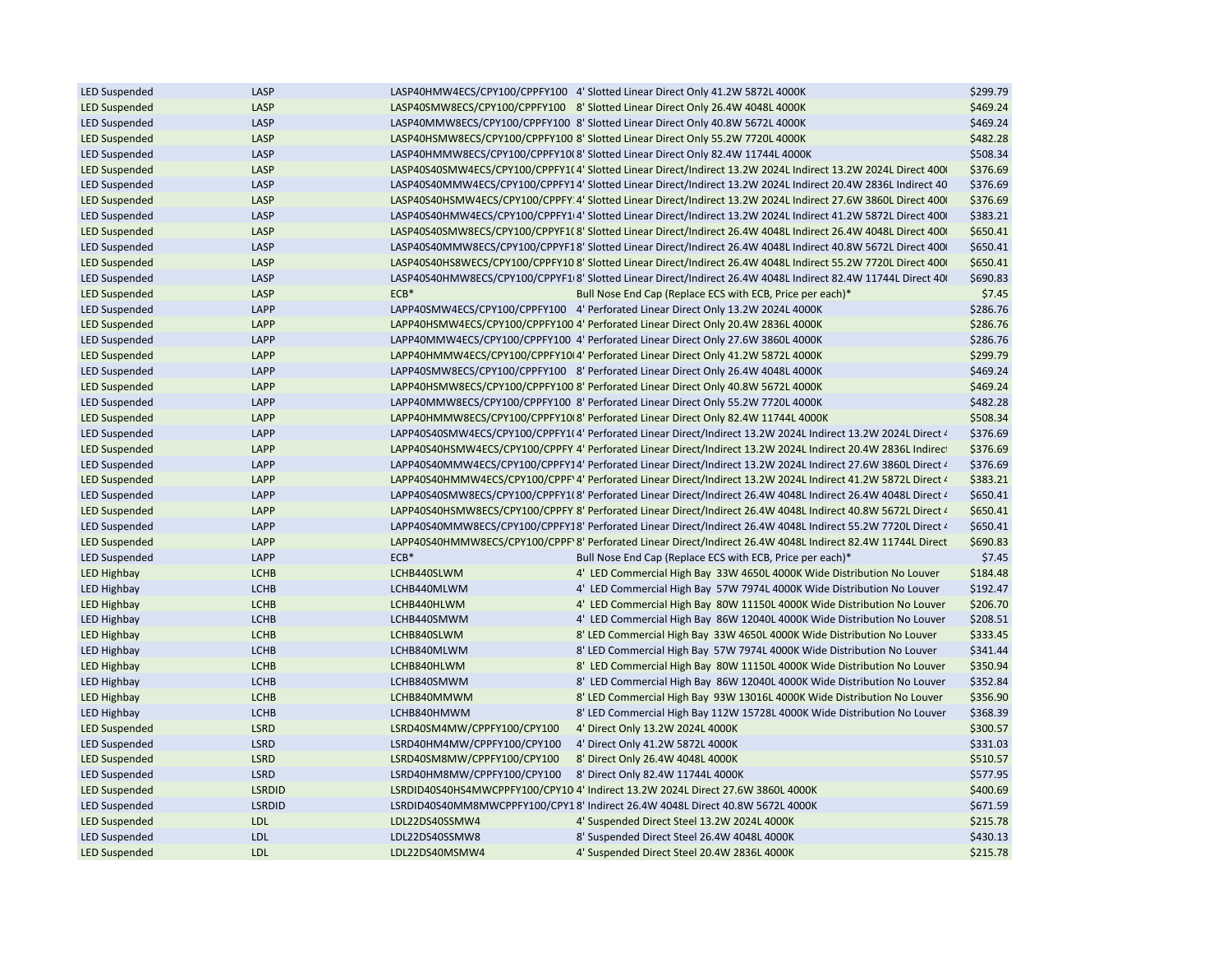| <b>LED Suspended</b>                         | LASP          |                             | LASP40HMW4ECS/CPY100/CPPFY100 4' Slotted Linear Direct Only 41.2W 5872L 4000K                                 | \$299.79 |
|----------------------------------------------|---------------|-----------------------------|---------------------------------------------------------------------------------------------------------------|----------|
| <b>LED Suspended</b>                         | LASP          |                             | LASP40SMW8ECS/CPY100/CPPFY100 8' Slotted Linear Direct Only 26.4W 4048L 4000K                                 | \$469.24 |
| <b>LED Suspended</b>                         | LASP          |                             | LASP40MMW8ECS/CPY100/CPPFY100 8' Slotted Linear Direct Only 40.8W 5672L 4000K                                 | \$469.24 |
| <b>LED Suspended</b>                         | LASP          |                             | LASP40HSMW8ECS/CPY100/CPPFY100 8' Slotted Linear Direct Only 55.2W 7720L 4000K                                | \$482.28 |
| <b>LED Suspended</b>                         | LASP          |                             | LASP40HMMW8ECS/CPY100/CPPFY100 8' Slotted Linear Direct Only 82.4W 11744L 4000K                               | \$508.34 |
| <b>LED Suspended</b>                         | LASP          |                             | LASP40S40SMW4ECS/CPY100/CPPFY1(4' Slotted Linear Direct/Indirect 13.2W 2024L Indirect 13.2W 2024L Direct 400  | \$376.69 |
| <b>LED Suspended</b>                         | LASP          |                             | LASP40S40MMW4ECS/CPY100/CPPFY14' Slotted Linear Direct/Indirect 13.2W 2024L Indirect 20.4W 2836L Indirect 40  | \$376.69 |
| <b>LED Suspended</b>                         | LASP          |                             | LASP40S40HSMW4ECS/CPY100/CPPFY 4' Slotted Linear Direct/Indirect 13.2W 2024L Indirect 27.6W 3860L Direct 400  | \$376.69 |
| <b>LED Suspended</b>                         | LASP          |                             | LASP40S40HMW4ECS/CPY100/CPPFY1 4' Slotted Linear Direct/Indirect 13.2W 2024L Indirect 41.2W 5872L Direct 400  | \$383.21 |
| <b>LED Suspended</b>                         | LASP          |                             | LASP40S40SMW8ECS/CPY100/CPPYF1(8' Slotted Linear Direct/Indirect 26.4W 4048L Indirect 26.4W 4048L Direct 400  | \$650.41 |
| <b>LED Suspended</b>                         | LASP          |                             | LASP40S40MMW8ECS/CPY100/CPPYF18' Slotted Linear Direct/Indirect 26.4W 4048L Indirect 40.8W 5672L Direct 400   | \$650.41 |
| <b>LED Suspended</b>                         | LASP          |                             | LASP40S40HS8WECS/CPY100/CPPFY10 8' Slotted Linear Direct/Indirect 26.4W 4048L Indirect 55.2W 7720L Direct 400 | \$650.41 |
| <b>LED Suspended</b>                         | LASP          |                             | LASP40S40HMW8ECS/CPY100/CPPYF1 8' Slotted Linear Direct/Indirect 26.4W 4048L Indirect 82.4W 11744L Direct 40  | \$690.83 |
| <b>LED Suspended</b>                         | LASP          | $ECB*$                      | Bull Nose End Cap (Replace ECS with ECB, Price per each)*                                                     | \$7.45   |
| <b>LED Suspended</b>                         | LAPP          |                             | LAPP40SMW4ECS/CPY100/CPPFY100 4' Perforated Linear Direct Only 13.2W 2024L 4000K                              | \$286.76 |
| <b>LED Suspended</b>                         | LAPP          |                             | LAPP40HSMW4ECS/CPY100/CPPFY100 4' Perforated Linear Direct Only 20.4W 2836L 4000K                             | \$286.76 |
| <b>LED Suspended</b>                         | LAPP          |                             | LAPP40MMW4ECS/CPY100/CPPFY100 4' Perforated Linear Direct Only 27.6W 3860L 4000K                              | \$286.76 |
| <b>LED Suspended</b>                         | LAPP          |                             | LAPP40HMMW4ECS/CPY100/CPPFY10I 4' Perforated Linear Direct Only 41.2W 5872L 4000K                             | \$299.79 |
| <b>LED Suspended</b>                         | LAPP          |                             | LAPP40SMW8ECS/CPY100/CPPFY100 8' Perforated Linear Direct Only 26.4W 4048L 4000K                              | \$469.24 |
|                                              | LAPP          |                             | LAPP40HSMW8ECS/CPY100/CPPFY100 8' Perforated Linear Direct Only 40.8W 5672L 4000K                             | \$469.24 |
| <b>LED Suspended</b><br><b>LED Suspended</b> | LAPP          |                             | LAPP40MMW8ECS/CPY100/CPPFY100 8' Perforated Linear Direct Only 55.2W 7720L 4000K                              | \$482.28 |
|                                              |               |                             |                                                                                                               |          |
| <b>LED Suspended</b>                         | LAPP<br>LAPP  |                             | LAPP40HMMW8ECS/CPY100/CPPFY10 8' Perforated Linear Direct Only 82.4W 11744L 4000K                             | \$508.34 |
| <b>LED Suspended</b>                         |               |                             | LAPP40S40SMW4ECS/CPY100/CPPFY1I4' Perforated Linear Direct/Indirect 13.2W 2024L Indirect 13.2W 2024L Direct 4 | \$376.69 |
| <b>LED Suspended</b>                         | LAPP          |                             | LAPP40S40HSMW4ECS/CPY100/CPPFY 4' Perforated Linear Direct/Indirect 13.2W 2024L Indirect 20.4W 2836L Indirect | \$376.69 |
| <b>LED Suspended</b>                         | LAPP          |                             | LAPP40S40MMW4ECS/CPY100/CPPFY14' Perforated Linear Direct/Indirect 13.2W 2024L Indirect 27.6W 3860L Direct 4  | \$376.69 |
| <b>LED Suspended</b>                         | LAPP          |                             | LAPP40S40HMMW4ECS/CPY100/CPPF' 4' Perforated Linear Direct/Indirect 13.2W 2024L Indirect 41.2W 5872L Direct 4 | \$383.21 |
| <b>LED Suspended</b>                         | LAPP          |                             | LAPP40S40SMW8ECS/CPY100/CPPFY1(8' Perforated Linear Direct/Indirect 26.4W 4048L Indirect 26.4W 4048L Direct 4 | \$650.41 |
| <b>LED Suspended</b>                         | LAPP          |                             | LAPP40S40HSMW8ECS/CPY100/CPPFY 8' Perforated Linear Direct/Indirect 26.4W 4048L Indirect 40.8W 5672L Direct 4 | \$650.41 |
| <b>LED Suspended</b>                         | LAPP          |                             | LAPP40S40MMW8ECS/CPY100/CPPFY18' Perforated Linear Direct/Indirect 26.4W 4048L Indirect 55.2W 7720L Direct 4  | \$650.41 |
| <b>LED Suspended</b>                         | LAPP          |                             | LAPP40S40HMMW8ECS/CPY100/CPPF' 8' Perforated Linear Direct/Indirect 26.4W 4048L Indirect 82.4W 11744L Direct  | \$690.83 |
| <b>LED Suspended</b>                         | LAPP          | $ECB*$                      | Bull Nose End Cap (Replace ECS with ECB, Price per each)*                                                     | \$7.45   |
| <b>LED Highbay</b>                           | <b>LCHB</b>   | LCHB440SLWM                 | 4' LED Commercial High Bay 33W 4650L 4000K Wide Distribution No Louver                                        | \$184.48 |
| <b>LED Highbay</b>                           | <b>LCHB</b>   | LCHB440MLWM                 | 4' LED Commercial High Bay 57W 7974L 4000K Wide Distribution No Louver                                        | \$192.47 |
| <b>LED Highbay</b>                           | <b>LCHB</b>   | LCHB440HLWM                 | 4' LED Commercial High Bay 80W 11150L 4000K Wide Distribution No Louver                                       | \$206.70 |
| <b>LED Highbay</b>                           | <b>LCHB</b>   | LCHB440SMWM                 | 4' LED Commercial High Bay 86W 12040L 4000K Wide Distribution No Louver                                       | \$208.51 |
| <b>LED Highbay</b>                           | <b>LCHB</b>   | LCHB840SLWM                 | 8' LED Commercial High Bay 33W 4650L 4000K Wide Distribution No Louver                                        | \$333.45 |
| <b>LED Highbay</b>                           | <b>LCHB</b>   | LCHB840MLWM                 | 8' LED Commercial High Bay 57W 7974L 4000K Wide Distribution No Louver                                        | \$341.44 |
| <b>LED Highbay</b>                           | <b>LCHB</b>   | LCHB840HLWM                 | 8' LED Commercial High Bay 80W 11150L 4000K Wide Distribution No Louver                                       | \$350.94 |
| <b>LED Highbay</b>                           | <b>LCHB</b>   | LCHB840SMWM                 | 8' LED Commercial High Bay 86W 12040L 4000K Wide Distribution No Louver                                       | \$352.84 |
| <b>LED Highbay</b>                           | <b>LCHB</b>   | LCHB840MMWM                 | 8' LED Commercial High Bay 93W 13016L 4000K Wide Distribution No Louver                                       | \$356.90 |
| <b>LED Highbay</b>                           | <b>LCHB</b>   | LCHB840HMWM                 | 8' LED Commercial High Bay 112W 15728L 4000K Wide Distribution No Louver                                      | \$368.39 |
| <b>LED Suspended</b>                         | <b>LSRD</b>   | LSRD40SM4MW/CPPFY100/CPY100 | 4' Direct Only 13.2W 2024L 4000K                                                                              | \$300.57 |
| <b>LED Suspended</b>                         | <b>LSRD</b>   | LSRD40HM4MW/CPPFY100/CPY100 | 4' Direct Only 41.2W 5872L 4000K                                                                              | \$331.03 |
| <b>LED Suspended</b>                         | <b>LSRD</b>   | LSRD40SM8MW/CPPFY100/CPY100 | 8' Direct Only 26.4W 4048L 4000K                                                                              | \$510.57 |
| <b>LED Suspended</b>                         | <b>LSRD</b>   | LSRD40HM8MW/CPPFY100/CPY100 | 8' Direct Only 82.4W 11744L 4000K                                                                             | \$577.95 |
| <b>LED Suspended</b>                         | <b>LSRDID</b> |                             | LSRDID40S40HS4MWCPPFY100/CPY10 4' Indirect 13.2W 2024L Direct 27.6W 3860L 4000K                               | \$400.69 |
| <b>LED Suspended</b>                         | <b>LSRDID</b> |                             | LSRDID40S40MM8MWCPPFY100/CPY18' Indirect 26.4W 4048L Direct 40.8W 5672L 4000K                                 | \$671.59 |
| <b>LED Suspended</b>                         | <b>LDL</b>    | LDL22DS40SSMW4              | 4' Suspended Direct Steel 13.2W 2024L 4000K                                                                   | \$215.78 |
| <b>LED Suspended</b>                         | <b>LDL</b>    | LDL22DS40SSMW8              | 8' Suspended Direct Steel 26.4W 4048L 4000K                                                                   | \$430.13 |
| <b>LED Suspended</b>                         | <b>LDL</b>    | LDL22DS40MSMW4              | 4' Suspended Direct Steel 20.4W 2836L 4000K                                                                   | \$215.78 |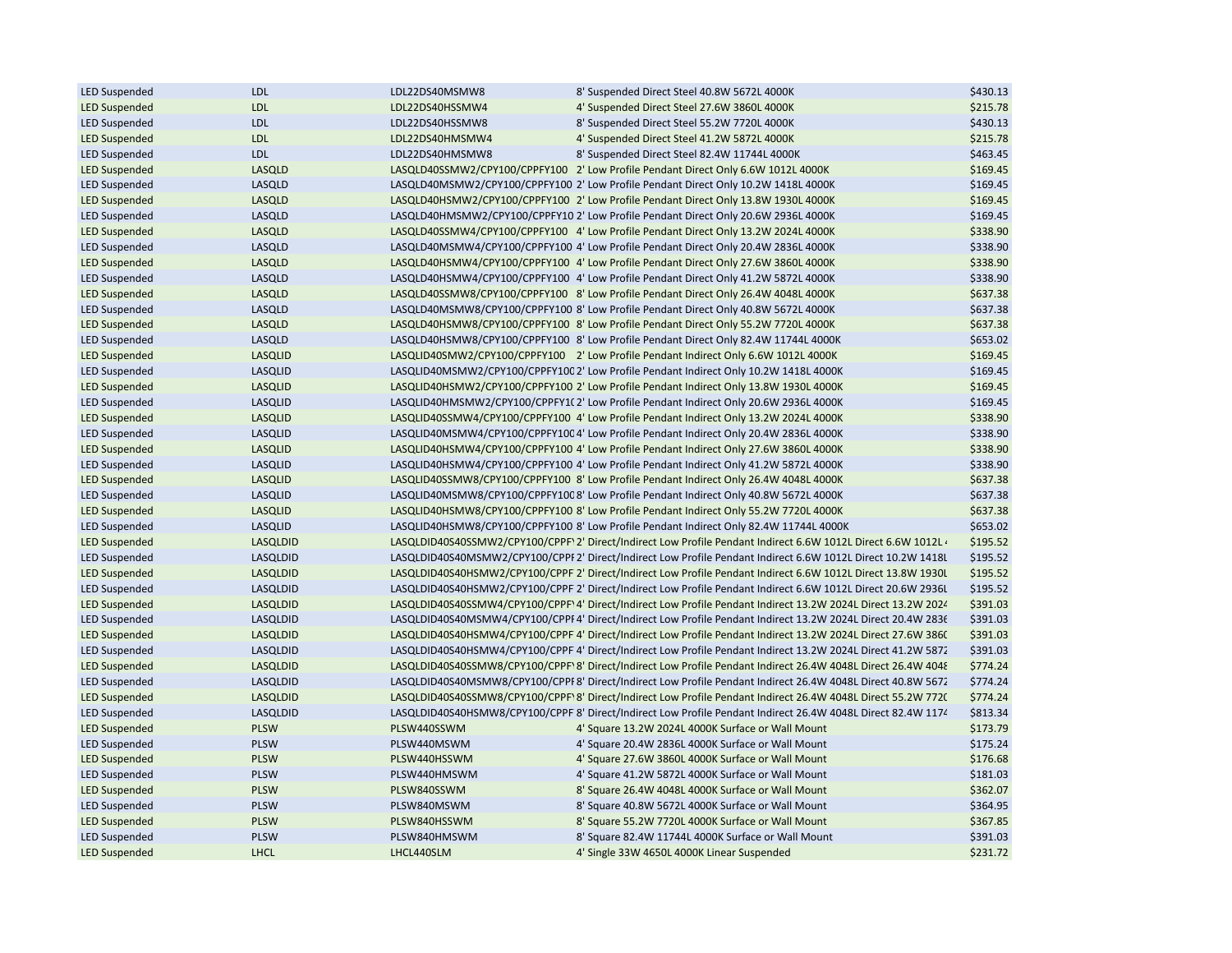| <b>LED Suspended</b> | <b>LDL</b>      | LDL22DS40MSMW8  | 8' Suspended Direct Steel 40.8W 5672L 4000K                                                                    | \$430.13 |
|----------------------|-----------------|-----------------|----------------------------------------------------------------------------------------------------------------|----------|
| <b>LED Suspended</b> | <b>LDL</b>      | LDL22DS40HSSMW4 | 4' Suspended Direct Steel 27.6W 3860L 4000K                                                                    | \$215.78 |
| <b>LED Suspended</b> | <b>LDL</b>      | LDL22DS40HSSMW8 | 8' Suspended Direct Steel 55.2W 7720L 4000K                                                                    | \$430.13 |
| <b>LED Suspended</b> | LDL             | LDL22DS40HMSMW4 | 4' Suspended Direct Steel 41.2W 5872L 4000K                                                                    | \$215.78 |
| <b>LED Suspended</b> | <b>LDL</b>      | LDL22DS40HMSMW8 | 8' Suspended Direct Steel 82.4W 11744L 4000K                                                                   | \$463.45 |
| <b>LED Suspended</b> | LASQLD          |                 | LASQLD40SSMW2/CPY100/CPPFY100 2' Low Profile Pendant Direct Only 6.6W 1012L 4000K                              | \$169.45 |
| <b>LED Suspended</b> | LASQLD          |                 | LASQLD40MSMW2/CPY100/CPPFY100 2' Low Profile Pendant Direct Only 10.2W 1418L 4000K                             | \$169.45 |
| <b>LED Suspended</b> | LASQLD          |                 | LASQLD40HSMW2/CPY100/CPPFY100 2' Low Profile Pendant Direct Only 13.8W 1930L 4000K                             | \$169.45 |
| <b>LED Suspended</b> | LASQLD          |                 | LASQLD40HMSMW2/CPY100/CPPFY10 2' Low Profile Pendant Direct Only 20.6W 2936L 4000K                             | \$169.45 |
| <b>LED Suspended</b> | LASQLD          |                 | LASQLD40SSMW4/CPY100/CPPFY100 4' Low Profile Pendant Direct Only 13.2W 2024L 4000K                             | \$338.90 |
| <b>LED Suspended</b> | LASQLD          |                 | LASQLD40MSMW4/CPY100/CPPFY100 4' Low Profile Pendant Direct Only 20.4W 2836L 4000K                             | \$338.90 |
| <b>LED Suspended</b> | LASQLD          |                 | LASQLD40HSMW4/CPY100/CPPFY100 4' Low Profile Pendant Direct Only 27.6W 3860L 4000K                             | \$338.90 |
| <b>LED Suspended</b> | LASQLD          |                 | LASQLD40HSMW4/CPY100/CPPFY100 4' Low Profile Pendant Direct Only 41.2W 5872L 4000K                             | \$338.90 |
| <b>LED Suspended</b> | LASQLD          |                 | LASQLD40SSMW8/CPY100/CPPFY100 8' Low Profile Pendant Direct Only 26.4W 4048L 4000K                             | \$637.38 |
| <b>LED Suspended</b> | LASQLD          |                 | LASQLD40MSMW8/CPY100/CPPFY100 8' Low Profile Pendant Direct Only 40.8W 5672L 4000K                             | \$637.38 |
| <b>LED Suspended</b> | LASQLD          |                 | LASQLD40HSMW8/CPY100/CPPFY100 8' Low Profile Pendant Direct Only 55.2W 7720L 4000K                             | \$637.38 |
| <b>LED Suspended</b> | LASQLD          |                 | LASQLD40HSMW8/CPY100/CPPFY100 8' Low Profile Pendant Direct Only 82.4W 11744L 4000K                            | \$653.02 |
| <b>LED Suspended</b> | <b>LASQLID</b>  |                 | LASQLID40SMW2/CPY100/CPPFY100 2' Low Profile Pendant Indirect Only 6.6W 1012L 4000K                            | \$169.45 |
| <b>LED Suspended</b> | LASQLID         |                 | LASQLID40MSMW2/CPY100/CPPFY10C 2' Low Profile Pendant Indirect Only 10.2W 1418L 4000K                          | \$169.45 |
| <b>LED Suspended</b> | <b>LASQLID</b>  |                 | LASQLID40HSMW2/CPY100/CPPFY100 2' Low Profile Pendant Indirect Only 13.8W 1930L 4000K                          | \$169.45 |
| <b>LED Suspended</b> | LASQLID         |                 | LASQLID40HMSMW2/CPY100/CPPFY1(2' Low Profile Pendant Indirect Only 20.6W 2936L 4000K                           | \$169.45 |
| <b>LED Suspended</b> | <b>LASQLID</b>  |                 | LASQLID40SSMW4/CPY100/CPPFY100 4' Low Profile Pendant Indirect Only 13.2W 2024L 4000K                          | \$338.90 |
|                      |                 |                 |                                                                                                                |          |
| <b>LED Suspended</b> | LASQLID         |                 | LASQLID40MSMW4/CPY100/CPPFY10C 4' Low Profile Pendant Indirect Only 20.4W 2836L 4000K                          | \$338.90 |
| <b>LED Suspended</b> | <b>LASQLID</b>  |                 | LASQLID40HSMW4/CPY100/CPPFY100 4' Low Profile Pendant Indirect Only 27.6W 3860L 4000K                          | \$338.90 |
| <b>LED Suspended</b> | LASQLID         |                 | LASQLID40HSMW4/CPY100/CPPFY100 4' Low Profile Pendant Indirect Only 41.2W 5872L 4000K                          | \$338.90 |
| <b>LED Suspended</b> | <b>LASQLID</b>  |                 | LASQLID40SSMW8/CPY100/CPPFY100 8' Low Profile Pendant Indirect Only 26.4W 4048L 4000K                          | \$637.38 |
| <b>LED Suspended</b> | LASQLID         |                 | LASQLID40MSMW8/CPY100/CPPFY10C 8' Low Profile Pendant Indirect Only 40.8W 5672L 4000K                          | \$637.38 |
| <b>LED Suspended</b> | <b>LASQLID</b>  |                 | LASQLID40HSMW8/CPY100/CPPFY100 8' Low Profile Pendant Indirect Only 55.2W 7720L 4000K                          | \$637.38 |
| <b>LED Suspended</b> | LASQLID         |                 | LASQLID40HSMW8/CPY100/CPPFY100 8' Low Profile Pendant Indirect Only 82.4W 11744L 4000K                         | \$653.02 |
| <b>LED Suspended</b> | <b>LASQLDID</b> |                 | LASQLDID40S40SSMW2/CPY100/CPPF' 2' Direct/Indirect Low Profile Pendant Indirect 6.6W 1012L Direct 6.6W 1012L 4 | \$195.52 |
| <b>LED Suspended</b> | LASQLDID        |                 | LASQLDID40S40MSMW2/CPY100/CPPI 2' Direct/Indirect Low Profile Pendant Indirect 6.6W 1012L Direct 10.2W 1418L   | \$195.52 |
| <b>LED Suspended</b> | <b>LASQLDID</b> |                 | LASQLDID40S40HSMW2/CPY100/CPPF 2' Direct/Indirect Low Profile Pendant Indirect 6.6W 1012L Direct 13.8W 1930L   | \$195.52 |
| <b>LED Suspended</b> | LASQLDID        |                 | LASQLDID40S40HSMW2/CPY100/CPPF 2' Direct/Indirect Low Profile Pendant Indirect 6.6W 1012L Direct 20.6W 2936L   | \$195.52 |
| <b>LED Suspended</b> | <b>LASQLDID</b> |                 | LASQLDID40S40SSMW4/CPY100/CPPF' 4' Direct/Indirect Low Profile Pendant Indirect 13.2W 2024L Direct 13.2W 2024  | \$391.03 |
| <b>LED Suspended</b> | LASQLDID        |                 | LASQLDID40S40MSMW4/CPY100/CPPI 4' Direct/Indirect Low Profile Pendant Indirect 13.2W 2024L Direct 20.4W 2836   | \$391.03 |
| <b>LED Suspended</b> | <b>LASQLDID</b> |                 | LASQLDID40S40HSMW4/CPY100/CPPF 4' Direct/Indirect Low Profile Pendant Indirect 13.2W 2024L Direct 27.6W 386(   | \$391.03 |
| <b>LED Suspended</b> | LASQLDID        |                 | LASQLDID40S40HSMW4/CPY100/CPPF 4' Direct/Indirect Low Profile Pendant Indirect 13.2W 2024L Direct 41.2W 5872   | \$391.03 |
| <b>LED Suspended</b> | <b>LASQLDID</b> |                 | LASQLDID40S40SSMW8/CPY100/CPPF' 8' Direct/Indirect Low Profile Pendant Indirect 26.4W 4048L Direct 26.4W 4048  | \$774.24 |
| <b>LED Suspended</b> | LASQLDID        |                 | LASQLDID40S40MSMW8/CPY100/CPPI 8' Direct/Indirect Low Profile Pendant Indirect 26.4W 4048L Direct 40.8W 5672   | \$774.24 |
| <b>LED Suspended</b> | <b>LASQLDID</b> |                 | LASQLDID40S40SSMW8/CPY100/CPPF' 8' Direct/Indirect Low Profile Pendant Indirect 26.4W 4048L Direct 55.2W 772(  | \$774.24 |
| <b>LED Suspended</b> | LASQLDID        |                 | LASQLDID40S40HSMW8/CPY100/CPPF 8' Direct/Indirect Low Profile Pendant Indirect 26.4W 4048L Direct 82.4W 1174   | \$813.34 |
| <b>LED Suspended</b> | <b>PLSW</b>     | PLSW440SSWM     | 4' Square 13.2W 2024L 4000K Surface or Wall Mount                                                              | \$173.79 |
| <b>LED Suspended</b> | <b>PLSW</b>     | PLSW440MSWM     | 4' Square 20.4W 2836L 4000K Surface or Wall Mount                                                              | \$175.24 |
| <b>LED Suspended</b> | <b>PLSW</b>     | PLSW440HSSWM    | 4' Square 27.6W 3860L 4000K Surface or Wall Mount                                                              | \$176.68 |
| <b>LED Suspended</b> | <b>PLSW</b>     | PLSW440HMSWM    | 4' Square 41.2W 5872L 4000K Surface or Wall Mount                                                              | \$181.03 |
| <b>LED Suspended</b> | <b>PLSW</b>     | PLSW840SSWM     | 8' Square 26.4W 4048L 4000K Surface or Wall Mount                                                              | \$362.07 |
| <b>LED Suspended</b> | <b>PLSW</b>     | PLSW840MSWM     | 8' Square 40.8W 5672L 4000K Surface or Wall Mount                                                              | \$364.95 |
| <b>LED Suspended</b> | <b>PLSW</b>     | PLSW840HSSWM    | 8' Square 55.2W 7720L 4000K Surface or Wall Mount                                                              | \$367.85 |
| <b>LED Suspended</b> | <b>PLSW</b>     | PLSW840HMSWM    | 8' Square 82.4W 11744L 4000K Surface or Wall Mount                                                             | \$391.03 |
| <b>LED Suspended</b> | <b>LHCL</b>     | LHCL440SLM      | 4' Single 33W 4650L 4000K Linear Suspended                                                                     | \$231.72 |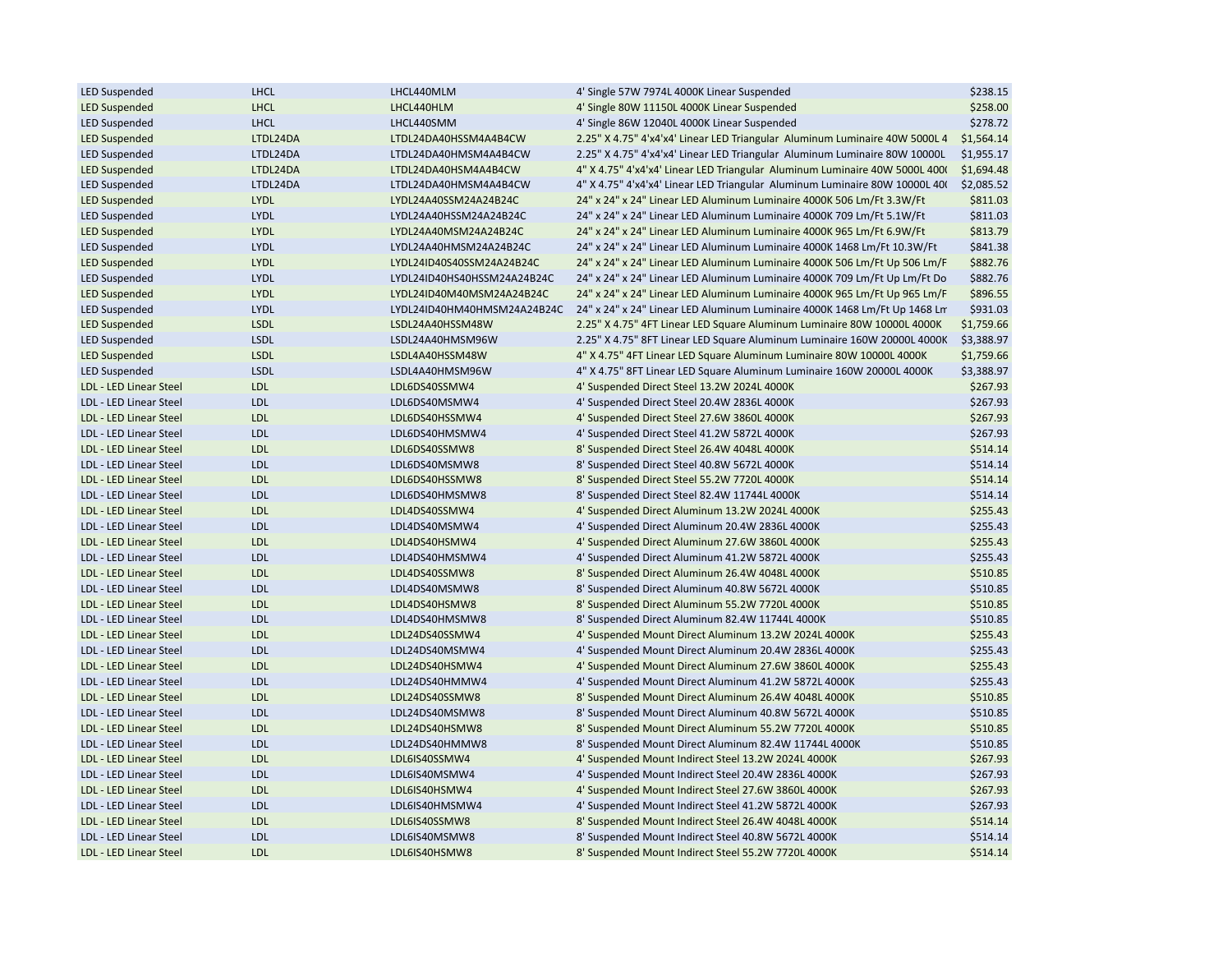| <b>LED Suspended</b>   | <b>LHCL</b> | LHCL440MLM                  | 4' Single 57W 7974L 4000K Linear Suspended                                  | \$238.15   |
|------------------------|-------------|-----------------------------|-----------------------------------------------------------------------------|------------|
| <b>LED Suspended</b>   | <b>LHCL</b> | LHCL440HLM                  | 4' Single 80W 11150L 4000K Linear Suspended                                 | \$258.00   |
| <b>LED Suspended</b>   | <b>LHCL</b> | LHCL440SMM                  | 4' Single 86W 12040L 4000K Linear Suspended                                 | \$278.72   |
| <b>LED Suspended</b>   | LTDL24DA    | LTDL24DA40HSSM4A4B4CW       | 2.25" X 4.75" 4'x4'x4' Linear LED Triangular Aluminum Luminaire 40W 5000L 4 | \$1,564.14 |
| <b>LED Suspended</b>   | LTDL24DA    | LTDL24DA40HMSM4A4B4CW       | 2.25" X 4.75" 4'x4'x4' Linear LED Triangular Aluminum Luminaire 80W 10000L  | \$1,955.17 |
| <b>LED Suspended</b>   | LTDL24DA    | LTDL24DA40HSM4A4B4CW        | 4" X 4.75" 4'x4'x4' Linear LED Triangular Aluminum Luminaire 40W 5000L 400( | \$1,694.48 |
| <b>LED Suspended</b>   | LTDL24DA    | LTDL24DA40HMSM4A4B4CW       | 4" X 4.75" 4'x4'x4' Linear LED Triangular Aluminum Luminaire 80W 10000L 40( | \$2,085.52 |
| <b>LED Suspended</b>   | <b>LYDL</b> | LYDL24A40SSM24A24B24C       | 24" x 24" x 24" Linear LED Aluminum Luminaire 4000K 506 Lm/Ft 3.3W/Ft       | \$811.03   |
| <b>LED Suspended</b>   | LYDL        | LYDL24A40HSSM24A24B24C      | 24" x 24" x 24" Linear LED Aluminum Luminaire 4000K 709 Lm/Ft 5.1W/Ft       | \$811.03   |
| <b>LED Suspended</b>   | LYDL        | LYDL24A40MSM24A24B24C       | 24" x 24" x 24" Linear LED Aluminum Luminaire 4000K 965 Lm/Ft 6.9W/Ft       | \$813.79   |
| <b>LED Suspended</b>   | LYDL        | LYDL24A40HMSM24A24B24C      | 24" x 24" x 24" Linear LED Aluminum Luminaire 4000K 1468 Lm/Ft 10.3W/Ft     | \$841.38   |
| <b>LED Suspended</b>   | LYDL        | LYDL24ID40S40SSM24A24B24C   | 24" x 24" x 24" Linear LED Aluminum Luminaire 4000K 506 Lm/Ft Up 506 Lm/F   | \$882.76   |
| <b>LED Suspended</b>   | <b>LYDL</b> | LYDL24ID40HS40HSSM24A24B24C | 24" x 24" x 24" Linear LED Aluminum Luminaire 4000K 709 Lm/Ft Up Lm/Ft Do   | \$882.76   |
| <b>LED Suspended</b>   | LYDL        | LYDL24ID40M40MSM24A24B24C   | 24" x 24" x 24" Linear LED Aluminum Luminaire 4000K 965 Lm/Ft Up 965 Lm/F   | \$896.55   |
| <b>LED Suspended</b>   | LYDL        | LYDL24ID40HM40HMSM24A24B24C | 24" x 24" x 24" Linear LED Aluminum Luminaire 4000K 1468 Lm/Ft Up 1468 Lm   | \$931.03   |
| <b>LED Suspended</b>   | <b>LSDL</b> | LSDL24A40HSSM48W            | 2.25" X 4.75" 4FT Linear LED Square Aluminum Luminaire 80W 10000L 4000K     | \$1,759.66 |
| <b>LED Suspended</b>   | <b>LSDL</b> | LSDL24A40HMSM96W            | 2.25" X 4.75" 8FT Linear LED Square Aluminum Luminaire 160W 20000L 4000K    | \$3,388.97 |
| <b>LED Suspended</b>   | <b>LSDL</b> | LSDL4A40HSSM48W             | 4" X 4.75" 4FT Linear LED Square Aluminum Luminaire 80W 10000L 4000K        | \$1,759.66 |
| <b>LED Suspended</b>   | <b>LSDL</b> | LSDL4A40HMSM96W             | 4" X 4.75" 8FT Linear LED Square Aluminum Luminaire 160W 20000L 4000K       | \$3,388.97 |
| LDL - LED Linear Steel | <b>LDL</b>  | LDL6DS40SSMW4               | 4' Suspended Direct Steel 13.2W 2024L 4000K                                 | \$267.93   |
| LDL - LED Linear Steel | <b>LDL</b>  | LDL6DS40MSMW4               | 4' Suspended Direct Steel 20.4W 2836L 4000K                                 | \$267.93   |
| LDL - LED Linear Steel | <b>LDL</b>  | LDL6DS40HSSMW4              | 4' Suspended Direct Steel 27.6W 3860L 4000K                                 | \$267.93   |
| LDL - LED Linear Steel | <b>LDL</b>  | LDL6DS40HMSMW4              | 4' Suspended Direct Steel 41.2W 5872L 4000K                                 | \$267.93   |
| LDL - LED Linear Steel | <b>LDL</b>  | LDL6DS40SSMW8               | 8' Suspended Direct Steel 26.4W 4048L 4000K                                 | \$514.14   |
| LDL - LED Linear Steel | <b>LDL</b>  | LDL6DS40MSMW8               | 8' Suspended Direct Steel 40.8W 5672L 4000K                                 | \$514.14   |
| LDL - LED Linear Steel | <b>LDL</b>  | LDL6DS40HSSMW8              | 8' Suspended Direct Steel 55.2W 7720L 4000K                                 | \$514.14   |
| LDL - LED Linear Steel | <b>LDL</b>  | LDL6DS40HMSMW8              | 8' Suspended Direct Steel 82.4W 11744L 4000K                                | \$514.14   |
| LDL - LED Linear Steel | <b>LDL</b>  | LDL4DS40SSMW4               | 4' Suspended Direct Aluminum 13.2W 2024L 4000K                              | \$255.43   |
| LDL - LED Linear Steel | <b>LDL</b>  | LDL4DS40MSMW4               | 4' Suspended Direct Aluminum 20.4W 2836L 4000K                              | \$255.43   |
| LDL - LED Linear Steel | <b>LDL</b>  | LDL4DS40HSMW4               | 4' Suspended Direct Aluminum 27.6W 3860L 4000K                              | \$255.43   |
| LDL - LED Linear Steel | <b>LDL</b>  | LDL4DS40HMSMW4              | 4' Suspended Direct Aluminum 41.2W 5872L 4000K                              | \$255.43   |
| LDL - LED Linear Steel | <b>LDL</b>  | LDL4DS40SSMW8               | 8' Suspended Direct Aluminum 26.4W 4048L 4000K                              | \$510.85   |
| LDL - LED Linear Steel | <b>LDL</b>  | LDL4DS40MSMW8               | 8' Suspended Direct Aluminum 40.8W 5672L 4000K                              | \$510.85   |
| LDL - LED Linear Steel | <b>LDL</b>  | LDL4DS40HSMW8               | 8' Suspended Direct Aluminum 55.2W 7720L 4000K                              | \$510.85   |
| LDL - LED Linear Steel | <b>LDL</b>  | LDL4DS40HMSMW8              | 8' Suspended Direct Aluminum 82.4W 11744L 4000K                             | \$510.85   |
| LDL - LED Linear Steel | <b>LDL</b>  | LDL24DS40SSMW4              | 4' Suspended Mount Direct Aluminum 13.2W 2024L 4000K                        | \$255.43   |
| LDL - LED Linear Steel | <b>LDL</b>  | LDL24DS40MSMW4              | 4' Suspended Mount Direct Aluminum 20.4W 2836L 4000K                        | \$255.43   |
| LDL - LED Linear Steel | <b>LDL</b>  | LDL24DS40HSMW4              | 4' Suspended Mount Direct Aluminum 27.6W 3860L 4000K                        | \$255.43   |
| LDL - LED Linear Steel | <b>LDL</b>  | LDL24DS40HMMW4              |                                                                             |            |
| LDL - LED Linear Steel |             |                             | 4' Suspended Mount Direct Aluminum 41.2W 5872L 4000K                        | \$255.43   |
|                        | <b>LDL</b>  | LDL24DS40SSMW8              | 8' Suspended Mount Direct Aluminum 26.4W 4048L 4000K                        | \$510.85   |
| LDL - LED Linear Steel | <b>LDL</b>  | LDL24DS40MSMW8              | 8' Suspended Mount Direct Aluminum 40.8W 5672L 4000K                        | \$510.85   |
| LDL - LED Linear Steel | <b>LDL</b>  | LDL24DS40HSMW8              | 8' Suspended Mount Direct Aluminum 55.2W 7720L 4000K                        | \$510.85   |
| LDL - LED Linear Steel | <b>LDL</b>  | LDL24DS40HMMW8              | 8' Suspended Mount Direct Aluminum 82.4W 11744L 4000K                       | \$510.85   |
| LDL - LED Linear Steel | <b>LDL</b>  | LDL6IS40SSMW4               | 4' Suspended Mount Indirect Steel 13.2W 2024L 4000K                         | \$267.93   |
| LDL - LED Linear Steel | <b>LDL</b>  | LDL6IS40MSMW4               | 4' Suspended Mount Indirect Steel 20.4W 2836L 4000K                         | \$267.93   |
| LDL - LED Linear Steel | <b>LDL</b>  | LDL6IS40HSMW4               | 4' Suspended Mount Indirect Steel 27.6W 3860L 4000K                         | \$267.93   |
| LDL - LED Linear Steel | <b>LDL</b>  | LDL6IS40HMSMW4              | 4' Suspended Mount Indirect Steel 41.2W 5872L 4000K                         | \$267.93   |
| LDL - LED Linear Steel | <b>LDL</b>  | LDL6IS40SSMW8               | 8' Suspended Mount Indirect Steel 26.4W 4048L 4000K                         | \$514.14   |
| LDL - LED Linear Steel | <b>LDL</b>  | LDL6IS40MSMW8               | 8' Suspended Mount Indirect Steel 40.8W 5672L 4000K                         | \$514.14   |
| LDL - LED Linear Steel | <b>LDL</b>  | LDL6IS40HSMW8               | 8' Suspended Mount Indirect Steel 55.2W 7720L 4000K                         | \$514.14   |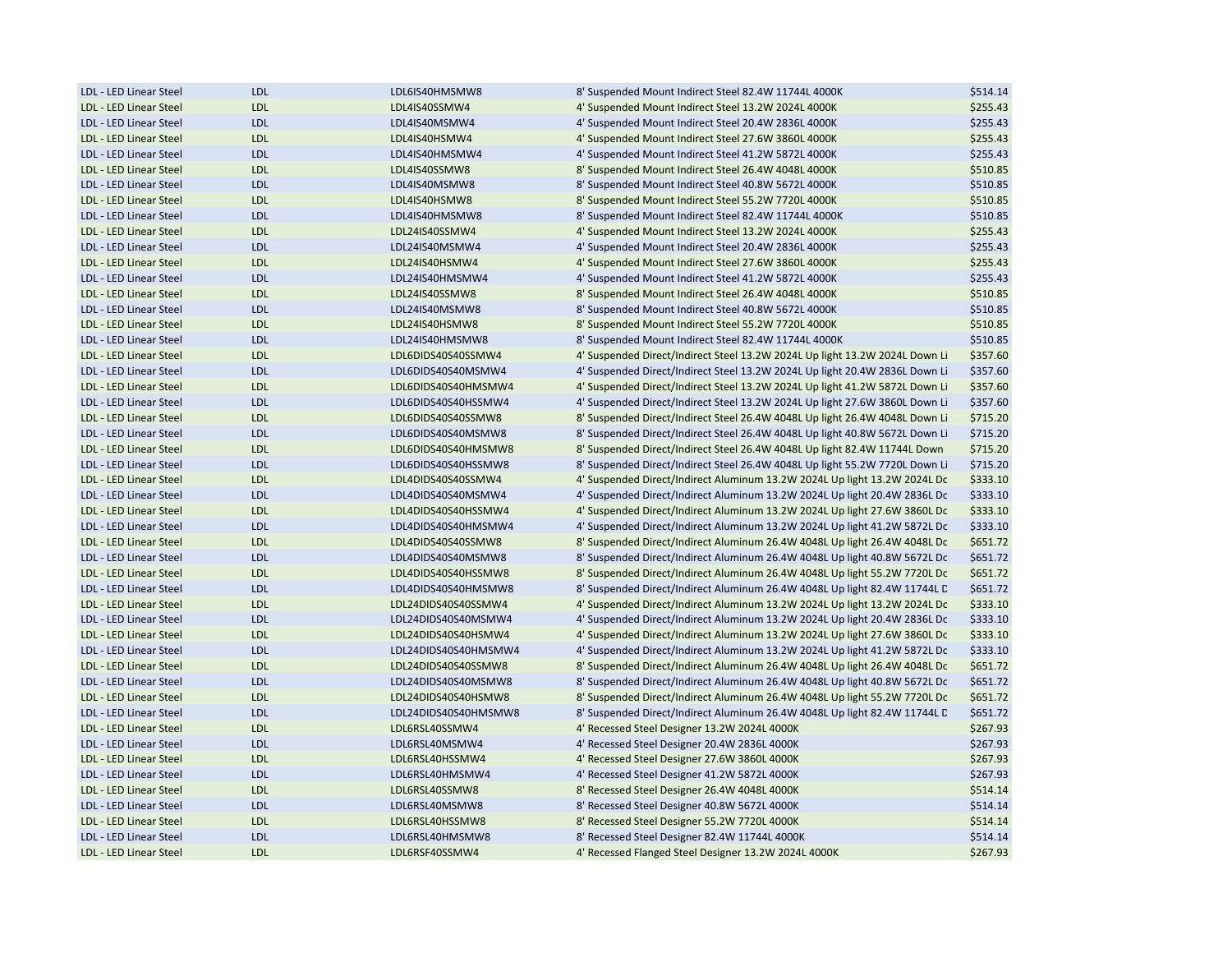| LDL - LED Linear Steel                           | <b>LDL</b> | LDL6IS40HMSMW8       | 8' Suspended Mount Indirect Steel 82.4W 11744L 4000K                        | \$514.14             |
|--------------------------------------------------|------------|----------------------|-----------------------------------------------------------------------------|----------------------|
| LDL - LED Linear Steel                           | <b>LDL</b> | LDL4IS40SSMW4        | 4' Suspended Mount Indirect Steel 13.2W 2024L 4000K                         | \$255.43             |
| LDL - LED Linear Steel                           | <b>LDL</b> | LDL4IS40MSMW4        | 4' Suspended Mount Indirect Steel 20.4W 2836L 4000K                         | \$255.43             |
| LDL - LED Linear Steel                           | <b>LDL</b> | LDL4IS40HSMW4        | 4' Suspended Mount Indirect Steel 27.6W 3860L 4000K                         | \$255.43             |
| LDL - LED Linear Steel                           | <b>LDL</b> | LDL4IS40HMSMW4       | 4' Suspended Mount Indirect Steel 41.2W 5872L 4000K                         | \$255.43             |
| LDL - LED Linear Steel                           | <b>LDL</b> | LDL4IS40SSMW8        | 8' Suspended Mount Indirect Steel 26.4W 4048L 4000K                         | \$510.85             |
| LDL - LED Linear Steel                           | <b>LDL</b> | LDL4IS40MSMW8        | 8' Suspended Mount Indirect Steel 40.8W 5672L 4000K                         | \$510.85             |
| LDL - LED Linear Steel                           | <b>LDL</b> | LDL4IS40HSMW8        | 8' Suspended Mount Indirect Steel 55.2W 7720L 4000K                         | \$510.85             |
| LDL - LED Linear Steel                           | <b>LDL</b> | LDL4IS40HMSMW8       | 8' Suspended Mount Indirect Steel 82.4W 11744L 4000K                        | \$510.85             |
| LDL - LED Linear Steel                           | <b>LDL</b> | LDL24IS40SSMW4       | 4' Suspended Mount Indirect Steel 13.2W 2024L 4000K                         | \$255.43             |
| LDL - LED Linear Steel                           | <b>LDL</b> | LDL24IS40MSMW4       | 4' Suspended Mount Indirect Steel 20.4W 2836L 4000K                         | \$255.43             |
| LDL - LED Linear Steel                           | <b>LDL</b> | LDL24IS40HSMW4       | 4' Suspended Mount Indirect Steel 27.6W 3860L 4000K                         | \$255.43             |
| LDL - LED Linear Steel                           | <b>LDL</b> | LDL24IS40HMSMW4      | 4' Suspended Mount Indirect Steel 41.2W 5872L 4000K                         | \$255.43             |
| LDL - LED Linear Steel                           | <b>LDL</b> | LDL24IS40SSMW8       | 8' Suspended Mount Indirect Steel 26.4W 4048L 4000K                         | \$510.85             |
| LDL - LED Linear Steel                           | <b>LDL</b> | LDL24IS40MSMW8       | 8' Suspended Mount Indirect Steel 40.8W 5672L 4000K                         | \$510.85             |
| LDL - LED Linear Steel                           | <b>LDL</b> | LDL24IS40HSMW8       | 8' Suspended Mount Indirect Steel 55.2W 7720L 4000K                         | \$510.85             |
| LDL - LED Linear Steel                           | <b>LDL</b> | LDL24IS40HMSMW8      | 8' Suspended Mount Indirect Steel 82.4W 11744L 4000K                        | \$510.85             |
| LDL - LED Linear Steel                           | <b>LDL</b> | LDL6DIDS40S40SSMW4   | 4' Suspended Direct/Indirect Steel 13.2W 2024L Up light 13.2W 2024L Down Li | \$357.60             |
| LDL - LED Linear Steel                           | <b>LDL</b> | LDL6DIDS40S40MSMW4   | 4' Suspended Direct/Indirect Steel 13.2W 2024L Up light 20.4W 2836L Down Li | \$357.60             |
| LDL - LED Linear Steel                           | <b>LDL</b> | LDL6DIDS40S40HMSMW4  | 4' Suspended Direct/Indirect Steel 13.2W 2024L Up light 41.2W 5872L Down Li | \$357.60             |
| LDL - LED Linear Steel                           | <b>LDL</b> | LDL6DIDS40S40HSSMW4  | 4' Suspended Direct/Indirect Steel 13.2W 2024L Up light 27.6W 3860L Down Li | \$357.60             |
| LDL - LED Linear Steel                           | <b>LDL</b> | LDL6DIDS40S40SSMW8   | 8' Suspended Direct/Indirect Steel 26.4W 4048L Up light 26.4W 4048L Down Li | \$715.20             |
| LDL - LED Linear Steel                           | <b>LDL</b> | LDL6DIDS40S40MSMW8   | 8' Suspended Direct/Indirect Steel 26.4W 4048L Up light 40.8W 5672L Down Li | \$715.20             |
| LDL - LED Linear Steel                           | <b>LDL</b> | LDL6DIDS40S40HMSMW8  | 8' Suspended Direct/Indirect Steel 26.4W 4048L Up light 82.4W 11744L Down   | \$715.20             |
| LDL - LED Linear Steel                           | <b>LDL</b> | LDL6DIDS40S40HSSMW8  | 8' Suspended Direct/Indirect Steel 26.4W 4048L Up light 55.2W 7720L Down Li | \$715.20             |
| LDL - LED Linear Steel                           | <b>LDL</b> | LDL4DIDS40S40SSMW4   | 4' Suspended Direct/Indirect Aluminum 13.2W 2024L Up light 13.2W 2024L Dc   | \$333.10             |
| LDL - LED Linear Steel                           | <b>LDL</b> | LDL4DIDS40S40MSMW4   | 4' Suspended Direct/Indirect Aluminum 13.2W 2024L Up light 20.4W 2836L Dc   | \$333.10             |
| LDL - LED Linear Steel                           | <b>LDL</b> | LDL4DIDS40S40HSSMW4  | 4' Suspended Direct/Indirect Aluminum 13.2W 2024L Up light 27.6W 3860L Dc   | \$333.10             |
| LDL - LED Linear Steel                           | <b>LDL</b> | LDL4DIDS40S40HMSMW4  | 4' Suspended Direct/Indirect Aluminum 13.2W 2024L Up light 41.2W 5872L Dc   | \$333.10             |
| LDL - LED Linear Steel                           | <b>LDL</b> | LDL4DIDS40S40SSMW8   | 8' Suspended Direct/Indirect Aluminum 26.4W 4048L Up light 26.4W 4048L Dc   | \$651.72             |
| LDL - LED Linear Steel                           | <b>LDL</b> | LDL4DIDS40S40MSMW8   | 8' Suspended Direct/Indirect Aluminum 26.4W 4048L Up light 40.8W 5672L Dc   | \$651.72             |
| LDL - LED Linear Steel                           | <b>LDL</b> | LDL4DIDS40S40HSSMW8  | 8' Suspended Direct/Indirect Aluminum 26.4W 4048L Up light 55.2W 7720L Dc   | \$651.72             |
| LDL - LED Linear Steel                           | <b>LDL</b> | LDL4DIDS40S40HMSMW8  | 8' Suspended Direct/Indirect Aluminum 26.4W 4048L Up light 82.4W 11744L D   | \$651.72             |
| LDL - LED Linear Steel                           | <b>LDL</b> | LDL24DIDS40S40SSMW4  | 4' Suspended Direct/Indirect Aluminum 13.2W 2024L Up light 13.2W 2024L Dc   | \$333.10             |
| LDL - LED Linear Steel                           | <b>LDL</b> | LDL24DIDS40S40MSMW4  | 4' Suspended Direct/Indirect Aluminum 13.2W 2024L Up light 20.4W 2836L Dc   |                      |
|                                                  |            | LDL24DIDS40S40HSMW4  | 4' Suspended Direct/Indirect Aluminum 13.2W 2024L Up light 27.6W 3860L Dc   | \$333.10<br>\$333.10 |
| LDL - LED Linear Steel                           | <b>LDL</b> |                      |                                                                             |                      |
| LDL - LED Linear Steel<br>LDL - LED Linear Steel | <b>LDL</b> | LDL24DIDS40S40HMSMW4 | 4' Suspended Direct/Indirect Aluminum 13.2W 2024L Up light 41.2W 5872L Dc   | \$333.10             |
|                                                  | <b>LDL</b> | LDL24DIDS40S40SSMW8  | 8' Suspended Direct/Indirect Aluminum 26.4W 4048L Up light 26.4W 4048L Dc   | \$651.72             |
| LDL - LED Linear Steel                           | <b>LDL</b> | LDL24DIDS40S40MSMW8  | 8' Suspended Direct/Indirect Aluminum 26.4W 4048L Up light 40.8W 5672L Dc   | \$651.72             |
| LDL - LED Linear Steel                           | <b>LDL</b> | LDL24DIDS40S40HSMW8  | 8' Suspended Direct/Indirect Aluminum 26.4W 4048L Up light 55.2W 7720L Dc   | \$651.72             |
| LDL - LED Linear Steel                           | <b>LDL</b> | LDL24DIDS40S40HMSMW8 | 8' Suspended Direct/Indirect Aluminum 26.4W 4048L Up light 82.4W 11744L C   | \$651.72             |
| LDL - LED Linear Steel                           | <b>LDL</b> | LDL6RSL40SSMW4       | 4' Recessed Steel Designer 13.2W 2024L 4000K                                | \$267.93             |
| LDL - LED Linear Steel                           | <b>LDL</b> | LDL6RSL40MSMW4       | 4' Recessed Steel Designer 20.4W 2836L 4000K                                | \$267.93             |
| LDL - LED Linear Steel                           | <b>LDL</b> | LDL6RSL40HSSMW4      | 4' Recessed Steel Designer 27.6W 3860L 4000K                                | \$267.93             |
| LDL - LED Linear Steel                           | <b>LDL</b> | LDL6RSL40HMSMW4      | 4' Recessed Steel Designer 41.2W 5872L 4000K                                | \$267.93             |
| LDL - LED Linear Steel                           | <b>LDL</b> | LDL6RSL40SSMW8       | 8' Recessed Steel Designer 26.4W 4048L 4000K                                | \$514.14             |
| LDL - LED Linear Steel                           | <b>LDL</b> | LDL6RSL40MSMW8       | 8' Recessed Steel Designer 40.8W 5672L 4000K                                | \$514.14             |
| LDL - LED Linear Steel                           | <b>LDL</b> | LDL6RSL40HSSMW8      | 8' Recessed Steel Designer 55.2W 7720L 4000K                                | \$514.14             |
| LDL - LED Linear Steel                           | <b>LDL</b> | LDL6RSL40HMSMW8      | 8' Recessed Steel Designer 82.4W 11744L 4000K                               | \$514.14             |
| LDL - LED Linear Steel                           | <b>LDL</b> | LDL6RSF40SSMW4       | 4' Recessed Flanged Steel Designer 13.2W 2024L 4000K                        | \$267.93             |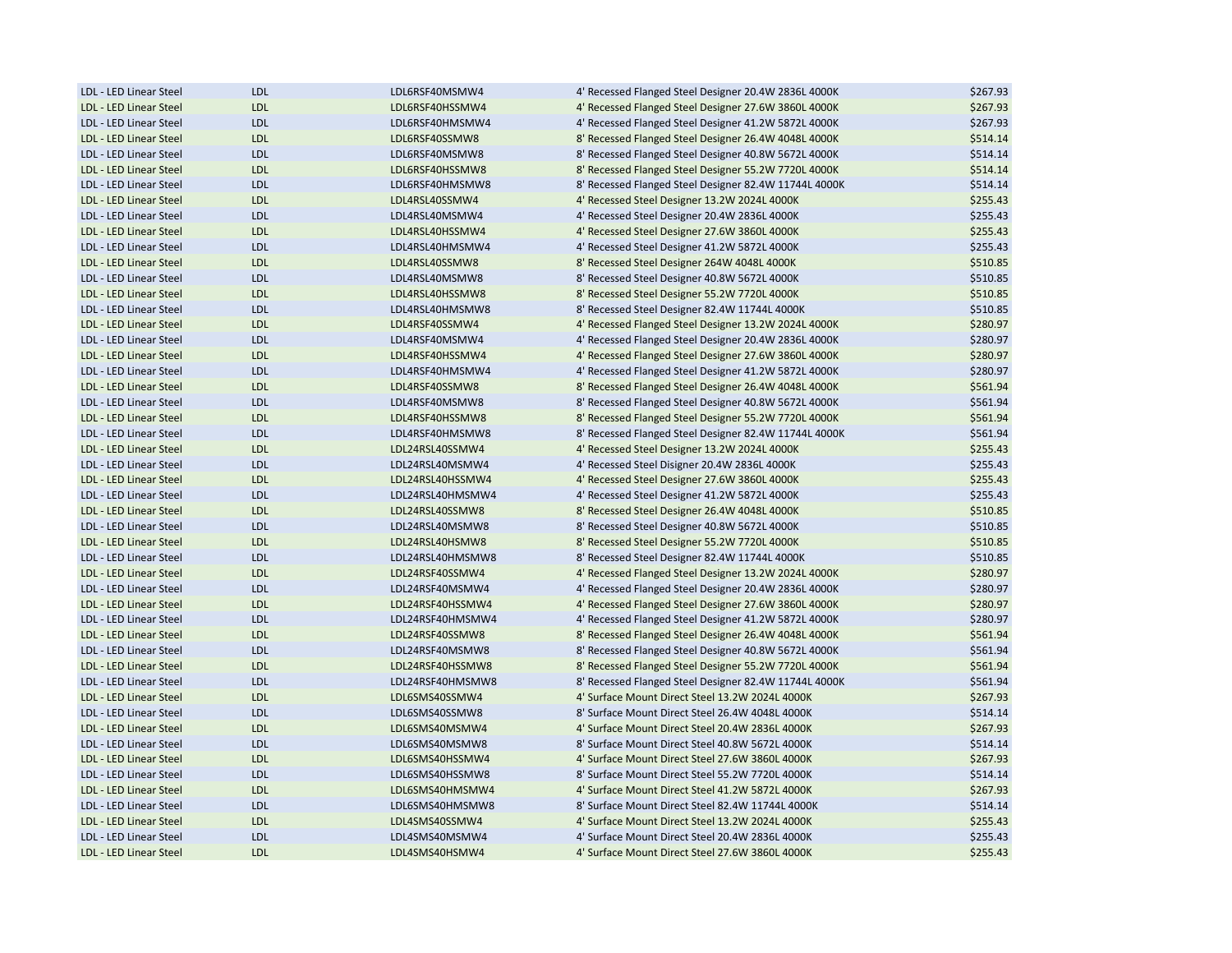| LDL - LED Linear Steel | <b>LDL</b> | LDL6RSF40MSMW4   | 4' Recessed Flanged Steel Designer 20.4W 2836L 4000K  | \$267.93 |
|------------------------|------------|------------------|-------------------------------------------------------|----------|
| LDL - LED Linear Steel | <b>LDL</b> | LDL6RSF40HSSMW4  | 4' Recessed Flanged Steel Designer 27.6W 3860L 4000K  | \$267.93 |
| LDL - LED Linear Steel | <b>LDL</b> | LDL6RSF40HMSMW4  | 4' Recessed Flanged Steel Designer 41.2W 5872L 4000K  | \$267.93 |
| LDL - LED Linear Steel | <b>LDL</b> | LDL6RSF40SSMW8   | 8' Recessed Flanged Steel Designer 26.4W 4048L 4000K  | \$514.14 |
| LDL - LED Linear Steel | <b>LDL</b> | LDL6RSF40MSMW8   | 8' Recessed Flanged Steel Designer 40.8W 5672L 4000K  | \$514.14 |
| LDL - LED Linear Steel | <b>LDL</b> | LDL6RSF40HSSMW8  | 8' Recessed Flanged Steel Designer 55.2W 7720L 4000K  | \$514.14 |
| LDL - LED Linear Steel | <b>LDL</b> | LDL6RSF40HMSMW8  | 8' Recessed Flanged Steel Designer 82.4W 11744L 4000K | \$514.14 |
| LDL - LED Linear Steel | <b>LDL</b> | LDL4RSL40SSMW4   | 4' Recessed Steel Designer 13.2W 2024L 4000K          | \$255.43 |
| LDL - LED Linear Steel | LDL        | LDL4RSL40MSMW4   | 4' Recessed Steel Designer 20.4W 2836L 4000K          | \$255.43 |
| LDL - LED Linear Steel | <b>LDL</b> | LDL4RSL40HSSMW4  | 4' Recessed Steel Designer 27.6W 3860L 4000K          | \$255.43 |
| LDL - LED Linear Steel | <b>LDL</b> | LDL4RSL40HMSMW4  | 4' Recessed Steel Designer 41.2W 5872L 4000K          | \$255.43 |
| LDL - LED Linear Steel | <b>LDL</b> | LDL4RSL40SSMW8   | 8' Recessed Steel Designer 264W 4048L 4000K           | \$510.85 |
| LDL - LED Linear Steel | <b>LDL</b> | LDL4RSL40MSMW8   | 8' Recessed Steel Designer 40.8W 5672L 4000K          | \$510.85 |
| LDL - LED Linear Steel | <b>LDL</b> | LDL4RSL40HSSMW8  | 8' Recessed Steel Designer 55.2W 7720L 4000K          | \$510.85 |
| LDL - LED Linear Steel | <b>LDL</b> | LDL4RSL40HMSMW8  | 8' Recessed Steel Designer 82.4W 11744L 4000K         | \$510.85 |
| LDL - LED Linear Steel | <b>LDL</b> | LDL4RSF40SSMW4   | 4' Recessed Flanged Steel Designer 13.2W 2024L 4000K  | \$280.97 |
| LDL - LED Linear Steel | LDL        | LDL4RSF40MSMW4   | 4' Recessed Flanged Steel Designer 20.4W 2836L 4000K  | \$280.97 |
| LDL - LED Linear Steel | <b>LDL</b> | LDL4RSF40HSSMW4  | 4' Recessed Flanged Steel Designer 27.6W 3860L 4000K  | \$280.97 |
| LDL - LED Linear Steel | <b>LDL</b> | LDL4RSF40HMSMW4  | 4' Recessed Flanged Steel Designer 41.2W 5872L 4000K  | \$280.97 |
| LDL - LED Linear Steel | <b>LDL</b> | LDL4RSF40SSMW8   | 8' Recessed Flanged Steel Designer 26.4W 4048L 4000K  | \$561.94 |
| LDL - LED Linear Steel | <b>LDL</b> | LDL4RSF40MSMW8   | 8' Recessed Flanged Steel Designer 40.8W 5672L 4000K  | \$561.94 |
| LDL - LED Linear Steel | LDL        | LDL4RSF40HSSMW8  | 8' Recessed Flanged Steel Designer 55.2W 7720L 4000K  | \$561.94 |
| LDL - LED Linear Steel | <b>LDL</b> | LDL4RSF40HMSMW8  | 8' Recessed Flanged Steel Designer 82.4W 11744L 4000K | \$561.94 |
|                        |            |                  |                                                       |          |
| LDL - LED Linear Steel | <b>LDL</b> | LDL24RSL40SSMW4  | 4' Recessed Steel Designer 13.2W 2024L 4000K          | \$255.43 |
| LDL - LED Linear Steel | <b>LDL</b> | LDL24RSL40MSMW4  | 4' Recessed Steel Disigner 20.4W 2836L 4000K          | \$255.43 |
| LDL - LED Linear Steel | <b>LDL</b> | LDL24RSL40HSSMW4 | 4' Recessed Steel Designer 27.6W 3860L 4000K          | \$255.43 |
| LDL - LED Linear Steel | <b>LDL</b> | LDL24RSL40HMSMW4 | 4' Recessed Steel Designer 41.2W 5872L 4000K          | \$255.43 |
| LDL - LED Linear Steel | <b>LDL</b> | LDL24RSL40SSMW8  | 8' Recessed Steel Designer 26.4W 4048L 4000K          | \$510.85 |
| LDL - LED Linear Steel | LDL        | LDL24RSL40MSMW8  | 8' Recessed Steel Designer 40.8W 5672L 4000K          | \$510.85 |
| LDL - LED Linear Steel | <b>LDL</b> | LDL24RSL40HSMW8  | 8' Recessed Steel Designer 55.2W 7720L 4000K          | \$510.85 |
| LDL - LED Linear Steel | <b>LDL</b> | LDL24RSL40HMSMW8 | 8' Recessed Steel Designer 82.4W 11744L 4000K         | \$510.85 |
| LDL - LED Linear Steel | <b>LDL</b> | LDL24RSF40SSMW4  | 4' Recessed Flanged Steel Designer 13.2W 2024L 4000K  | \$280.97 |
| LDL - LED Linear Steel | <b>LDL</b> | LDL24RSF40MSMW4  | 4' Recessed Flanged Steel Designer 20.4W 2836L 4000K  | \$280.97 |
| LDL - LED Linear Steel | <b>LDL</b> | LDL24RSF40HSSMW4 | 4' Recessed Flanged Steel Designer 27.6W 3860L 4000K  | \$280.97 |
| LDL - LED Linear Steel | <b>LDL</b> | LDL24RSF40HMSMW4 | 4' Recessed Flanged Steel Designer 41.2W 5872L 4000K  | \$280.97 |
| LDL - LED Linear Steel | <b>LDL</b> | LDL24RSF40SSMW8  | 8' Recessed Flanged Steel Designer 26.4W 4048L 4000K  | \$561.94 |
| LDL - LED Linear Steel | <b>LDL</b> | LDL24RSF40MSMW8  | 8' Recessed Flanged Steel Designer 40.8W 5672L 4000K  | \$561.94 |
| LDL - LED Linear Steel | <b>LDL</b> | LDL24RSF40HSSMW8 | 8' Recessed Flanged Steel Designer 55.2W 7720L 4000K  | \$561.94 |
| LDL - LED Linear Steel | <b>LDL</b> | LDL24RSF40HMSMW8 | 8' Recessed Flanged Steel Designer 82.4W 11744L 4000K | \$561.94 |
| LDL - LED Linear Steel | <b>LDL</b> | LDL6SMS40SSMW4   | 4' Surface Mount Direct Steel 13.2W 2024L 4000K       | \$267.93 |
| LDL - LED Linear Steel | <b>LDL</b> | LDL6SMS40SSMW8   | 8' Surface Mount Direct Steel 26.4W 4048L 4000K       | \$514.14 |
| LDL - LED Linear Steel | <b>LDL</b> | LDL6SMS40MSMW4   | 4' Surface Mount Direct Steel 20.4W 2836L 4000K       | \$267.93 |
| LDL - LED Linear Steel | <b>LDL</b> | LDL6SMS40MSMW8   | 8' Surface Mount Direct Steel 40.8W 5672L 4000K       | \$514.14 |
| LDL - LED Linear Steel | LDL        | LDL6SMS40HSSMW4  | 4' Surface Mount Direct Steel 27.6W 3860L 4000K       | \$267.93 |
| LDL - LED Linear Steel | <b>LDL</b> | LDL6SMS40HSSMW8  | 8' Surface Mount Direct Steel 55.2W 7720L 4000K       | \$514.14 |
| LDL - LED Linear Steel | <b>LDL</b> | LDL6SMS40HMSMW4  | 4' Surface Mount Direct Steel 41.2W 5872L 4000K       | \$267.93 |
| LDL - LED Linear Steel | <b>LDL</b> | LDL6SMS40HMSMW8  | 8' Surface Mount Direct Steel 82.4W 11744L 4000K      | \$514.14 |
| LDL - LED Linear Steel | LDL        | LDL4SMS40SSMW4   | 4' Surface Mount Direct Steel 13.2W 2024L 4000K       | \$255.43 |
| LDL - LED Linear Steel | LDL        | LDL4SMS40MSMW4   | 4' Surface Mount Direct Steel 20.4W 2836L 4000K       | \$255.43 |
| LDL - LED Linear Steel | <b>LDL</b> | LDL4SMS40HSMW4   | 4' Surface Mount Direct Steel 27.6W 3860L 4000K       | \$255.43 |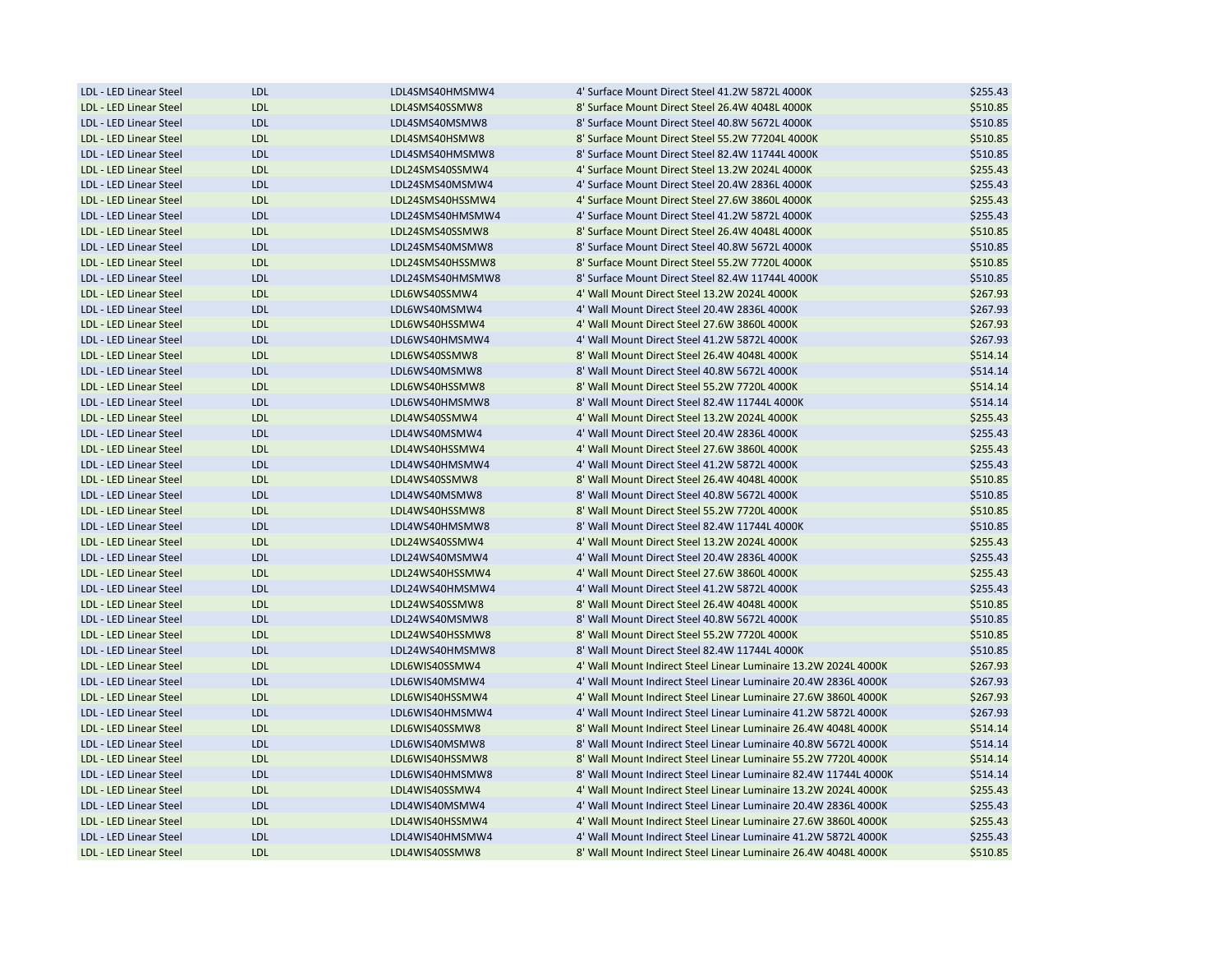| LDL - LED Linear Steel | <b>LDL</b>        | LDL4SMS40HMSMW4  | 4' Surface Mount Direct Steel 41.2W 5872L 4000K                  | \$255.43 |
|------------------------|-------------------|------------------|------------------------------------------------------------------|----------|
| LDL - LED Linear Steel | <b>LDL</b>        | LDL4SMS40SSMW8   | 8' Surface Mount Direct Steel 26.4W 4048L 4000K                  | \$510.85 |
| LDL - LED Linear Steel | LDL               | LDL4SMS40MSMW8   | 8' Surface Mount Direct Steel 40.8W 5672L 4000K                  | \$510.85 |
| LDL - LED Linear Steel | <b>LDL</b>        | LDL4SMS40HSMW8   | 8' Surface Mount Direct Steel 55.2W 77204L 4000K                 | \$510.85 |
| LDL - LED Linear Steel | <b>LDL</b>        | LDL4SMS40HMSMW8  | 8' Surface Mount Direct Steel 82.4W 11744L 4000K                 | \$510.85 |
| LDL - LED Linear Steel | <b>LDL</b>        | LDL24SMS40SSMW4  | 4' Surface Mount Direct Steel 13.2W 2024L 4000K                  | \$255.43 |
| LDL - LED Linear Steel | <b>LDL</b>        | LDL24SMS40MSMW4  | 4' Surface Mount Direct Steel 20.4W 2836L 4000K                  | \$255.43 |
| LDL - LED Linear Steel | <b>LDL</b>        | LDL24SMS40HSSMW4 | 4' Surface Mount Direct Steel 27.6W 3860L 4000K                  | \$255.43 |
| LDL - LED Linear Steel | LDL               | LDL24SMS40HMSMW4 | 4' Surface Mount Direct Steel 41.2W 5872L 4000K                  | \$255.43 |
| LDL - LED Linear Steel | <b>LDL</b>        | LDL24SMS40SSMW8  | 8' Surface Mount Direct Steel 26.4W 4048L 4000K                  | \$510.85 |
| LDL - LED Linear Steel | LDL               | LDL24SMS40MSMW8  | 8' Surface Mount Direct Steel 40.8W 5672L 4000K                  | \$510.85 |
| LDL - LED Linear Steel | <b>LDL</b>        | LDL24SMS40HSSMW8 | 8' Surface Mount Direct Steel 55.2W 7720L 4000K                  | \$510.85 |
| LDL - LED Linear Steel | LDL               | LDL24SMS40HMSMW8 | 8' Surface Mount Direct Steel 82.4W 11744L 4000K                 | \$510.85 |
| LDL - LED Linear Steel | <b>LDL</b>        | LDL6WS40SSMW4    | 4' Wall Mount Direct Steel 13.2W 2024L 4000K                     | \$267.93 |
| LDL - LED Linear Steel | <b>LDL</b>        | LDL6WS40MSMW4    | 4' Wall Mount Direct Steel 20.4W 2836L 4000K                     | \$267.93 |
| LDL - LED Linear Steel | <b>LDL</b>        | LDL6WS40HSSMW4   | 4' Wall Mount Direct Steel 27.6W 3860L 4000K                     | \$267.93 |
| LDL - LED Linear Steel | <b>LDL</b>        | LDL6WS40HMSMW4   | 4' Wall Mount Direct Steel 41.2W 5872L 4000K                     | \$267.93 |
| LDL - LED Linear Steel | <b>LDL</b>        | LDL6WS40SSMW8    | 8' Wall Mount Direct Steel 26.4W 4048L 4000K                     | \$514.14 |
| LDL - LED Linear Steel | <b>LDL</b>        | LDL6WS40MSMW8    | 8' Wall Mount Direct Steel 40.8W 5672L 4000K                     | \$514.14 |
| LDL - LED Linear Steel | <b>LDL</b>        | LDL6WS40HSSMW8   | 8' Wall Mount Direct Steel 55.2W 7720L 4000K                     | \$514.14 |
| LDL - LED Linear Steel | LDL               | LDL6WS40HMSMW8   | 8' Wall Mount Direct Steel 82.4W 11744L 4000K                    | \$514.14 |
| LDL - LED Linear Steel | <b>LDL</b>        | LDL4WS40SSMW4    | 4' Wall Mount Direct Steel 13.2W 2024L 4000K                     | \$255.43 |
| LDL - LED Linear Steel | LDL               | LDL4WS40MSMW4    | 4' Wall Mount Direct Steel 20.4W 2836L 4000K                     | \$255.43 |
| LDL - LED Linear Steel | <b>LDL</b>        | LDL4WS40HSSMW4   | 4' Wall Mount Direct Steel 27.6W 3860L 4000K                     | \$255.43 |
| LDL - LED Linear Steel | <b>LDL</b>        | LDL4WS40HMSMW4   | 4' Wall Mount Direct Steel 41.2W 5872L 4000K                     | \$255.43 |
| LDL - LED Linear Steel | <b>LDL</b>        | LDL4WS40SSMW8    | 8' Wall Mount Direct Steel 26.4W 4048L 4000K                     | \$510.85 |
| LDL - LED Linear Steel | <b>LDL</b>        | LDL4WS40MSMW8    | 8' Wall Mount Direct Steel 40.8W 5672L 4000K                     | \$510.85 |
| LDL - LED Linear Steel | <b>LDL</b>        | LDL4WS40HSSMW8   | 8' Wall Mount Direct Steel 55.2W 7720L 4000K                     | \$510.85 |
| LDL - LED Linear Steel | <b>LDL</b>        | LDL4WS40HMSMW8   | 8' Wall Mount Direct Steel 82.4W 11744L 4000K                    | \$510.85 |
| LDL - LED Linear Steel | <b>LDL</b>        | LDL24WS40SSMW4   | 4' Wall Mount Direct Steel 13.2W 2024L 4000K                     | \$255.43 |
| LDL - LED Linear Steel | <b>LDL</b>        | LDL24WS40MSMW4   | 4' Wall Mount Direct Steel 20.4W 2836L 4000K                     | \$255.43 |
| LDL - LED Linear Steel | <b>LDL</b>        | LDL24WS40HSSMW4  | 4' Wall Mount Direct Steel 27.6W 3860L 4000K                     | \$255.43 |
| LDL - LED Linear Steel | LDL               | LDL24WS40HMSMW4  | 4' Wall Mount Direct Steel 41.2W 5872L 4000K                     | \$255.43 |
| LDL - LED Linear Steel | <b>LDL</b>        | LDL24WS40SSMW8   | 8' Wall Mount Direct Steel 26.4W 4048L 4000K                     | \$510.85 |
| LDL - LED Linear Steel | <b>LDL</b>        | LDL24WS40MSMW8   | 8' Wall Mount Direct Steel 40.8W 5672L 4000K                     | \$510.85 |
| LDL - LED Linear Steel | <b>LDL</b>        | LDL24WS40HSSMW8  | 8' Wall Mount Direct Steel 55.2W 7720L 4000K                     | \$510.85 |
| LDL - LED Linear Steel | <b>LDL</b>        | LDL24WS40HMSMW8  | 8' Wall Mount Direct Steel 82.4W 11744L 4000K                    | \$510.85 |
| LDL - LED Linear Steel | <b>LDL</b>        | LDL6WIS40SSMW4   | 4' Wall Mount Indirect Steel Linear Luminaire 13.2W 2024L 4000K  | \$267.93 |
|                        |                   |                  |                                                                  |          |
| LDL - LED Linear Steel | <b>LDL</b>        | LDL6WIS40MSMW4   | 4' Wall Mount Indirect Steel Linear Luminaire 20.4W 2836L 4000K  | \$267.93 |
| LDL - LED Linear Steel | <b>LDL</b><br>LDL | LDL6WIS40HSSMW4  | 4' Wall Mount Indirect Steel Linear Luminaire 27.6W 3860L 4000K  | \$267.93 |
| LDL - LED Linear Steel |                   | LDL6WIS40HMSMW4  | 4' Wall Mount Indirect Steel Linear Luminaire 41.2W 5872L 4000K  | \$267.93 |
| LDL - LED Linear Steel | <b>LDL</b>        | LDL6WIS40SSMW8   | 8' Wall Mount Indirect Steel Linear Luminaire 26.4W 4048L 4000K  | \$514.14 |
| LDL - LED Linear Steel | LDL               | LDL6WIS40MSMW8   | 8' Wall Mount Indirect Steel Linear Luminaire 40.8W 5672L 4000K  | \$514.14 |
| LDL - LED Linear Steel | <b>LDL</b>        | LDL6WIS40HSSMW8  | 8' Wall Mount Indirect Steel Linear Luminaire 55.2W 7720L 4000K  | \$514.14 |
| LDL - LED Linear Steel | <b>LDL</b>        | LDL6WIS40HMSMW8  | 8' Wall Mount Indirect Steel Linear Luminaire 82.4W 11744L 4000K | \$514.14 |
| LDL - LED Linear Steel | <b>LDL</b>        | LDL4WIS40SSMW4   | 4' Wall Mount Indirect Steel Linear Luminaire 13.2W 2024L 4000K  | \$255.43 |
| LDL - LED Linear Steel | <b>LDL</b>        | LDL4WIS40MSMW4   | 4' Wall Mount Indirect Steel Linear Luminaire 20.4W 2836L 4000K  | \$255.43 |
| LDL - LED Linear Steel | <b>LDL</b>        | LDL4WIS40HSSMW4  | 4' Wall Mount Indirect Steel Linear Luminaire 27.6W 3860L 4000K  | \$255.43 |
| LDL - LED Linear Steel | LDL               | LDL4WIS40HMSMW4  | 4' Wall Mount Indirect Steel Linear Luminaire 41.2W 5872L 4000K  | \$255.43 |
| LDL - LED Linear Steel | <b>LDL</b>        | LDL4WIS40SSMW8   | 8' Wall Mount Indirect Steel Linear Luminaire 26.4W 4048L 4000K  | \$510.85 |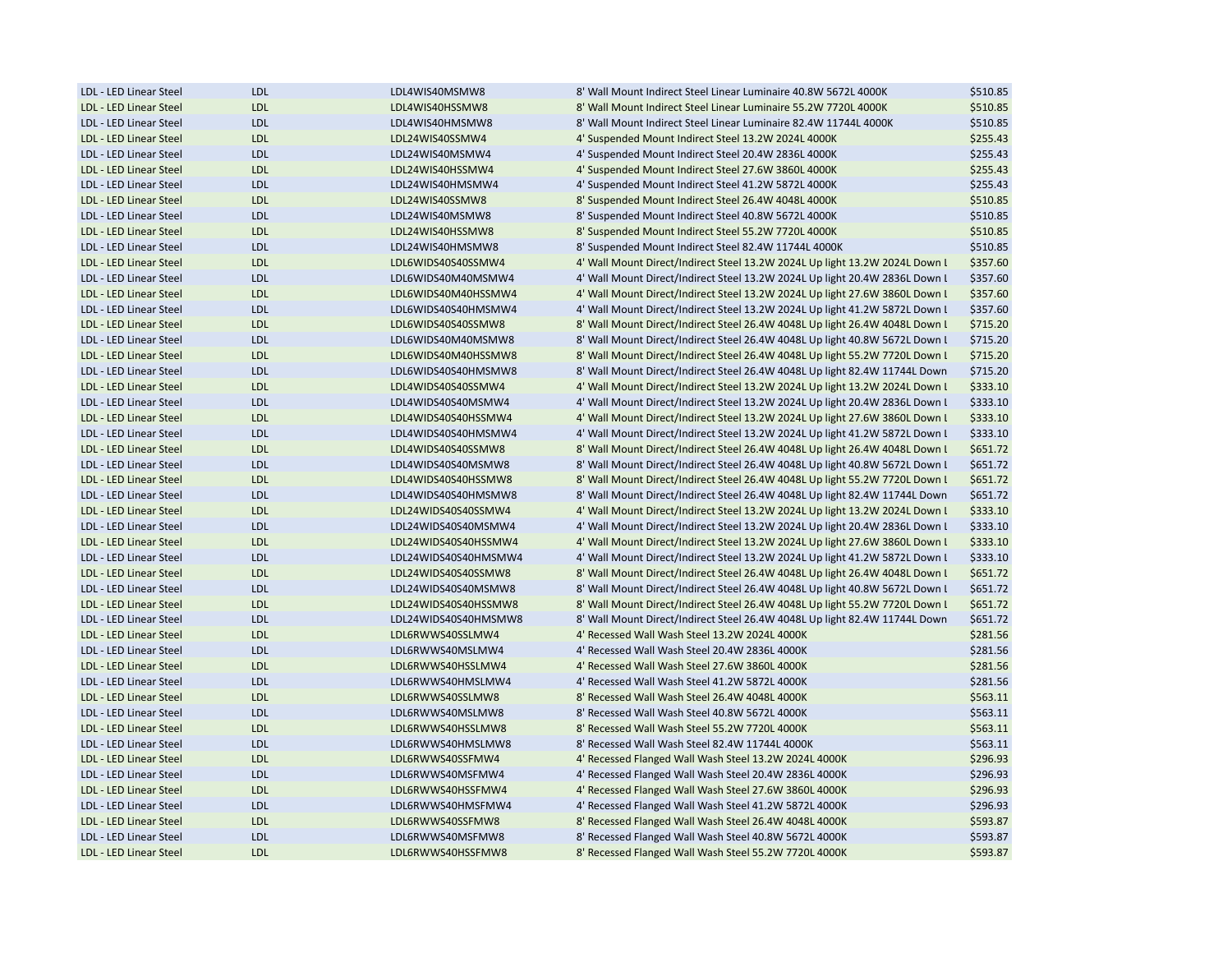| LDL - LED Linear Steel | <b>LDL</b> | LDL4WIS40MSMW8       | 8' Wall Mount Indirect Steel Linear Luminaire 40.8W 5672L 4000K             | \$510.85 |
|------------------------|------------|----------------------|-----------------------------------------------------------------------------|----------|
| LDL - LED Linear Steel | <b>LDL</b> | LDL4WIS40HSSMW8      | 8' Wall Mount Indirect Steel Linear Luminaire 55.2W 7720L 4000K             | \$510.85 |
| LDL - LED Linear Steel | <b>LDL</b> | LDL4WIS40HMSMW8      | 8' Wall Mount Indirect Steel Linear Luminaire 82.4W 11744L 4000K            | \$510.85 |
| LDL - LED Linear Steel | <b>LDL</b> | LDL24WIS40SSMW4      | 4' Suspended Mount Indirect Steel 13.2W 2024L 4000K                         | \$255.43 |
| LDL - LED Linear Steel | <b>LDL</b> | LDL24WIS40MSMW4      | 4' Suspended Mount Indirect Steel 20.4W 2836L 4000K                         | \$255.43 |
| LDL - LED Linear Steel | <b>LDL</b> | LDL24WIS40HSSMW4     | 4' Suspended Mount Indirect Steel 27.6W 3860L 4000K                         | \$255.43 |
| LDL - LED Linear Steel | <b>LDL</b> | LDL24WIS40HMSMW4     | 4' Suspended Mount Indirect Steel 41.2W 5872L 4000K                         | \$255.43 |
| LDL - LED Linear Steel | <b>LDL</b> | LDL24WIS40SSMW8      | 8' Suspended Mount Indirect Steel 26.4W 4048L 4000K                         | \$510.85 |
| LDL - LED Linear Steel | <b>LDL</b> | LDL24WIS40MSMW8      | 8' Suspended Mount Indirect Steel 40.8W 5672L 4000K                         | \$510.85 |
| LDL - LED Linear Steel | <b>LDL</b> | LDL24WIS40HSSMW8     | 8' Suspended Mount Indirect Steel 55.2W 7720L 4000K                         | \$510.85 |
| LDL - LED Linear Steel | <b>LDL</b> | LDL24WIS40HMSMW8     | 8' Suspended Mount Indirect Steel 82.4W 11744L 4000K                        | \$510.85 |
| LDL - LED Linear Steel | <b>LDL</b> | LDL6WIDS40S40SSMW4   | 4' Wall Mount Direct/Indirect Steel 13.2W 2024L Up light 13.2W 2024L Down L | \$357.60 |
| LDL - LED Linear Steel | <b>LDL</b> | LDL6WIDS40M40MSMW4   | 4' Wall Mount Direct/Indirect Steel 13.2W 2024L Up light 20.4W 2836L Down I | \$357.60 |
| LDL - LED Linear Steel | <b>LDL</b> | LDL6WIDS40M40HSSMW4  | 4' Wall Mount Direct/Indirect Steel 13.2W 2024L Up light 27.6W 3860L Down I | \$357.60 |
| LDL - LED Linear Steel | <b>LDL</b> | LDL6WIDS40S40HMSMW4  | 4' Wall Mount Direct/Indirect Steel 13.2W 2024L Up light 41.2W 5872L Down I | \$357.60 |
| LDL - LED Linear Steel | <b>LDL</b> | LDL6WIDS40S40SSMW8   | 8' Wall Mount Direct/Indirect Steel 26.4W 4048L Up light 26.4W 4048L Down I | \$715.20 |
| LDL - LED Linear Steel | <b>LDL</b> | LDL6WIDS40M40MSMW8   | 8' Wall Mount Direct/Indirect Steel 26.4W 4048L Up light 40.8W 5672L Down I | \$715.20 |
| LDL - LED Linear Steel | <b>LDL</b> | LDL6WIDS40M40HSSMW8  | 8' Wall Mount Direct/Indirect Steel 26.4W 4048L Up light 55.2W 7720L Down I | \$715.20 |
| LDL - LED Linear Steel | <b>LDL</b> | LDL6WIDS40S40HMSMW8  | 8' Wall Mount Direct/Indirect Steel 26.4W 4048L Up light 82.4W 11744L Down  | \$715.20 |
| LDL - LED Linear Steel | <b>LDL</b> | LDL4WIDS40S40SSMW4   | 4' Wall Mount Direct/Indirect Steel 13.2W 2024L Up light 13.2W 2024L Down I | \$333.10 |
| LDL - LED Linear Steel | <b>LDL</b> | LDL4WIDS40S40MSMW4   | 4' Wall Mount Direct/Indirect Steel 13.2W 2024L Up light 20.4W 2836L Down I | \$333.10 |
| LDL - LED Linear Steel | <b>LDL</b> | LDL4WIDS40S40HSSMW4  | 4' Wall Mount Direct/Indirect Steel 13.2W 2024L Up light 27.6W 3860L Down I | \$333.10 |
| LDL - LED Linear Steel | <b>LDL</b> | LDL4WIDS40S40HMSMW4  | 4' Wall Mount Direct/Indirect Steel 13.2W 2024L Up light 41.2W 5872L Down I | \$333.10 |
|                        |            |                      |                                                                             |          |
| LDL - LED Linear Steel | <b>LDL</b> | LDL4WIDS40S40SSMW8   | 8' Wall Mount Direct/Indirect Steel 26.4W 4048L Up light 26.4W 4048L Down I | \$651.72 |
| LDL - LED Linear Steel | <b>LDL</b> | LDL4WIDS40S40MSMW8   | 8' Wall Mount Direct/Indirect Steel 26.4W 4048L Up light 40.8W 5672L Down I | \$651.72 |
| LDL - LED Linear Steel | <b>LDL</b> | LDL4WIDS40S40HSSMW8  | 8' Wall Mount Direct/Indirect Steel 26.4W 4048L Up light 55.2W 7720L Down I | \$651.72 |
| LDL - LED Linear Steel | <b>LDL</b> | LDL4WIDS40S40HMSMW8  | 8' Wall Mount Direct/Indirect Steel 26.4W 4048L Up light 82.4W 11744L Down  | \$651.72 |
| LDL - LED Linear Steel | <b>LDL</b> | LDL24WIDS40S40SSMW4  | 4' Wall Mount Direct/Indirect Steel 13.2W 2024L Up light 13.2W 2024L Down I | \$333.10 |
| LDL - LED Linear Steel | <b>LDL</b> | LDL24WIDS40S40MSMW4  | 4' Wall Mount Direct/Indirect Steel 13.2W 2024L Up light 20.4W 2836L Down I | \$333.10 |
| LDL - LED Linear Steel | <b>LDL</b> | LDL24WIDS40S40HSSMW4 | 4' Wall Mount Direct/Indirect Steel 13.2W 2024L Up light 27.6W 3860L Down I | \$333.10 |
| LDL - LED Linear Steel | <b>LDL</b> | LDL24WIDS40S40HMSMW4 | 4' Wall Mount Direct/Indirect Steel 13.2W 2024L Up light 41.2W 5872L Down I | \$333.10 |
| LDL - LED Linear Steel | <b>LDL</b> | LDL24WIDS40S40SSMW8  | 8' Wall Mount Direct/Indirect Steel 26.4W 4048L Up light 26.4W 4048L Down I | \$651.72 |
| LDL - LED Linear Steel | <b>LDL</b> | LDL24WIDS40S40MSMW8  | 8' Wall Mount Direct/Indirect Steel 26.4W 4048L Up light 40.8W 5672L Down I | \$651.72 |
| LDL - LED Linear Steel | <b>LDL</b> | LDL24WIDS40S40HSSMW8 | 8' Wall Mount Direct/Indirect Steel 26.4W 4048L Up light 55.2W 7720L Down I | \$651.72 |
| LDL - LED Linear Steel | <b>LDL</b> | LDL24WIDS40S40HMSMW8 | 8' Wall Mount Direct/Indirect Steel 26.4W 4048L Up light 82.4W 11744L Down  | \$651.72 |
| LDL - LED Linear Steel | <b>LDL</b> | LDL6RWWS40SSLMW4     | 4' Recessed Wall Wash Steel 13.2W 2024L 4000K                               | \$281.56 |
| LDL - LED Linear Steel | <b>LDL</b> | LDL6RWWS40MSLMW4     | 4' Recessed Wall Wash Steel 20.4W 2836L 4000K                               | \$281.56 |
| LDL - LED Linear Steel | <b>LDL</b> | LDL6RWWS40HSSLMW4    | 4' Recessed Wall Wash Steel 27.6W 3860L 4000K                               | \$281.56 |
| LDL - LED Linear Steel | <b>LDL</b> | LDL6RWWS40HMSLMW4    | 4' Recessed Wall Wash Steel 41.2W 5872L 4000K                               | \$281.56 |
| LDL - LED Linear Steel | <b>LDL</b> | LDL6RWWS40SSLMW8     | 8' Recessed Wall Wash Steel 26.4W 4048L 4000K                               | \$563.11 |
| LDL - LED Linear Steel | <b>LDL</b> | LDL6RWWS40MSLMW8     | 8' Recessed Wall Wash Steel 40.8W 5672L 4000K                               | \$563.11 |
| LDL - LED Linear Steel | <b>LDL</b> | LDL6RWWS40HSSLMW8    | 8' Recessed Wall Wash Steel 55.2W 7720L 4000K                               | \$563.11 |
| LDL - LED Linear Steel | <b>LDL</b> | LDL6RWWS40HMSLMW8    | 8' Recessed Wall Wash Steel 82.4W 11744L 4000K                              | \$563.11 |
| LDL - LED Linear Steel | <b>LDL</b> | LDL6RWWS40SSFMW4     | 4' Recessed Flanged Wall Wash Steel 13.2W 2024L 4000K                       | \$296.93 |
| LDL - LED Linear Steel | <b>LDL</b> | LDL6RWWS40MSFMW4     | 4' Recessed Flanged Wall Wash Steel 20.4W 2836L 4000K                       | \$296.93 |
| LDL - LED Linear Steel | <b>LDL</b> | LDL6RWWS40HSSFMW4    | 4' Recessed Flanged Wall Wash Steel 27.6W 3860L 4000K                       | \$296.93 |
| LDL - LED Linear Steel | <b>LDL</b> | LDL6RWWS40HMSFMW4    | 4' Recessed Flanged Wall Wash Steel 41.2W 5872L 4000K                       | \$296.93 |
| LDL - LED Linear Steel | <b>LDL</b> | LDL6RWWS40SSFMW8     | 8' Recessed Flanged Wall Wash Steel 26.4W 4048L 4000K                       | \$593.87 |
| LDL - LED Linear Steel | <b>LDL</b> | LDL6RWWS40MSFMW8     | 8' Recessed Flanged Wall Wash Steel 40.8W 5672L 4000K                       | \$593.87 |
| LDL - LED Linear Steel | <b>LDL</b> | LDL6RWWS40HSSFMW8    | 8' Recessed Flanged Wall Wash Steel 55.2W 7720L 4000K                       | \$593.87 |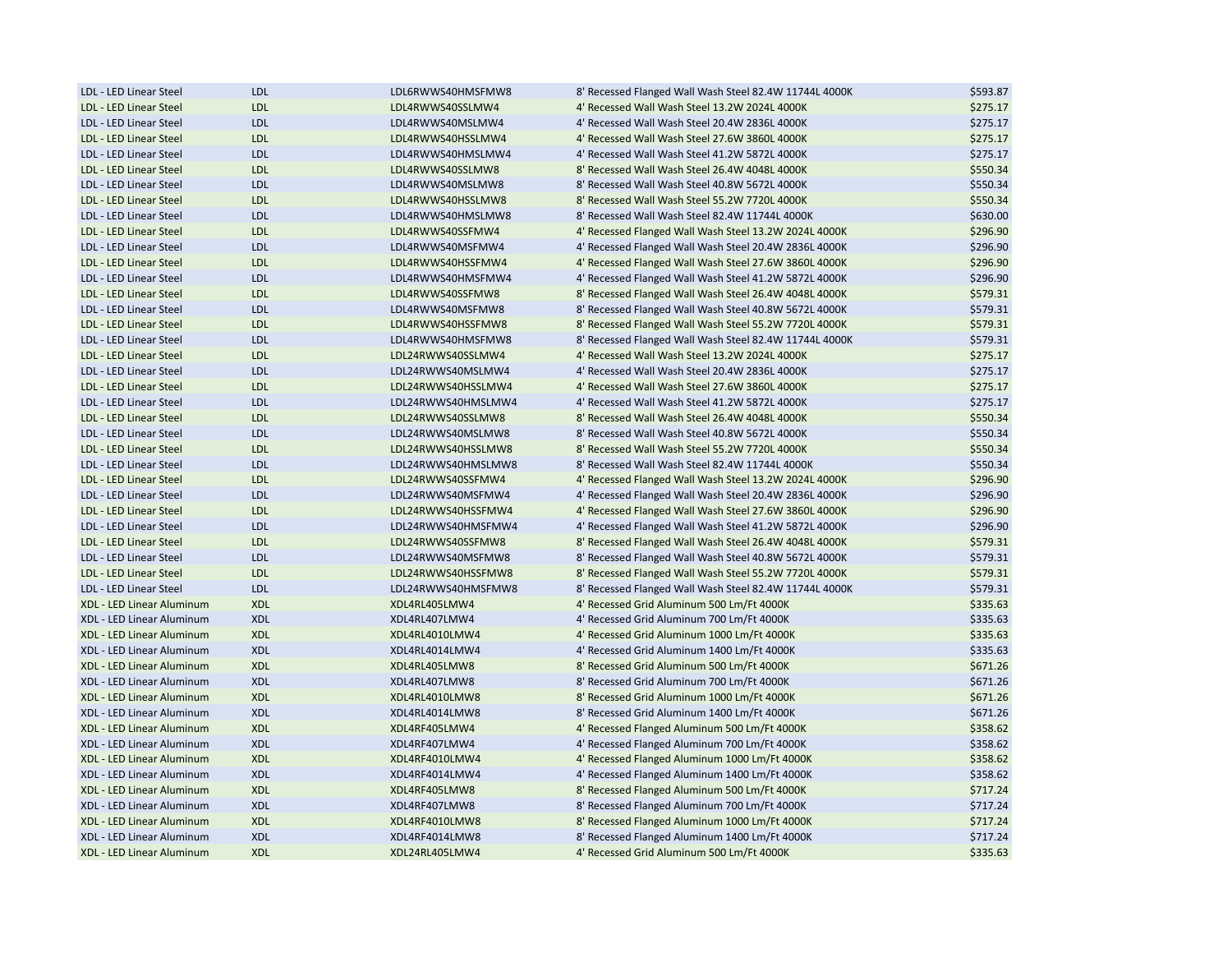| LDL - LED Linear Steel    | <b>LDL</b> | LDL6RWWS40HMSFMW8  | 8' Recessed Flanged Wall Wash Steel 82.4W 11744L 4000K | \$593.87 |
|---------------------------|------------|--------------------|--------------------------------------------------------|----------|
| LDL - LED Linear Steel    | <b>LDL</b> | LDL4RWWS40SSLMW4   | 4' Recessed Wall Wash Steel 13.2W 2024L 4000K          | \$275.17 |
| LDL - LED Linear Steel    | <b>LDL</b> | LDL4RWWS40MSLMW4   | 4' Recessed Wall Wash Steel 20.4W 2836L 4000K          | \$275.17 |
| LDL - LED Linear Steel    | <b>LDL</b> | LDL4RWWS40HSSLMW4  | 4' Recessed Wall Wash Steel 27.6W 3860L 4000K          | \$275.17 |
| LDL - LED Linear Steel    | <b>LDL</b> | LDL4RWWS40HMSLMW4  | 4' Recessed Wall Wash Steel 41.2W 5872L 4000K          | \$275.17 |
| LDL - LED Linear Steel    | <b>LDL</b> | LDL4RWWS40SSLMW8   | 8' Recessed Wall Wash Steel 26.4W 4048L 4000K          | \$550.34 |
| LDL - LED Linear Steel    | <b>LDL</b> | LDL4RWWS40MSLMW8   | 8' Recessed Wall Wash Steel 40.8W 5672L 4000K          | \$550.34 |
| LDL - LED Linear Steel    | <b>LDL</b> | LDL4RWWS40HSSLMW8  | 8' Recessed Wall Wash Steel 55.2W 7720L 4000K          | \$550.34 |
| LDL - LED Linear Steel    | <b>LDL</b> | LDL4RWWS40HMSLMW8  | 8' Recessed Wall Wash Steel 82.4W 11744L 4000K         | \$630.00 |
| LDL - LED Linear Steel    | <b>LDL</b> | LDL4RWWS40SSFMW4   | 4' Recessed Flanged Wall Wash Steel 13.2W 2024L 4000K  | \$296.90 |
| LDL - LED Linear Steel    | <b>LDL</b> | LDL4RWWS40MSFMW4   | 4' Recessed Flanged Wall Wash Steel 20.4W 2836L 4000K  | \$296.90 |
| LDL - LED Linear Steel    | <b>LDL</b> | LDL4RWWS40HSSFMW4  | 4' Recessed Flanged Wall Wash Steel 27.6W 3860L 4000K  | \$296.90 |
| LDL - LED Linear Steel    | <b>LDL</b> | LDL4RWWS40HMSFMW4  | 4' Recessed Flanged Wall Wash Steel 41.2W 5872L 4000K  | \$296.90 |
| LDL - LED Linear Steel    | <b>LDL</b> | LDL4RWWS40SSFMW8   | 8' Recessed Flanged Wall Wash Steel 26.4W 4048L 4000K  | \$579.31 |
| LDL - LED Linear Steel    | <b>LDL</b> | LDL4RWWS40MSFMW8   | 8' Recessed Flanged Wall Wash Steel 40.8W 5672L 4000K  | \$579.31 |
| LDL - LED Linear Steel    | <b>LDL</b> | LDL4RWWS40HSSFMW8  | 8' Recessed Flanged Wall Wash Steel 55.2W 7720L 4000K  | \$579.31 |
| LDL - LED Linear Steel    | <b>LDL</b> | LDL4RWWS40HMSFMW8  | 8' Recessed Flanged Wall Wash Steel 82.4W 11744L 4000K | \$579.31 |
| LDL - LED Linear Steel    | <b>LDL</b> | LDL24RWWS40SSLMW4  | 4' Recessed Wall Wash Steel 13.2W 2024L 4000K          | \$275.17 |
| LDL - LED Linear Steel    | <b>LDL</b> | LDL24RWWS40MSLMW4  | 4' Recessed Wall Wash Steel 20.4W 2836L 4000K          | \$275.17 |
| LDL - LED Linear Steel    | <b>LDL</b> | LDL24RWWS40HSSLMW4 | 4' Recessed Wall Wash Steel 27.6W 3860L 4000K          | \$275.17 |
| LDL - LED Linear Steel    | <b>LDL</b> | LDL24RWWS40HMSLMW4 | 4' Recessed Wall Wash Steel 41.2W 5872L 4000K          | \$275.17 |
| LDL - LED Linear Steel    | <b>LDL</b> | LDL24RWWS40SSLMW8  | 8' Recessed Wall Wash Steel 26.4W 4048L 4000K          | \$550.34 |
| LDL - LED Linear Steel    | <b>LDL</b> | LDL24RWWS40MSLMW8  | 8' Recessed Wall Wash Steel 40.8W 5672L 4000K          | \$550.34 |
| LDL - LED Linear Steel    | <b>LDL</b> | LDL24RWWS40HSSLMW8 | 8' Recessed Wall Wash Steel 55.2W 7720L 4000K          | \$550.34 |
| LDL - LED Linear Steel    | <b>LDL</b> | LDL24RWWS40HMSLMW8 | 8' Recessed Wall Wash Steel 82.4W 11744L 4000K         | \$550.34 |
| LDL - LED Linear Steel    | <b>LDL</b> | LDL24RWWS40SSFMW4  | 4' Recessed Flanged Wall Wash Steel 13.2W 2024L 4000K  | \$296.90 |
| LDL - LED Linear Steel    | <b>LDL</b> | LDL24RWWS40MSFMW4  | 4' Recessed Flanged Wall Wash Steel 20.4W 2836L 4000K  | \$296.90 |
| LDL - LED Linear Steel    | <b>LDL</b> | LDL24RWWS40HSSFMW4 | 4' Recessed Flanged Wall Wash Steel 27.6W 3860L 4000K  | \$296.90 |
| LDL - LED Linear Steel    | <b>LDL</b> | LDL24RWWS40HMSFMW4 | 4' Recessed Flanged Wall Wash Steel 41.2W 5872L 4000K  | \$296.90 |
| LDL - LED Linear Steel    | <b>LDL</b> | LDL24RWWS40SSFMW8  | 8' Recessed Flanged Wall Wash Steel 26.4W 4048L 4000K  | \$579.31 |
| LDL - LED Linear Steel    | <b>LDL</b> | LDL24RWWS40MSFMW8  | 8' Recessed Flanged Wall Wash Steel 40.8W 5672L 4000K  | \$579.31 |
| LDL - LED Linear Steel    | <b>LDL</b> | LDL24RWWS40HSSFMW8 | 8' Recessed Flanged Wall Wash Steel 55.2W 7720L 4000K  | \$579.31 |
| LDL - LED Linear Steel    | <b>LDL</b> | LDL24RWWS40HMSFMW8 | 8' Recessed Flanged Wall Wash Steel 82.4W 11744L 4000K | \$579.31 |
| XDL - LED Linear Aluminum | <b>XDL</b> | XDL4RL405LMW4      | 4' Recessed Grid Aluminum 500 Lm/Ft 4000K              | \$335.63 |
| XDL - LED Linear Aluminum | <b>XDL</b> | XDL4RL407LMW4      | 4' Recessed Grid Aluminum 700 Lm/Ft 4000K              | \$335.63 |
| XDL - LED Linear Aluminum | <b>XDL</b> | XDL4RL4010LMW4     | 4' Recessed Grid Aluminum 1000 Lm/Ft 4000K             | \$335.63 |
| XDL - LED Linear Aluminum | <b>XDL</b> | XDL4RL4014LMW4     | 4' Recessed Grid Aluminum 1400 Lm/Ft 4000K             | \$335.63 |
| XDL - LED Linear Aluminum | <b>XDL</b> | XDL4RL405LMW8      | 8' Recessed Grid Aluminum 500 Lm/Ft 4000K              | \$671.26 |
| XDL - LED Linear Aluminum | <b>XDL</b> | XDL4RL407LMW8      | 8' Recessed Grid Aluminum 700 Lm/Ft 4000K              | \$671.26 |
| XDL - LED Linear Aluminum | <b>XDL</b> | XDL4RL4010LMW8     | 8' Recessed Grid Aluminum 1000 Lm/Ft 4000K             | \$671.26 |
| XDL - LED Linear Aluminum | <b>XDL</b> | XDL4RL4014LMW8     | 8' Recessed Grid Aluminum 1400 Lm/Ft 4000K             | \$671.26 |
| XDL - LED Linear Aluminum | <b>XDL</b> | XDL4RF405LMW4      | 4' Recessed Flanged Aluminum 500 Lm/Ft 4000K           | \$358.62 |
| XDL - LED Linear Aluminum | <b>XDL</b> | XDL4RF407LMW4      | 4' Recessed Flanged Aluminum 700 Lm/Ft 4000K           | \$358.62 |
| XDL - LED Linear Aluminum | <b>XDL</b> | XDL4RF4010LMW4     | 4' Recessed Flanged Aluminum 1000 Lm/Ft 4000K          | \$358.62 |
| XDL - LED Linear Aluminum | <b>XDL</b> | XDL4RF4014LMW4     | 4' Recessed Flanged Aluminum 1400 Lm/Ft 4000K          | \$358.62 |
| XDL - LED Linear Aluminum | <b>XDL</b> | XDL4RF405LMW8      | 8' Recessed Flanged Aluminum 500 Lm/Ft 4000K           | \$717.24 |
| XDL - LED Linear Aluminum | <b>XDL</b> | XDL4RF407LMW8      | 8' Recessed Flanged Aluminum 700 Lm/Ft 4000K           | \$717.24 |
| XDL - LED Linear Aluminum | <b>XDL</b> | XDL4RF4010LMW8     | 8' Recessed Flanged Aluminum 1000 Lm/Ft 4000K          | \$717.24 |
| XDL - LED Linear Aluminum | <b>XDL</b> | XDL4RF4014LMW8     | 8' Recessed Flanged Aluminum 1400 Lm/Ft 4000K          | \$717.24 |
|                           |            |                    |                                                        |          |
| XDL - LED Linear Aluminum | <b>XDL</b> | XDL24RL405LMW4     | 4' Recessed Grid Aluminum 500 Lm/Ft 4000K              | \$335.63 |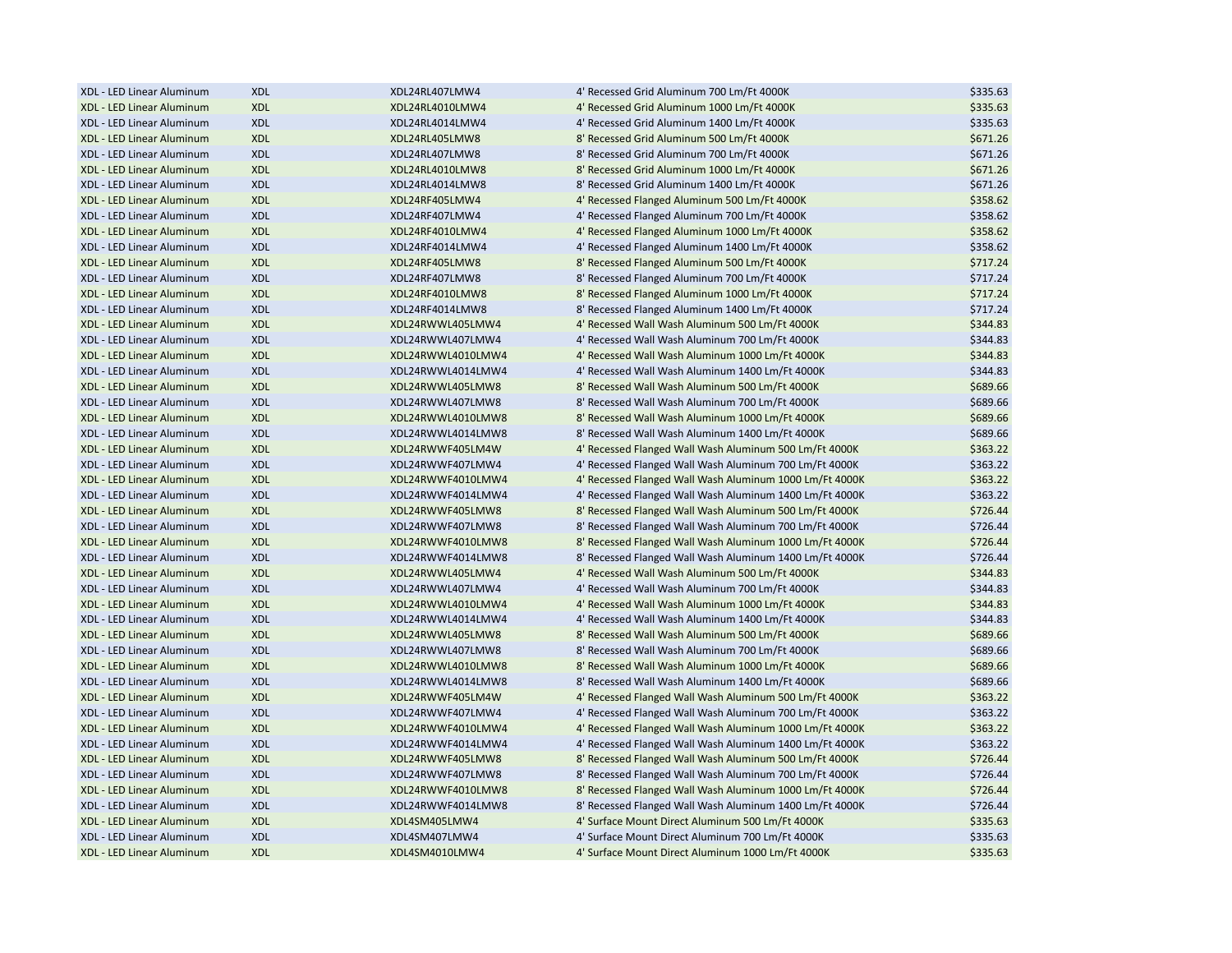| XDL - LED Linear Aluminum | <b>XDL</b> | XDL24RL407LMW4    | 4' Recessed Grid Aluminum 700 Lm/Ft 4000K               | \$335.63 |
|---------------------------|------------|-------------------|---------------------------------------------------------|----------|
| XDL - LED Linear Aluminum | <b>XDL</b> | XDL24RL4010LMW4   | 4' Recessed Grid Aluminum 1000 Lm/Ft 4000K              | \$335.63 |
| XDL - LED Linear Aluminum | <b>XDL</b> | XDL24RL4014LMW4   | 4' Recessed Grid Aluminum 1400 Lm/Ft 4000K              | \$335.63 |
| XDL - LED Linear Aluminum | <b>XDL</b> | XDL24RL405LMW8    | 8' Recessed Grid Aluminum 500 Lm/Ft 4000K               | \$671.26 |
| XDL - LED Linear Aluminum | <b>XDL</b> | XDL24RL407LMW8    | 8' Recessed Grid Aluminum 700 Lm/Ft 4000K               | \$671.26 |
| XDL - LED Linear Aluminum | <b>XDL</b> | XDL24RL4010LMW8   | 8' Recessed Grid Aluminum 1000 Lm/Ft 4000K              | \$671.26 |
| XDL - LED Linear Aluminum | <b>XDL</b> | XDL24RL4014LMW8   | 8' Recessed Grid Aluminum 1400 Lm/Ft 4000K              | \$671.26 |
| XDL - LED Linear Aluminum | <b>XDL</b> | XDL24RF405LMW4    | 4' Recessed Flanged Aluminum 500 Lm/Ft 4000K            | \$358.62 |
| XDL - LED Linear Aluminum | <b>XDL</b> | XDL24RF407LMW4    | 4' Recessed Flanged Aluminum 700 Lm/Ft 4000K            | \$358.62 |
| XDL - LED Linear Aluminum | <b>XDL</b> | XDL24RF4010LMW4   | 4' Recessed Flanged Aluminum 1000 Lm/Ft 4000K           | \$358.62 |
| XDL - LED Linear Aluminum | <b>XDL</b> | XDL24RF4014LMW4   | 4' Recessed Flanged Aluminum 1400 Lm/Ft 4000K           | \$358.62 |
| XDL - LED Linear Aluminum | <b>XDL</b> | XDL24RF405LMW8    | 8' Recessed Flanged Aluminum 500 Lm/Ft 4000K            | \$717.24 |
| XDL - LED Linear Aluminum | <b>XDL</b> | XDL24RF407LMW8    | 8' Recessed Flanged Aluminum 700 Lm/Ft 4000K            | \$717.24 |
| XDL - LED Linear Aluminum | <b>XDL</b> | XDL24RF4010LMW8   | 8' Recessed Flanged Aluminum 1000 Lm/Ft 4000K           | \$717.24 |
| XDL - LED Linear Aluminum | <b>XDL</b> | XDL24RF4014LMW8   | 8' Recessed Flanged Aluminum 1400 Lm/Ft 4000K           | \$717.24 |
| XDL - LED Linear Aluminum | <b>XDL</b> | XDL24RWWL405LMW4  | 4' Recessed Wall Wash Aluminum 500 Lm/Ft 4000K          | \$344.83 |
| XDL - LED Linear Aluminum | <b>XDL</b> | XDL24RWWL407LMW4  | 4' Recessed Wall Wash Aluminum 700 Lm/Ft 4000K          | \$344.83 |
| XDL - LED Linear Aluminum | <b>XDL</b> | XDL24RWWL4010LMW4 | 4' Recessed Wall Wash Aluminum 1000 Lm/Ft 4000K         | \$344.83 |
| XDL - LED Linear Aluminum | <b>XDL</b> | XDL24RWWL4014LMW4 | 4' Recessed Wall Wash Aluminum 1400 Lm/Ft 4000K         | \$344.83 |
| XDL - LED Linear Aluminum | <b>XDL</b> | XDL24RWWL405LMW8  | 8' Recessed Wall Wash Aluminum 500 Lm/Ft 4000K          | \$689.66 |
| XDL - LED Linear Aluminum | <b>XDL</b> | XDL24RWWL407LMW8  | 8' Recessed Wall Wash Aluminum 700 Lm/Ft 4000K          | \$689.66 |
| XDL - LED Linear Aluminum | <b>XDL</b> | XDL24RWWL4010LMW8 | 8' Recessed Wall Wash Aluminum 1000 Lm/Ft 4000K         | \$689.66 |
| XDL - LED Linear Aluminum | <b>XDL</b> | XDL24RWWL4014LMW8 | 8' Recessed Wall Wash Aluminum 1400 Lm/Ft 4000K         | \$689.66 |
|                           | <b>XDL</b> | XDL24RWWF405LM4W  | 4' Recessed Flanged Wall Wash Aluminum 500 Lm/Ft 4000K  | \$363.22 |
| XDL - LED Linear Aluminum |            |                   |                                                         |          |
| XDL - LED Linear Aluminum | <b>XDL</b> | XDL24RWWF407LMW4  | 4' Recessed Flanged Wall Wash Aluminum 700 Lm/Ft 4000K  | \$363.22 |
| XDL - LED Linear Aluminum | <b>XDL</b> | XDL24RWWF4010LMW4 | 4' Recessed Flanged Wall Wash Aluminum 1000 Lm/Ft 4000K | \$363.22 |
| XDL - LED Linear Aluminum | <b>XDL</b> | XDL24RWWF4014LMW4 | 4' Recessed Flanged Wall Wash Aluminum 1400 Lm/Ft 4000K | \$363.22 |
| XDL - LED Linear Aluminum | <b>XDL</b> | XDL24RWWF405LMW8  | 8' Recessed Flanged Wall Wash Aluminum 500 Lm/Ft 4000K  | \$726.44 |
| XDL - LED Linear Aluminum | <b>XDL</b> | XDL24RWWF407LMW8  | 8' Recessed Flanged Wall Wash Aluminum 700 Lm/Ft 4000K  | \$726.44 |
| XDL - LED Linear Aluminum | <b>XDL</b> | XDL24RWWF4010LMW8 | 8' Recessed Flanged Wall Wash Aluminum 1000 Lm/Ft 4000K | \$726.44 |
| XDL - LED Linear Aluminum | <b>XDL</b> | XDL24RWWF4014LMW8 | 8' Recessed Flanged Wall Wash Aluminum 1400 Lm/Ft 4000K | \$726.44 |
| XDL - LED Linear Aluminum | <b>XDL</b> | XDL24RWWL405LMW4  | 4' Recessed Wall Wash Aluminum 500 Lm/Ft 4000K          | \$344.83 |
| XDL - LED Linear Aluminum | <b>XDL</b> | XDL24RWWL407LMW4  | 4' Recessed Wall Wash Aluminum 700 Lm/Ft 4000K          | \$344.83 |
| XDL - LED Linear Aluminum | <b>XDL</b> | XDL24RWWL4010LMW4 | 4' Recessed Wall Wash Aluminum 1000 Lm/Ft 4000K         | \$344.83 |
| XDL - LED Linear Aluminum | <b>XDL</b> | XDL24RWWL4014LMW4 | 4' Recessed Wall Wash Aluminum 1400 Lm/Ft 4000K         | \$344.83 |
| XDL - LED Linear Aluminum | <b>XDL</b> | XDL24RWWL405LMW8  | 8' Recessed Wall Wash Aluminum 500 Lm/Ft 4000K          | \$689.66 |
| XDL - LED Linear Aluminum | <b>XDL</b> | XDL24RWWL407LMW8  | 8' Recessed Wall Wash Aluminum 700 Lm/Ft 4000K          | \$689.66 |
| XDL - LED Linear Aluminum | <b>XDL</b> | XDL24RWWL4010LMW8 | 8' Recessed Wall Wash Aluminum 1000 Lm/Ft 4000K         | \$689.66 |
| XDL - LED Linear Aluminum | <b>XDL</b> | XDL24RWWL4014LMW8 | 8' Recessed Wall Wash Aluminum 1400 Lm/Ft 4000K         | \$689.66 |
| XDL - LED Linear Aluminum | <b>XDL</b> | XDL24RWWF405LM4W  | 4' Recessed Flanged Wall Wash Aluminum 500 Lm/Ft 4000K  | \$363.22 |
| XDL - LED Linear Aluminum | <b>XDL</b> | XDL24RWWF407LMW4  | 4' Recessed Flanged Wall Wash Aluminum 700 Lm/Ft 4000K  | \$363.22 |
| XDL - LED Linear Aluminum | <b>XDL</b> | XDL24RWWF4010LMW4 | 4' Recessed Flanged Wall Wash Aluminum 1000 Lm/Ft 4000K | \$363.22 |
| XDL - LED Linear Aluminum | <b>XDL</b> | XDL24RWWF4014LMW4 | 4' Recessed Flanged Wall Wash Aluminum 1400 Lm/Ft 4000K | \$363.22 |
| XDL - LED Linear Aluminum | <b>XDL</b> | XDL24RWWF405LMW8  | 8' Recessed Flanged Wall Wash Aluminum 500 Lm/Ft 4000K  | \$726.44 |
| XDL - LED Linear Aluminum | <b>XDL</b> | XDL24RWWF407LMW8  | 8' Recessed Flanged Wall Wash Aluminum 700 Lm/Ft 4000K  | \$726.44 |
| XDL - LED Linear Aluminum | <b>XDL</b> | XDL24RWWF4010LMW8 | 8' Recessed Flanged Wall Wash Aluminum 1000 Lm/Ft 4000K | \$726.44 |
| XDL - LED Linear Aluminum | <b>XDL</b> | XDL24RWWF4014LMW8 | 8' Recessed Flanged Wall Wash Aluminum 1400 Lm/Ft 4000K | \$726.44 |
| XDL - LED Linear Aluminum | <b>XDL</b> | XDL4SM405LMW4     | 4' Surface Mount Direct Aluminum 500 Lm/Ft 4000K        | \$335.63 |
| XDL - LED Linear Aluminum | <b>XDL</b> | XDL4SM407LMW4     | 4' Surface Mount Direct Aluminum 700 Lm/Ft 4000K        | \$335.63 |
| XDL - LED Linear Aluminum | <b>XDL</b> | XDL4SM4010LMW4    | 4' Surface Mount Direct Aluminum 1000 Lm/Ft 4000K       | \$335.63 |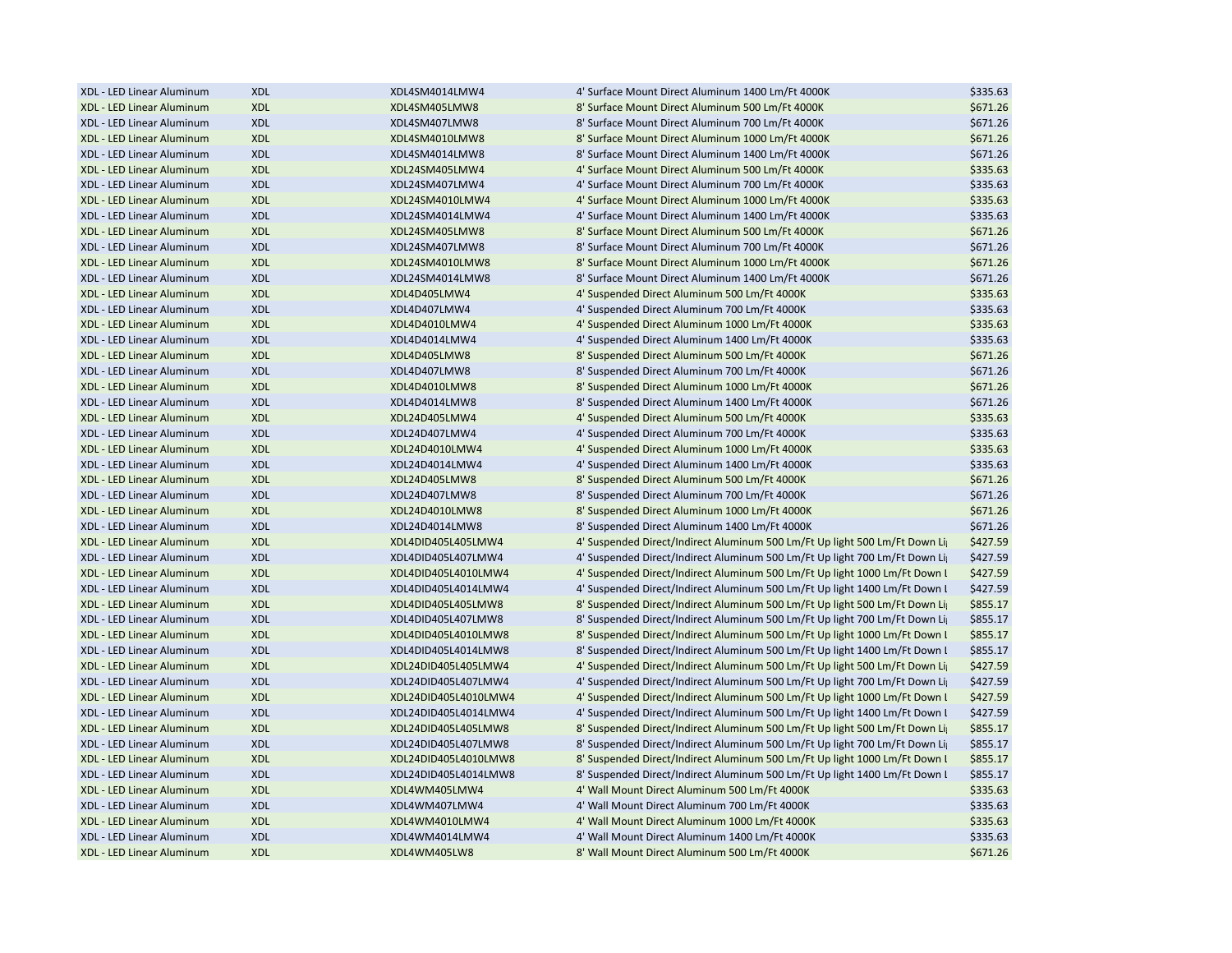| XDL - LED Linear Aluminum | <b>XDL</b> | XDL4SM4014LMW4       | 4' Surface Mount Direct Aluminum 1400 Lm/Ft 4000K                             | \$335.63 |
|---------------------------|------------|----------------------|-------------------------------------------------------------------------------|----------|
| XDL - LED Linear Aluminum | <b>XDL</b> | XDL4SM405LMW8        | 8' Surface Mount Direct Aluminum 500 Lm/Ft 4000K                              | \$671.26 |
| XDL - LED Linear Aluminum | <b>XDL</b> | XDL4SM407LMW8        | 8' Surface Mount Direct Aluminum 700 Lm/Ft 4000K                              | \$671.26 |
| XDL - LED Linear Aluminum | <b>XDL</b> | XDL4SM4010LMW8       | 8' Surface Mount Direct Aluminum 1000 Lm/Ft 4000K                             | \$671.26 |
| XDL - LED Linear Aluminum | <b>XDL</b> | XDL4SM4014LMW8       | 8' Surface Mount Direct Aluminum 1400 Lm/Ft 4000K                             | \$671.26 |
| XDL - LED Linear Aluminum | <b>XDL</b> | XDL24SM405LMW4       | 4' Surface Mount Direct Aluminum 500 Lm/Ft 4000K                              | \$335.63 |
| XDL - LED Linear Aluminum | <b>XDL</b> | XDL24SM407LMW4       | 4' Surface Mount Direct Aluminum 700 Lm/Ft 4000K                              | \$335.63 |
| XDL - LED Linear Aluminum | <b>XDL</b> | XDL24SM4010LMW4      | 4' Surface Mount Direct Aluminum 1000 Lm/Ft 4000K                             | \$335.63 |
| XDL - LED Linear Aluminum | <b>XDL</b> | XDL24SM4014LMW4      | 4' Surface Mount Direct Aluminum 1400 Lm/Ft 4000K                             | \$335.63 |
| XDL - LED Linear Aluminum | <b>XDL</b> | XDL24SM405LMW8       | 8' Surface Mount Direct Aluminum 500 Lm/Ft 4000K                              | \$671.26 |
| XDL - LED Linear Aluminum | <b>XDL</b> | XDL24SM407LMW8       | 8' Surface Mount Direct Aluminum 700 Lm/Ft 4000K                              | \$671.26 |
| XDL - LED Linear Aluminum | <b>XDL</b> | XDL24SM4010LMW8      | 8' Surface Mount Direct Aluminum 1000 Lm/Ft 4000K                             | \$671.26 |
| XDL - LED Linear Aluminum | <b>XDL</b> | XDL24SM4014LMW8      | 8' Surface Mount Direct Aluminum 1400 Lm/Ft 4000K                             | \$671.26 |
| XDL - LED Linear Aluminum | <b>XDL</b> | XDL4D405LMW4         | 4' Suspended Direct Aluminum 500 Lm/Ft 4000K                                  | \$335.63 |
| XDL - LED Linear Aluminum | <b>XDL</b> | XDL4D407LMW4         | 4' Suspended Direct Aluminum 700 Lm/Ft 4000K                                  | \$335.63 |
| XDL - LED Linear Aluminum | <b>XDL</b> | XDL4D4010LMW4        | 4' Suspended Direct Aluminum 1000 Lm/Ft 4000K                                 | \$335.63 |
| XDL - LED Linear Aluminum | <b>XDL</b> | XDL4D4014LMW4        | 4' Suspended Direct Aluminum 1400 Lm/Ft 4000K                                 | \$335.63 |
| XDL - LED Linear Aluminum | <b>XDL</b> | XDL4D405LMW8         | 8' Suspended Direct Aluminum 500 Lm/Ft 4000K                                  | \$671.26 |
| XDL - LED Linear Aluminum | <b>XDL</b> | XDL4D407LMW8         | 8' Suspended Direct Aluminum 700 Lm/Ft 4000K                                  | \$671.26 |
| XDL - LED Linear Aluminum | <b>XDL</b> | XDL4D4010LMW8        | 8' Suspended Direct Aluminum 1000 Lm/Ft 4000K                                 | \$671.26 |
| XDL - LED Linear Aluminum | <b>XDL</b> | XDL4D4014LMW8        | 8' Suspended Direct Aluminum 1400 Lm/Ft 4000K                                 | \$671.26 |
| XDL - LED Linear Aluminum | <b>XDL</b> | XDL24D405LMW4        | 4' Suspended Direct Aluminum 500 Lm/Ft 4000K                                  | \$335.63 |
| XDL - LED Linear Aluminum | <b>XDL</b> | XDL24D407LMW4        | 4' Suspended Direct Aluminum 700 Lm/Ft 4000K                                  | \$335.63 |
| XDL - LED Linear Aluminum |            | XDL24D4010LMW4       | 4' Suspended Direct Aluminum 1000 Lm/Ft 4000K                                 |          |
|                           | <b>XDL</b> |                      |                                                                               | \$335.63 |
| XDL - LED Linear Aluminum | <b>XDL</b> | XDL24D4014LMW4       | 4' Suspended Direct Aluminum 1400 Lm/Ft 4000K                                 | \$335.63 |
| XDL - LED Linear Aluminum | <b>XDL</b> | XDL24D405LMW8        | 8' Suspended Direct Aluminum 500 Lm/Ft 4000K                                  | \$671.26 |
| XDL - LED Linear Aluminum | <b>XDL</b> | XDL24D407LMW8        | 8' Suspended Direct Aluminum 700 Lm/Ft 4000K                                  | \$671.26 |
| XDL - LED Linear Aluminum | <b>XDL</b> | XDL24D4010LMW8       | 8' Suspended Direct Aluminum 1000 Lm/Ft 4000K                                 | \$671.26 |
| XDL - LED Linear Aluminum | <b>XDL</b> | XDL24D4014LMW8       | 8' Suspended Direct Aluminum 1400 Lm/Ft 4000K                                 | \$671.26 |
| XDL - LED Linear Aluminum | <b>XDL</b> | XDL4DID405L405LMW4   | 4' Suspended Direct/Indirect Aluminum 500 Lm/Ft Up light 500 Lm/Ft Down Light | \$427.59 |
| XDL - LED Linear Aluminum | <b>XDL</b> | XDL4DID405L407LMW4   | 4' Suspended Direct/Indirect Aluminum 500 Lm/Ft Up light 700 Lm/Ft Down Light | \$427.59 |
| XDL - LED Linear Aluminum | <b>XDL</b> | XDL4DID405L4010LMW4  | 4' Suspended Direct/Indirect Aluminum 500 Lm/Ft Up light 1000 Lm/Ft Down I    | \$427.59 |
| XDL - LED Linear Aluminum | <b>XDL</b> | XDL4DID405L4014LMW4  | 4' Suspended Direct/Indirect Aluminum 500 Lm/Ft Up light 1400 Lm/Ft Down I    | \$427.59 |
| XDL - LED Linear Aluminum | <b>XDL</b> | XDL4DID405L405LMW8   | 8' Suspended Direct/Indirect Aluminum 500 Lm/Ft Up light 500 Lm/Ft Down Light | \$855.17 |
| XDL - LED Linear Aluminum | <b>XDL</b> | XDL4DID405L407LMW8   | 8' Suspended Direct/Indirect Aluminum 500 Lm/Ft Up light 700 Lm/Ft Down Lig   | \$855.17 |
| XDL - LED Linear Aluminum | <b>XDL</b> | XDL4DID405L4010LMW8  | 8' Suspended Direct/Indirect Aluminum 500 Lm/Ft Up light 1000 Lm/Ft Down I    | \$855.17 |
| XDL - LED Linear Aluminum | <b>XDL</b> | XDL4DID405L4014LMW8  | 8' Suspended Direct/Indirect Aluminum 500 Lm/Ft Up light 1400 Lm/Ft Down I    | \$855.17 |
| XDL - LED Linear Aluminum | <b>XDL</b> | XDL24DID405L405LMW4  | 4' Suspended Direct/Indirect Aluminum 500 Lm/Ft Up light 500 Lm/Ft Down Light | \$427.59 |
| XDL - LED Linear Aluminum | <b>XDL</b> | XDL24DID405L407LMW4  | 4' Suspended Direct/Indirect Aluminum 500 Lm/Ft Up light 700 Lm/Ft Down Light | \$427.59 |
| XDL - LED Linear Aluminum | <b>XDL</b> | XDL24DID405L4010LMW4 | 4' Suspended Direct/Indirect Aluminum 500 Lm/Ft Up light 1000 Lm/Ft Down I    | \$427.59 |
| XDL - LED Linear Aluminum | <b>XDL</b> | XDL24DID405L4014LMW4 | 4' Suspended Direct/Indirect Aluminum 500 Lm/Ft Up light 1400 Lm/Ft Down I    | \$427.59 |
| XDL - LED Linear Aluminum | <b>XDL</b> | XDL24DID405L405LMW8  | 8' Suspended Direct/Indirect Aluminum 500 Lm/Ft Up light 500 Lm/Ft Down Light | \$855.17 |
| XDL - LED Linear Aluminum | <b>XDL</b> | XDL24DID405L407LMW8  | 8' Suspended Direct/Indirect Aluminum 500 Lm/Ft Up light 700 Lm/Ft Down Light | \$855.17 |
| XDL - LED Linear Aluminum | <b>XDL</b> | XDL24DID405L4010LMW8 | 8' Suspended Direct/Indirect Aluminum 500 Lm/Ft Up light 1000 Lm/Ft Down I    | \$855.17 |
| XDL - LED Linear Aluminum | <b>XDL</b> | XDL24DID405L4014LMW8 | 8' Suspended Direct/Indirect Aluminum 500 Lm/Ft Up light 1400 Lm/Ft Down I    | \$855.17 |
| XDL - LED Linear Aluminum | <b>XDL</b> | XDL4WM405LMW4        | 4' Wall Mount Direct Aluminum 500 Lm/Ft 4000K                                 | \$335.63 |
| XDL - LED Linear Aluminum | <b>XDL</b> | XDL4WM407LMW4        | 4' Wall Mount Direct Aluminum 700 Lm/Ft 4000K                                 | \$335.63 |
| XDL - LED Linear Aluminum | <b>XDL</b> | XDL4WM4010LMW4       | 4' Wall Mount Direct Aluminum 1000 Lm/Ft 4000K                                | \$335.63 |
| XDL - LED Linear Aluminum | <b>XDL</b> | XDL4WM4014LMW4       | 4' Wall Mount Direct Aluminum 1400 Lm/Ft 4000K                                | \$335.63 |
| XDL - LED Linear Aluminum | <b>XDL</b> | XDL4WM405LW8         | 8' Wall Mount Direct Aluminum 500 Lm/Ft 4000K                                 | \$671.26 |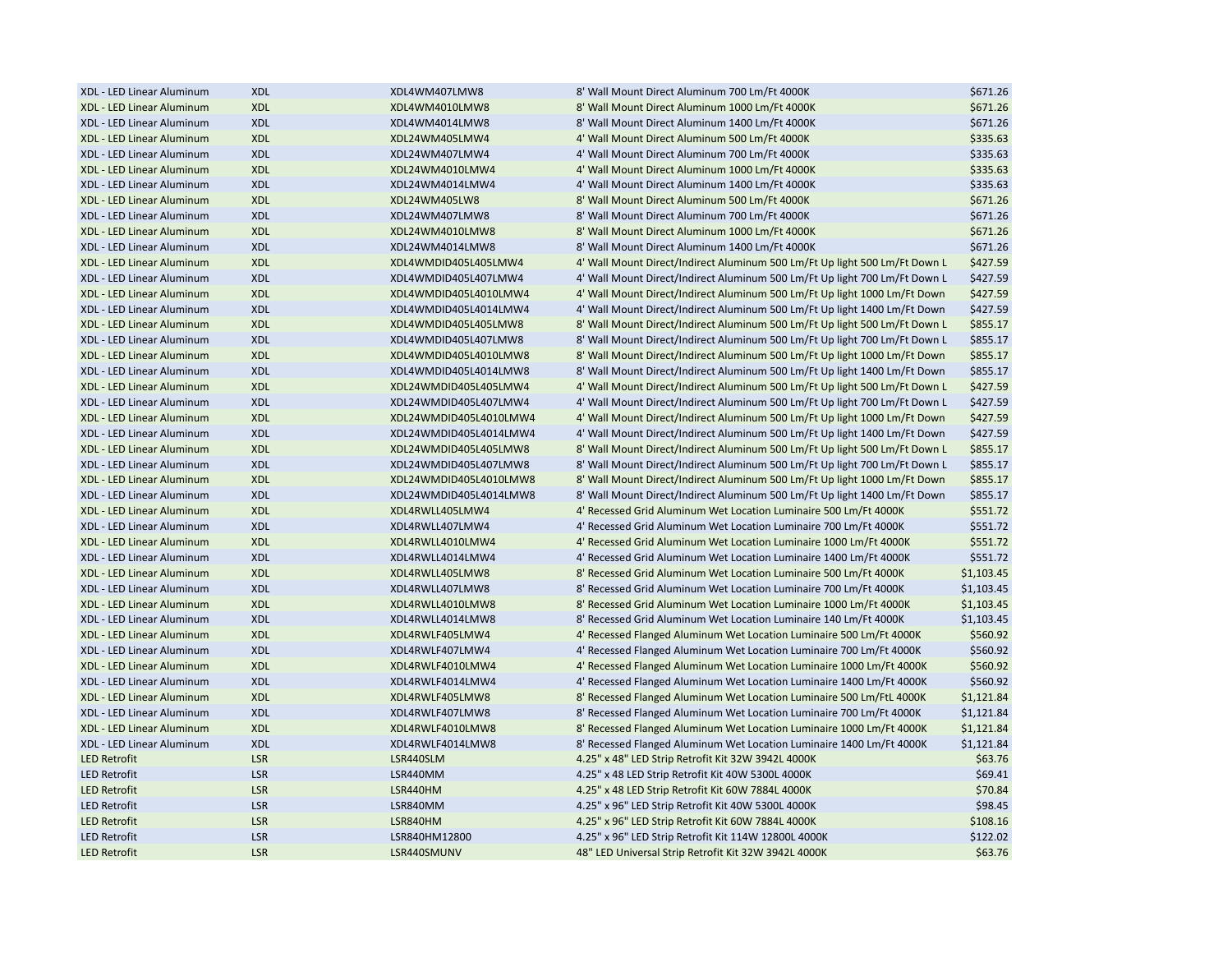| XDL - LED Linear Aluminum | <b>XDL</b>               | XDL4WM407LMW8          | 8' Wall Mount Direct Aluminum 700 Lm/Ft 4000K                                                                                          | \$671.26             |
|---------------------------|--------------------------|------------------------|----------------------------------------------------------------------------------------------------------------------------------------|----------------------|
| XDL - LED Linear Aluminum | <b>XDL</b>               | XDL4WM4010LMW8         | 8' Wall Mount Direct Aluminum 1000 Lm/Ft 4000K                                                                                         | \$671.26             |
| XDL - LED Linear Aluminum | <b>XDL</b>               | XDL4WM4014LMW8         | 8' Wall Mount Direct Aluminum 1400 Lm/Ft 4000K                                                                                         | \$671.26             |
| XDL - LED Linear Aluminum | <b>XDL</b>               | XDL24WM405LMW4         | 4' Wall Mount Direct Aluminum 500 Lm/Ft 4000K                                                                                          | \$335.63             |
| XDL - LED Linear Aluminum | <b>XDL</b>               | XDL24WM407LMW4         | 4' Wall Mount Direct Aluminum 700 Lm/Ft 4000K                                                                                          | \$335.63             |
| XDL - LED Linear Aluminum | <b>XDL</b>               | XDL24WM4010LMW4        | 4' Wall Mount Direct Aluminum 1000 Lm/Ft 4000K                                                                                         | \$335.63             |
| XDL - LED Linear Aluminum | <b>XDL</b>               | XDL24WM4014LMW4        | 4' Wall Mount Direct Aluminum 1400 Lm/Ft 4000K                                                                                         | \$335.63             |
| XDL - LED Linear Aluminum | <b>XDL</b>               | XDL24WM405LW8          | 8' Wall Mount Direct Aluminum 500 Lm/Ft 4000K                                                                                          | \$671.26             |
| XDL - LED Linear Aluminum | <b>XDL</b>               | XDL24WM407LMW8         | 8' Wall Mount Direct Aluminum 700 Lm/Ft 4000K                                                                                          | \$671.26             |
| XDL - LED Linear Aluminum | <b>XDL</b>               | XDL24WM4010LMW8        | 8' Wall Mount Direct Aluminum 1000 Lm/Ft 4000K                                                                                         | \$671.26             |
| XDL - LED Linear Aluminum | <b>XDL</b>               | XDL24WM4014LMW8        | 8' Wall Mount Direct Aluminum 1400 Lm/Ft 4000K                                                                                         | \$671.26             |
| XDL - LED Linear Aluminum | <b>XDL</b>               | XDL4WMDID405L405LMW4   | 4' Wall Mount Direct/Indirect Aluminum 500 Lm/Ft Up light 500 Lm/Ft Down L                                                             | \$427.59             |
| XDL - LED Linear Aluminum | <b>XDL</b>               | XDL4WMDID405L407LMW4   | 4' Wall Mount Direct/Indirect Aluminum 500 Lm/Ft Up light 700 Lm/Ft Down L                                                             | \$427.59             |
| XDL - LED Linear Aluminum | <b>XDL</b>               | XDL4WMDID405L4010LMW4  | 4' Wall Mount Direct/Indirect Aluminum 500 Lm/Ft Up light 1000 Lm/Ft Down                                                              | \$427.59             |
| XDL - LED Linear Aluminum | <b>XDL</b>               | XDL4WMDID405L4014LMW4  | 4' Wall Mount Direct/Indirect Aluminum 500 Lm/Ft Up light 1400 Lm/Ft Down                                                              | \$427.59             |
| XDL - LED Linear Aluminum | <b>XDL</b>               | XDL4WMDID405L405LMW8   | 8' Wall Mount Direct/Indirect Aluminum 500 Lm/Ft Up light 500 Lm/Ft Down L                                                             | \$855.17             |
| XDL - LED Linear Aluminum | <b>XDL</b>               | XDL4WMDID405L407LMW8   | 8' Wall Mount Direct/Indirect Aluminum 500 Lm/Ft Up light 700 Lm/Ft Down L                                                             | \$855.17             |
| XDL - LED Linear Aluminum | <b>XDL</b>               | XDL4WMDID405L4010LMW8  | 8' Wall Mount Direct/Indirect Aluminum 500 Lm/Ft Up light 1000 Lm/Ft Down                                                              | \$855.17             |
| XDL - LED Linear Aluminum | <b>XDL</b>               | XDL4WMDID405L4014LMW8  | 8' Wall Mount Direct/Indirect Aluminum 500 Lm/Ft Up light 1400 Lm/Ft Down                                                              | \$855.17             |
| XDL - LED Linear Aluminum | <b>XDL</b>               | XDL24WMDID405L405LMW4  | 4' Wall Mount Direct/Indirect Aluminum 500 Lm/Ft Up light 500 Lm/Ft Down L                                                             | \$427.59             |
| XDL - LED Linear Aluminum | <b>XDL</b>               | XDL24WMDID405L407LMW4  | 4' Wall Mount Direct/Indirect Aluminum 500 Lm/Ft Up light 700 Lm/Ft Down L                                                             | \$427.59             |
| XDL - LED Linear Aluminum | <b>XDL</b>               | XDL24WMDID405L4010LMW4 | 4' Wall Mount Direct/Indirect Aluminum 500 Lm/Ft Up light 1000 Lm/Ft Down                                                              | \$427.59             |
| XDL - LED Linear Aluminum | <b>XDL</b>               | XDL24WMDID405L4014LMW4 | 4' Wall Mount Direct/Indirect Aluminum 500 Lm/Ft Up light 1400 Lm/Ft Down                                                              | \$427.59             |
| XDL - LED Linear Aluminum | <b>XDL</b>               | XDL24WMDID405L405LMW8  | 8' Wall Mount Direct/Indirect Aluminum 500 Lm/Ft Up light 500 Lm/Ft Down L                                                             | \$855.17             |
| XDL - LED Linear Aluminum | <b>XDL</b>               | XDL24WMDID405L407LMW8  | 8' Wall Mount Direct/Indirect Aluminum 500 Lm/Ft Up light 700 Lm/Ft Down L                                                             | \$855.17             |
| XDL - LED Linear Aluminum | <b>XDL</b>               | XDL24WMDID405L4010LMW8 | 8' Wall Mount Direct/Indirect Aluminum 500 Lm/Ft Up light 1000 Lm/Ft Down                                                              | \$855.17             |
| XDL - LED Linear Aluminum | <b>XDL</b>               | XDL24WMDID405L4014LMW8 | 8' Wall Mount Direct/Indirect Aluminum 500 Lm/Ft Up light 1400 Lm/Ft Down                                                              | \$855.17             |
| XDL - LED Linear Aluminum | <b>XDL</b>               | XDL4RWLL405LMW4        | 4' Recessed Grid Aluminum Wet Location Luminaire 500 Lm/Ft 4000K                                                                       | \$551.72             |
| XDL - LED Linear Aluminum | <b>XDL</b>               | XDL4RWLL407LMW4        | 4' Recessed Grid Aluminum Wet Location Luminaire 700 Lm/Ft 4000K                                                                       | \$551.72             |
| XDL - LED Linear Aluminum |                          | XDL4RWLL4010LMW4       |                                                                                                                                        |                      |
| XDL - LED Linear Aluminum | <b>XDL</b><br><b>XDL</b> | XDL4RWLL4014LMW4       | 4' Recessed Grid Aluminum Wet Location Luminaire 1000 Lm/Ft 4000K<br>4' Recessed Grid Aluminum Wet Location Luminaire 1400 Lm/Ft 4000K | \$551.72<br>\$551.72 |
|                           |                          |                        |                                                                                                                                        |                      |
| XDL - LED Linear Aluminum | <b>XDL</b>               | XDL4RWLL405LMW8        | 8' Recessed Grid Aluminum Wet Location Luminaire 500 Lm/Ft 4000K                                                                       | \$1,103.45           |
| XDL - LED Linear Aluminum | <b>XDL</b>               | XDL4RWLL407LMW8        | 8' Recessed Grid Aluminum Wet Location Luminaire 700 Lm/Ft 4000K                                                                       | \$1,103.45           |
| XDL - LED Linear Aluminum | <b>XDL</b>               | XDL4RWLL4010LMW8       | 8' Recessed Grid Aluminum Wet Location Luminaire 1000 Lm/Ft 4000K                                                                      | \$1,103.45           |
| XDL - LED Linear Aluminum | <b>XDL</b>               | XDL4RWLL4014LMW8       | 8' Recessed Grid Aluminum Wet Location Luminaire 140 Lm/Ft 4000K                                                                       | \$1,103.45           |
| XDL - LED Linear Aluminum | <b>XDL</b>               | XDL4RWLF405LMW4        | 4' Recessed Flanged Aluminum Wet Location Luminaire 500 Lm/Ft 4000K                                                                    | \$560.92             |
| XDL - LED Linear Aluminum | <b>XDL</b>               | XDL4RWLF407LMW4        | 4' Recessed Flanged Aluminum Wet Location Luminaire 700 Lm/Ft 4000K                                                                    | \$560.92             |
| XDL - LED Linear Aluminum | <b>XDL</b>               | XDL4RWLF4010LMW4       | 4' Recessed Flanged Aluminum Wet Location Luminaire 1000 Lm/Ft 4000K                                                                   | \$560.92             |
| XDL - LED Linear Aluminum | <b>XDL</b>               | XDL4RWLF4014LMW4       | 4' Recessed Flanged Aluminum Wet Location Luminaire 1400 Lm/Ft 4000K                                                                   | \$560.92             |
| XDL - LED Linear Aluminum | <b>XDL</b>               | XDL4RWLF405LMW8        | 8' Recessed Flanged Aluminum Wet Location Luminaire 500 Lm/FtL 4000K                                                                   | \$1,121.84           |
| XDL - LED Linear Aluminum | <b>XDL</b>               | XDL4RWLF407LMW8        | 8' Recessed Flanged Aluminum Wet Location Luminaire 700 Lm/Ft 4000K                                                                    | \$1,121.84           |
| XDL - LED Linear Aluminum | <b>XDL</b>               | XDL4RWLF4010LMW8       | 8' Recessed Flanged Aluminum Wet Location Luminaire 1000 Lm/Ft 4000K                                                                   | \$1,121.84           |
| XDL - LED Linear Aluminum | <b>XDL</b>               | XDL4RWLF4014LMW8       | 8' Recessed Flanged Aluminum Wet Location Luminaire 1400 Lm/Ft 4000K                                                                   | \$1,121.84           |
| <b>LED Retrofit</b>       | <b>LSR</b>               | LSR440SLM              | 4.25" x 48" LED Strip Retrofit Kit 32W 3942L 4000K                                                                                     | \$63.76              |
| <b>LED Retrofit</b>       | <b>LSR</b>               | LSR440MM               | 4.25" x 48 LED Strip Retrofit Kit 40W 5300L 4000K                                                                                      | \$69.41              |
| <b>LED Retrofit</b>       | <b>LSR</b>               | LSR440HM               | 4.25" x 48 LED Strip Retrofit Kit 60W 7884L 4000K                                                                                      | \$70.84              |
| <b>LED Retrofit</b>       | <b>LSR</b>               | LSR840MM               | 4.25" x 96" LED Strip Retrofit Kit 40W 5300L 4000K                                                                                     | \$98.45              |
| <b>LED Retrofit</b>       | <b>LSR</b>               | LSR840HM               | 4.25" x 96" LED Strip Retrofit Kit 60W 7884L 4000K                                                                                     | \$108.16             |
| <b>LED Retrofit</b>       | <b>LSR</b>               | LSR840HM12800          | 4.25" x 96" LED Strip Retrofit Kit 114W 12800L 4000K                                                                                   | \$122.02             |
| <b>LED Retrofit</b>       | <b>LSR</b>               | LSR440SMUNV            | 48" LED Universal Strip Retrofit Kit 32W 3942L 4000K                                                                                   | \$63.76              |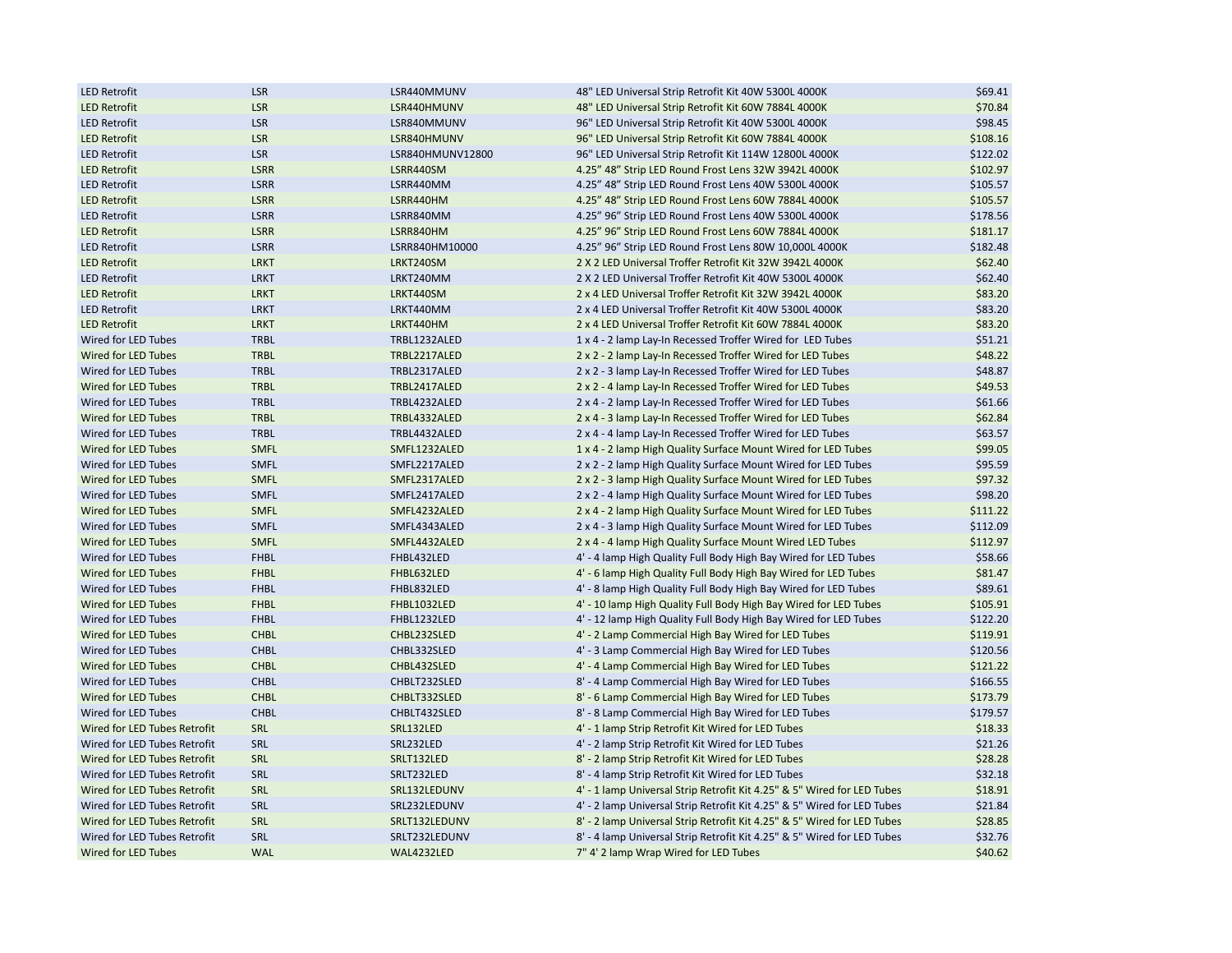| <b>LED Retrofit</b>          | <b>LSR</b>  | LSR440MMUNV      | 48" LED Universal Strip Retrofit Kit 40W 5300L 4000K                    | \$69.41  |
|------------------------------|-------------|------------------|-------------------------------------------------------------------------|----------|
| <b>LED Retrofit</b>          | <b>LSR</b>  | LSR440HMUNV      | 48" LED Universal Strip Retrofit Kit 60W 7884L 4000K                    | \$70.84  |
| <b>LED Retrofit</b>          | <b>LSR</b>  | LSR840MMUNV      | 96" LED Universal Strip Retrofit Kit 40W 5300L 4000K                    | \$98.45  |
| <b>LED Retrofit</b>          | <b>LSR</b>  | LSR840HMUNV      | 96" LED Universal Strip Retrofit Kit 60W 7884L 4000K                    | \$108.16 |
| <b>LED Retrofit</b>          | <b>LSR</b>  | LSR840HMUNV12800 | 96" LED Universal Strip Retrofit Kit 114W 12800L 4000K                  | \$122.02 |
| <b>LED Retrofit</b>          | <b>LSRR</b> | LSRR440SM        | 4.25" 48" Strip LED Round Frost Lens 32W 3942L 4000K                    | \$102.97 |
| <b>LED Retrofit</b>          | <b>LSRR</b> | LSRR440MM        | 4.25" 48" Strip LED Round Frost Lens 40W 5300L 4000K                    | \$105.57 |
| <b>LED Retrofit</b>          | <b>LSRR</b> | LSRR440HM        | 4.25" 48" Strip LED Round Frost Lens 60W 7884L 4000K                    | \$105.57 |
| <b>LED Retrofit</b>          | <b>LSRR</b> | LSRR840MM        | 4.25" 96" Strip LED Round Frost Lens 40W 5300L 4000K                    | \$178.56 |
| <b>LED Retrofit</b>          | <b>LSRR</b> | LSRR840HM        | 4.25" 96" Strip LED Round Frost Lens 60W 7884L 4000K                    | \$181.17 |
| <b>LED Retrofit</b>          | <b>LSRR</b> | LSRR840HM10000   | 4.25" 96" Strip LED Round Frost Lens 80W 10,000L 4000K                  | \$182.48 |
| <b>LED Retrofit</b>          | <b>LRKT</b> | LRKT240SM        | 2 X 2 LED Universal Troffer Retrofit Kit 32W 3942L 4000K                | \$62.40  |
| <b>LED Retrofit</b>          | <b>LRKT</b> | LRKT240MM        | 2 X 2 LED Universal Troffer Retrofit Kit 40W 5300L 4000K                | \$62.40  |
| <b>LED Retrofit</b>          | <b>LRKT</b> | LRKT440SM        | 2 x 4 LED Universal Troffer Retrofit Kit 32W 3942L 4000K                | \$83.20  |
| <b>LED Retrofit</b>          | <b>LRKT</b> | LRKT440MM        | 2 x 4 LED Universal Troffer Retrofit Kit 40W 5300L 4000K                | \$83.20  |
| <b>LED Retrofit</b>          | <b>LRKT</b> | LRKT440HM        | 2 x 4 LED Universal Troffer Retrofit Kit 60W 7884L 4000K                | \$83.20  |
| Wired for LED Tubes          | <b>TRBL</b> | TRBL1232ALED     | 1 x 4 - 2 lamp Lay-In Recessed Troffer Wired for LED Tubes              | \$51.21  |
| Wired for LED Tubes          | <b>TRBL</b> | TRBL2217ALED     | 2 x 2 - 2 lamp Lay-In Recessed Troffer Wired for LED Tubes              | \$48.22  |
| Wired for LED Tubes          | <b>TRBL</b> | TRBL2317ALED     | 2 x 2 - 3 lamp Lay-In Recessed Troffer Wired for LED Tubes              | \$48.87  |
| Wired for LED Tubes          | <b>TRBL</b> | TRBL2417ALED     | 2 x 2 - 4 lamp Lay-In Recessed Troffer Wired for LED Tubes              | \$49.53  |
| Wired for LED Tubes          | <b>TRBL</b> | TRBL4232ALED     | 2 x 4 - 2 lamp Lay-In Recessed Troffer Wired for LED Tubes              | \$61.66  |
| Wired for LED Tubes          | <b>TRBL</b> | TRBL4332ALED     | 2 x 4 - 3 lamp Lay-In Recessed Troffer Wired for LED Tubes              | \$62.84  |
| Wired for LED Tubes          | <b>TRBL</b> | TRBL4432ALED     | 2 x 4 - 4 lamp Lay-In Recessed Troffer Wired for LED Tubes              | \$63.57  |
|                              |             |                  |                                                                         |          |
| Wired for LED Tubes          | <b>SMFL</b> | SMFL1232ALED     | 1 x 4 - 2 lamp High Quality Surface Mount Wired for LED Tubes           | \$99.05  |
| Wired for LED Tubes          | SMFL        | SMFL2217ALED     | 2 x 2 - 2 lamp High Quality Surface Mount Wired for LED Tubes           | \$95.59  |
| Wired for LED Tubes          | <b>SMFL</b> | SMFL2317ALED     | 2 x 2 - 3 lamp High Quality Surface Mount Wired for LED Tubes           | \$97.32  |
| Wired for LED Tubes          | <b>SMFL</b> | SMFL2417ALED     | 2 x 2 - 4 lamp High Quality Surface Mount Wired for LED Tubes           | \$98.20  |
| Wired for LED Tubes          | <b>SMFL</b> | SMFL4232ALED     | 2 x 4 - 2 lamp High Quality Surface Mount Wired for LED Tubes           | \$111.22 |
| Wired for LED Tubes          | <b>SMFL</b> | SMFL4343ALED     | 2 x 4 - 3 lamp High Quality Surface Mount Wired for LED Tubes           | \$112.09 |
| Wired for LED Tubes          | <b>SMFL</b> | SMFL4432ALED     | 2 x 4 - 4 lamp High Quality Surface Mount Wired LED Tubes               | \$112.97 |
| Wired for LED Tubes          | <b>FHBL</b> | FHBL432LED       | 4' - 4 lamp High Quality Full Body High Bay Wired for LED Tubes         | \$58.66  |
| Wired for LED Tubes          | <b>FHBL</b> | FHBL632LED       | 4' - 6 lamp High Quality Full Body High Bay Wired for LED Tubes         | \$81.47  |
| Wired for LED Tubes          | <b>FHBL</b> | FHBL832LED       | 4' - 8 lamp High Quality Full Body High Bay Wired for LED Tubes         | \$89.61  |
| Wired for LED Tubes          | <b>FHBL</b> | FHBL1032LED      | 4' - 10 lamp High Quality Full Body High Bay Wired for LED Tubes        | \$105.91 |
| Wired for LED Tubes          | <b>FHBL</b> | FHBL1232LED      | 4' - 12 lamp High Quality Full Body High Bay Wired for LED Tubes        | \$122.20 |
| Wired for LED Tubes          | <b>CHBL</b> | CHBL232SLED      | 4' - 2 Lamp Commercial High Bay Wired for LED Tubes                     | \$119.91 |
| Wired for LED Tubes          | <b>CHBL</b> | CHBL332SLED      | 4' - 3 Lamp Commercial High Bay Wired for LED Tubes                     | \$120.56 |
| Wired for LED Tubes          | <b>CHBL</b> | CHBL432SLED      | 4' - 4 Lamp Commercial High Bay Wired for LED Tubes                     | \$121.22 |
| Wired for LED Tubes          | <b>CHBL</b> | CHBLT232SLED     | 8' - 4 Lamp Commercial High Bay Wired for LED Tubes                     | \$166.55 |
| Wired for LED Tubes          | <b>CHBL</b> | CHBLT332SLED     | 8' - 6 Lamp Commercial High Bay Wired for LED Tubes                     | \$173.79 |
| Wired for LED Tubes          | <b>CHBL</b> | CHBLT432SLED     | 8' - 8 Lamp Commercial High Bay Wired for LED Tubes                     | \$179.57 |
| Wired for LED Tubes Retrofit | SRL         | SRL132LED        | 4' - 1 lamp Strip Retrofit Kit Wired for LED Tubes                      | \$18.33  |
| Wired for LED Tubes Retrofit | SRL         | SRL232LED        | 4' - 2 lamp Strip Retrofit Kit Wired for LED Tubes                      | \$21.26  |
| Wired for LED Tubes Retrofit | SRL         | SRLT132LED       | 8' - 2 lamp Strip Retrofit Kit Wired for LED Tubes                      | \$28.28  |
| Wired for LED Tubes Retrofit | SRL         | SRLT232LED       | 8' - 4 lamp Strip Retrofit Kit Wired for LED Tubes                      | \$32.18  |
| Wired for LED Tubes Retrofit | SRL         | SRL132LEDUNV     | 4' - 1 lamp Universal Strip Retrofit Kit 4.25" & 5" Wired for LED Tubes | \$18.91  |
| Wired for LED Tubes Retrofit | SRL         | SRL232LEDUNV     | 4' - 2 lamp Universal Strip Retrofit Kit 4.25" & 5" Wired for LED Tubes | \$21.84  |
| Wired for LED Tubes Retrofit | SRL         | SRLT132LEDUNV    | 8' - 2 lamp Universal Strip Retrofit Kit 4.25" & 5" Wired for LED Tubes | \$28.85  |
| Wired for LED Tubes Retrofit | SRL         | SRLT232LEDUNV    | 8' - 4 lamp Universal Strip Retrofit Kit 4.25" & 5" Wired for LED Tubes | \$32.76  |
| Wired for LED Tubes          | <b>WAL</b>  | WAL4232LED       | 7" 4' 2 lamp Wrap Wired for LED Tubes                                   | \$40.62  |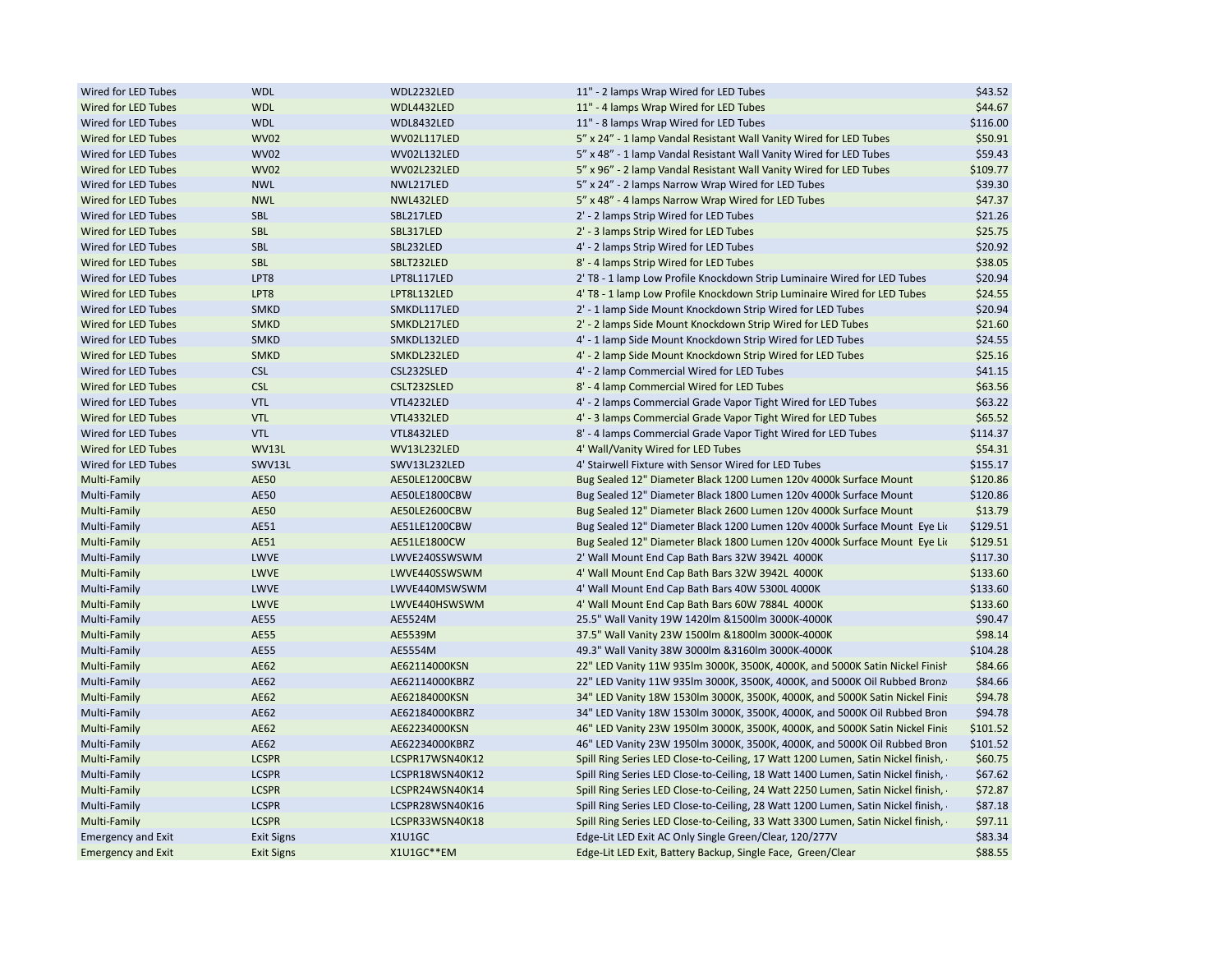| Wired for LED Tubes       | <b>WDL</b>        | WDL2232LED      | 11" - 2 lamps Wrap Wired for LED Tubes                                           | \$43.52  |
|---------------------------|-------------------|-----------------|----------------------------------------------------------------------------------|----------|
| Wired for LED Tubes       | <b>WDL</b>        | WDL4432LED      | 11" - 4 lamps Wrap Wired for LED Tubes                                           | \$44.67  |
| Wired for LED Tubes       | <b>WDL</b>        | WDL8432LED      | 11" - 8 lamps Wrap Wired for LED Tubes                                           | \$116.00 |
| Wired for LED Tubes       | <b>WV02</b>       | WV02L117LED     | 5" x 24" - 1 lamp Vandal Resistant Wall Vanity Wired for LED Tubes               | \$50.91  |
| Wired for LED Tubes       | <b>WV02</b>       | WV02L132LED     | 5" x 48" - 1 lamp Vandal Resistant Wall Vanity Wired for LED Tubes               | \$59.43  |
| Wired for LED Tubes       | <b>WV02</b>       | WV02L232LED     | 5" x 96" - 2 lamp Vandal Resistant Wall Vanity Wired for LED Tubes               | \$109.77 |
| Wired for LED Tubes       | <b>NWL</b>        | NWL217LED       | 5" x 24" - 2 lamps Narrow Wrap Wired for LED Tubes                               | \$39.30  |
| Wired for LED Tubes       | <b>NWL</b>        | NWL432LED       | 5" x 48" - 4 lamps Narrow Wrap Wired for LED Tubes                               | \$47.37  |
| Wired for LED Tubes       | SBL               | SBL217LED       | 2' - 2 lamps Strip Wired for LED Tubes                                           | \$21.26  |
| Wired for LED Tubes       | <b>SBL</b>        | SBL317LED       | 2' - 3 lamps Strip Wired for LED Tubes                                           | \$25.75  |
| Wired for LED Tubes       | SBL               | SBL232LED       | 4' - 2 lamps Strip Wired for LED Tubes                                           | \$20.92  |
| Wired for LED Tubes       | <b>SBL</b>        | SBLT232LED      | 8' - 4 lamps Strip Wired for LED Tubes                                           | \$38.05  |
| Wired for LED Tubes       | LPT8              | LPT8L117LED     | 2' T8 - 1 lamp Low Profile Knockdown Strip Luminaire Wired for LED Tubes         | \$20.94  |
| Wired for LED Tubes       | LPT8              | LPT8L132LED     | 4' T8 - 1 lamp Low Profile Knockdown Strip Luminaire Wired for LED Tubes         | \$24.55  |
| Wired for LED Tubes       | <b>SMKD</b>       | SMKDL117LED     | 2' - 1 lamp Side Mount Knockdown Strip Wired for LED Tubes                       | \$20.94  |
| Wired for LED Tubes       | <b>SMKD</b>       | SMKDL217LED     | 2' - 2 lamps Side Mount Knockdown Strip Wired for LED Tubes                      | \$21.60  |
| Wired for LED Tubes       | <b>SMKD</b>       | SMKDL132LED     | 4' - 1 lamp Side Mount Knockdown Strip Wired for LED Tubes                       | \$24.55  |
| Wired for LED Tubes       | <b>SMKD</b>       | SMKDL232LED     | 4' - 2 lamp Side Mount Knockdown Strip Wired for LED Tubes                       | \$25.16  |
| Wired for LED Tubes       | <b>CSL</b>        | CSL232SLED      | 4' - 2 lamp Commercial Wired for LED Tubes                                       | \$41.15  |
| Wired for LED Tubes       | <b>CSL</b>        | CSLT232SLED     | 8' - 4 lamp Commercial Wired for LED Tubes                                       | \$63.56  |
| Wired for LED Tubes       | <b>VTL</b>        | VTL4232LED      | 4' - 2 lamps Commercial Grade Vapor Tight Wired for LED Tubes                    | \$63.22  |
| Wired for LED Tubes       | <b>VTL</b>        | VTL4332LED      | 4' - 3 lamps Commercial Grade Vapor Tight Wired for LED Tubes                    | \$65.52  |
| Wired for LED Tubes       | <b>VTL</b>        | VTL8432LED      | 8' - 4 lamps Commercial Grade Vapor Tight Wired for LED Tubes                    | \$114.37 |
| Wired for LED Tubes       | WV13L             | WV13L232LED     | 4' Wall/Vanity Wired for LED Tubes                                               | \$54.31  |
| Wired for LED Tubes       | SWV13L            | SWV13L232LED    | 4' Stairwell Fixture with Sensor Wired for LED Tubes                             | \$155.17 |
| Multi-Family              | <b>AE50</b>       | AE50LE1200CBW   | Bug Sealed 12" Diameter Black 1200 Lumen 120v 4000k Surface Mount                | \$120.86 |
| Multi-Family              | <b>AE50</b>       | AE50LE1800CBW   | Bug Sealed 12" Diameter Black 1800 Lumen 120v 4000k Surface Mount                | \$120.86 |
| Multi-Family              | <b>AE50</b>       | AE50LE2600CBW   | Bug Sealed 12" Diameter Black 2600 Lumen 120v 4000k Surface Mount                | \$13.79  |
|                           |                   |                 |                                                                                  |          |
| Multi-Family              | AE51              | AE51LE1200CBW   | Bug Sealed 12" Diameter Black 1200 Lumen 120v 4000k Surface Mount Eye Lio        | \$129.51 |
| Multi-Family              | AE51              | AE51LE1800CW    | Bug Sealed 12" Diameter Black 1800 Lumen 120v 4000k Surface Mount Eye Lio        | \$129.51 |
| Multi-Family              | LWVE              | LWVE240SSWSWM   | 2' Wall Mount End Cap Bath Bars 32W 3942L 4000K                                  | \$117.30 |
| Multi-Family              | LWVE              | LWVE440SSWSWM   | 4' Wall Mount End Cap Bath Bars 32W 3942L 4000K                                  | \$133.60 |
| Multi-Family              | LWVE              | LWVE440MSWSWM   | 4' Wall Mount End Cap Bath Bars 40W 5300L 4000K                                  | \$133.60 |
| Multi-Family              | <b>LWVE</b>       | LWVE440HSWSWM   | 4' Wall Mount End Cap Bath Bars 60W 7884L 4000K                                  | \$133.60 |
| Multi-Family              | <b>AE55</b>       | AE5524M         | 25.5" Wall Vanity 19W 1420lm & 1500lm 3000K-4000K                                | \$90.47  |
| Multi-Family              | <b>AE55</b>       | AE5539M         | 37.5" Wall Vanity 23W 1500lm & 1800lm 3000K-4000K                                | \$98.14  |
| Multi-Family              | <b>AE55</b>       | AE5554M         | 49.3" Wall Vanity 38W 3000lm & 3160lm 3000K-4000K                                | \$104.28 |
| Multi-Family              | AE62              | AE62114000KSN   | 22" LED Vanity 11W 935Im 3000K, 3500K, 4000K, and 5000K Satin Nickel Finish      | \$84.66  |
| Multi-Family              | AE62              | AE62114000KBRZ  | 22" LED Vanity 11W 935lm 3000K, 3500K, 4000K, and 5000K Oil Rubbed Bronz         | \$84.66  |
| Multi-Family              | AE62              | AE62184000KSN   | 34" LED Vanity 18W 1530lm 3000K, 3500K, 4000K, and 5000K Satin Nickel Finis      | \$94.78  |
| Multi-Family              | AE62              | AE62184000KBRZ  | 34" LED Vanity 18W 1530lm 3000K, 3500K, 4000K, and 5000K Oil Rubbed Bron         | \$94.78  |
| Multi-Family              | AE62              | AE62234000KSN   | 46" LED Vanity 23W 1950lm 3000K, 3500K, 4000K, and 5000K Satin Nickel Finis      | \$101.52 |
| Multi-Family              | AE62              | AE62234000KBRZ  | 46" LED Vanity 23W 1950lm 3000K, 3500K, 4000K, and 5000K Oil Rubbed Bron         | \$101.52 |
| Multi-Family              | <b>LCSPR</b>      | LCSPR17WSN40K12 | Spill Ring Series LED Close-to-Ceiling, 17 Watt 1200 Lumen, Satin Nickel finish, | \$60.75  |
| Multi-Family              | <b>LCSPR</b>      | LCSPR18WSN40K12 | Spill Ring Series LED Close-to-Ceiling, 18 Watt 1400 Lumen, Satin Nickel finish, | \$67.62  |
| Multi-Family              | <b>LCSPR</b>      | LCSPR24WSN40K14 | Spill Ring Series LED Close-to-Ceiling, 24 Watt 2250 Lumen, Satin Nickel finish, | \$72.87  |
| Multi-Family              | <b>LCSPR</b>      | LCSPR28WSN40K16 | Spill Ring Series LED Close-to-Ceiling, 28 Watt 1200 Lumen, Satin Nickel finish, | \$87.18  |
| Multi-Family              | <b>LCSPR</b>      | LCSPR33WSN40K18 | Spill Ring Series LED Close-to-Ceiling, 33 Watt 3300 Lumen, Satin Nickel finish, | \$97.11  |
| <b>Emergency and Exit</b> | <b>Exit Signs</b> | X1U1GC          | Edge-Lit LED Exit AC Only Single Green/Clear, 120/277V                           | \$83.34  |
| <b>Emergency and Exit</b> | <b>Exit Signs</b> | X1U1GC**EM      | Edge-Lit LED Exit, Battery Backup, Single Face, Green/Clear                      | \$88.55  |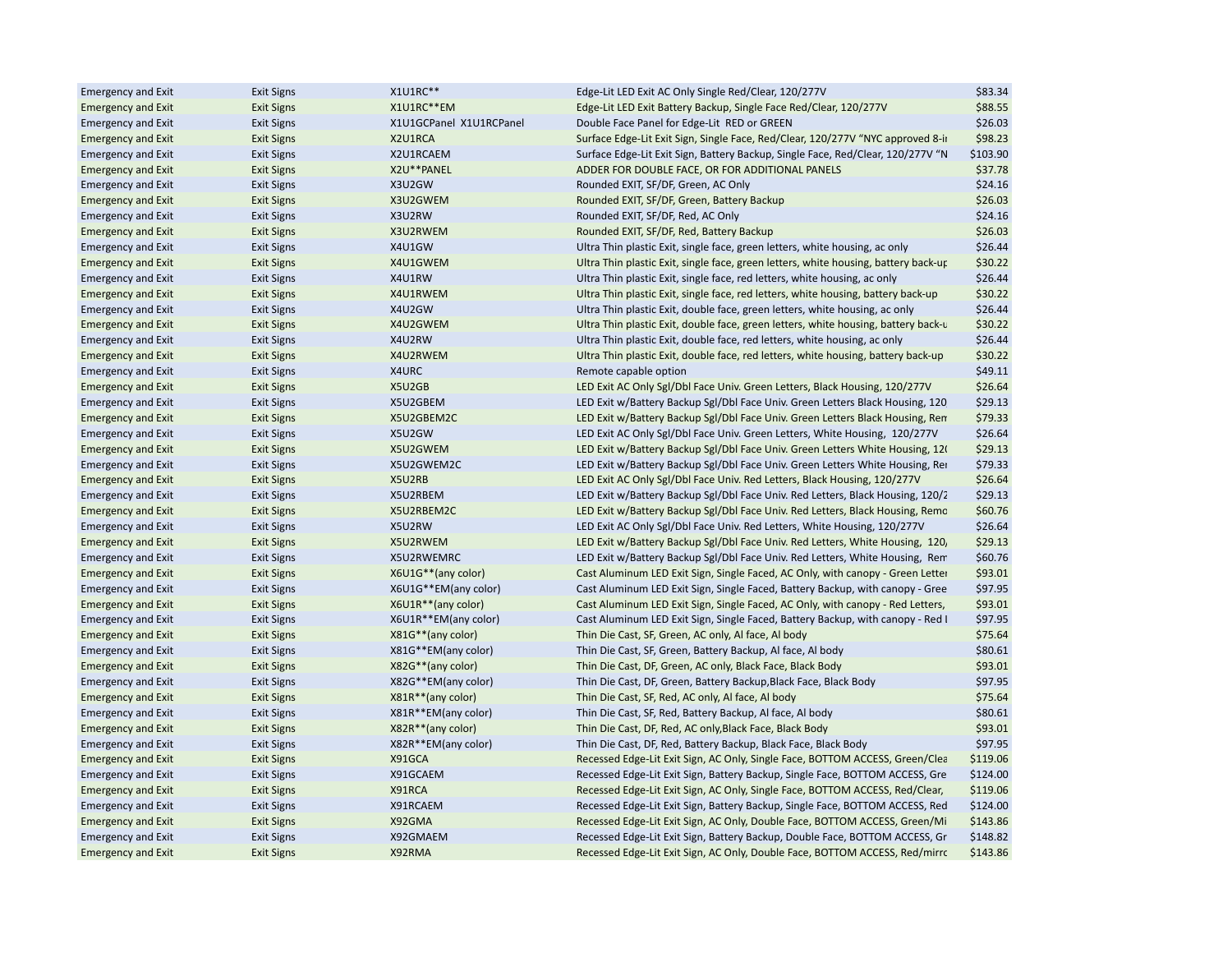| <b>Emergency and Exit</b> | <b>Exit Signs</b> | X1U1RC**                | Edge-Lit LED Exit AC Only Single Red/Clear, 120/277V                                | \$83.34  |
|---------------------------|-------------------|-------------------------|-------------------------------------------------------------------------------------|----------|
| <b>Emergency and Exit</b> | <b>Exit Signs</b> | X1U1RC**EM              | Edge-Lit LED Exit Battery Backup, Single Face Red/Clear, 120/277V                   | \$88.55  |
| <b>Emergency and Exit</b> | <b>Exit Signs</b> | X1U1GCPanel X1U1RCPanel | Double Face Panel for Edge-Lit RED or GREEN                                         | \$26.03  |
| <b>Emergency and Exit</b> | <b>Exit Signs</b> | X2U1RCA                 | Surface Edge-Lit Exit Sign, Single Face, Red/Clear, 120/277V "NYC approved 8-ii     | \$98.23  |
| <b>Emergency and Exit</b> | <b>Exit Signs</b> | X2U1RCAEM               | Surface Edge-Lit Exit Sign, Battery Backup, Single Face, Red/Clear, 120/277V "N     | \$103.90 |
| <b>Emergency and Exit</b> | <b>Exit Signs</b> | X2U**PANEL              | ADDER FOR DOUBLE FACE, OR FOR ADDITIONAL PANELS                                     | \$37.78  |
| <b>Emergency and Exit</b> | <b>Exit Signs</b> | X3U2GW                  | Rounded EXIT, SF/DF, Green, AC Only                                                 | \$24.16  |
| <b>Emergency and Exit</b> | <b>Exit Signs</b> | X3U2GWEM                | Rounded EXIT, SF/DF, Green, Battery Backup                                          | \$26.03  |
| <b>Emergency and Exit</b> | <b>Exit Signs</b> | X3U2RW                  | Rounded EXIT, SF/DF, Red, AC Only                                                   | \$24.16  |
| <b>Emergency and Exit</b> | <b>Exit Signs</b> | X3U2RWEM                | Rounded EXIT, SF/DF, Red, Battery Backup                                            | \$26.03  |
| <b>Emergency and Exit</b> | <b>Exit Signs</b> | X4U1GW                  | Ultra Thin plastic Exit, single face, green letters, white housing, ac only         | \$26.44  |
| <b>Emergency and Exit</b> | <b>Exit Signs</b> | X4U1GWEM                | Ultra Thin plastic Exit, single face, green letters, white housing, battery back-up | \$30.22  |
| <b>Emergency and Exit</b> | <b>Exit Signs</b> | X4U1RW                  | Ultra Thin plastic Exit, single face, red letters, white housing, ac only           | \$26.44  |
| <b>Emergency and Exit</b> | <b>Exit Signs</b> | X4U1RWEM                | Ultra Thin plastic Exit, single face, red letters, white housing, battery back-up   | \$30.22  |
| <b>Emergency and Exit</b> | <b>Exit Signs</b> | X4U2GW                  | Ultra Thin plastic Exit, double face, green letters, white housing, ac only         | \$26.44  |
| <b>Emergency and Exit</b> | <b>Exit Signs</b> | X4U2GWEM                | Ultra Thin plastic Exit, double face, green letters, white housing, battery back-u  | \$30.22  |
| <b>Emergency and Exit</b> | <b>Exit Signs</b> | X4U2RW                  | Ultra Thin plastic Exit, double face, red letters, white housing, ac only           | \$26.44  |
| <b>Emergency and Exit</b> | <b>Exit Signs</b> | X4U2RWEM                | Ultra Thin plastic Exit, double face, red letters, white housing, battery back-up   | \$30.22  |
| <b>Emergency and Exit</b> | <b>Exit Signs</b> | X4URC                   | Remote capable option                                                               | \$49.11  |
| <b>Emergency and Exit</b> | <b>Exit Signs</b> | X5U2GB                  | LED Exit AC Only Sgl/Dbl Face Univ. Green Letters, Black Housing, 120/277V          | \$26.64  |
| <b>Emergency and Exit</b> | <b>Exit Signs</b> | X5U2GBEM                | LED Exit w/Battery Backup Sgl/Dbl Face Univ. Green Letters Black Housing, 120       | \$29.13  |
| <b>Emergency and Exit</b> | <b>Exit Signs</b> | X5U2GBEM2C              | LED Exit w/Battery Backup Sgl/Dbl Face Univ. Green Letters Black Housing, Ren       | \$79.33  |
| <b>Emergency and Exit</b> | <b>Exit Signs</b> | X5U2GW                  | LED Exit AC Only Sgl/Dbl Face Univ. Green Letters, White Housing, 120/277V          | \$26.64  |
| <b>Emergency and Exit</b> | <b>Exit Signs</b> | X5U2GWEM                | LED Exit w/Battery Backup Sgl/Dbl Face Univ. Green Letters White Housing, 12(       | \$29.13  |
| <b>Emergency and Exit</b> | <b>Exit Signs</b> | X5U2GWEM2C              | LED Exit w/Battery Backup Sgl/Dbl Face Univ. Green Letters White Housing, Rei       | \$79.33  |
| <b>Emergency and Exit</b> | <b>Exit Signs</b> | X5U2RB                  | LED Exit AC Only Sgl/Dbl Face Univ. Red Letters, Black Housing, 120/277V            | \$26.64  |
| <b>Emergency and Exit</b> | <b>Exit Signs</b> | X5U2RBEM                | LED Exit w/Battery Backup Sgl/Dbl Face Univ. Red Letters, Black Housing, 120/2      | \$29.13  |
|                           |                   | X5U2RBEM2C              |                                                                                     | \$60.76  |
| <b>Emergency and Exit</b> | <b>Exit Signs</b> | X5U2RW                  | LED Exit w/Battery Backup Sgl/Dbl Face Univ. Red Letters, Black Housing, Remo       |          |
| <b>Emergency and Exit</b> | <b>Exit Signs</b> |                         | LED Exit AC Only Sgl/Dbl Face Univ. Red Letters, White Housing, 120/277V            | \$26.64  |
| <b>Emergency and Exit</b> | <b>Exit Signs</b> | X5U2RWEM                | LED Exit w/Battery Backup Sgl/Dbl Face Univ. Red Letters, White Housing, 120,       | \$29.13  |
| <b>Emergency and Exit</b> | <b>Exit Signs</b> | X5U2RWEMRC              | LED Exit w/Battery Backup Sgl/Dbl Face Univ. Red Letters, White Housing, Rem        | \$60.76  |
| <b>Emergency and Exit</b> | <b>Exit Signs</b> | X6U1G**(any color)      | Cast Aluminum LED Exit Sign, Single Faced, AC Only, with canopy - Green Letter      | \$93.01  |
| <b>Emergency and Exit</b> | <b>Exit Signs</b> | X6U1G**EM(any color)    | Cast Aluminum LED Exit Sign, Single Faced, Battery Backup, with canopy - Gree       | \$97.95  |
| <b>Emergency and Exit</b> | <b>Exit Signs</b> | X6U1R**(any color)      | Cast Aluminum LED Exit Sign, Single Faced, AC Only, with canopy - Red Letters,      | \$93.01  |
| <b>Emergency and Exit</b> | <b>Exit Signs</b> | X6U1R**EM(any color)    | Cast Aluminum LED Exit Sign, Single Faced, Battery Backup, with canopy - Red I      | \$97.95  |
| <b>Emergency and Exit</b> | <b>Exit Signs</b> | X81G**(any color)       | Thin Die Cast, SF, Green, AC only, Al face, Al body                                 | \$75.64  |
| <b>Emergency and Exit</b> | <b>Exit Signs</b> | X81G**EM(any color)     | Thin Die Cast, SF, Green, Battery Backup, Al face, Al body                          | \$80.61  |
| <b>Emergency and Exit</b> | <b>Exit Signs</b> | X82G**(any color)       | Thin Die Cast, DF, Green, AC only, Black Face, Black Body                           | \$93.01  |
| <b>Emergency and Exit</b> | <b>Exit Signs</b> | X82G**EM(any color)     | Thin Die Cast, DF, Green, Battery Backup, Black Face, Black Body                    | \$97.95  |
| <b>Emergency and Exit</b> | <b>Exit Signs</b> | X81R**(any color)       | Thin Die Cast, SF, Red, AC only, Al face, Al body                                   | \$75.64  |
| <b>Emergency and Exit</b> | <b>Exit Signs</b> | X81R**EM(any color)     | Thin Die Cast, SF, Red, Battery Backup, Al face, Al body                            | \$80.61  |
| <b>Emergency and Exit</b> | <b>Exit Signs</b> | X82R**(any color)       | Thin Die Cast, DF, Red, AC only, Black Face, Black Body                             | \$93.01  |
| <b>Emergency and Exit</b> | <b>Exit Signs</b> | X82R**EM(any color)     | Thin Die Cast, DF, Red, Battery Backup, Black Face, Black Body                      | \$97.95  |
| <b>Emergency and Exit</b> | <b>Exit Signs</b> | X91GCA                  | Recessed Edge-Lit Exit Sign, AC Only, Single Face, BOTTOM ACCESS, Green/Clea        | \$119.06 |
| <b>Emergency and Exit</b> | <b>Exit Signs</b> | X91GCAEM                | Recessed Edge-Lit Exit Sign, Battery Backup, Single Face, BOTTOM ACCESS, Gre        | \$124.00 |
| <b>Emergency and Exit</b> | <b>Exit Signs</b> | X91RCA                  | Recessed Edge-Lit Exit Sign, AC Only, Single Face, BOTTOM ACCESS, Red/Clear,        | \$119.06 |
| <b>Emergency and Exit</b> | <b>Exit Signs</b> | X91RCAEM                | Recessed Edge-Lit Exit Sign, Battery Backup, Single Face, BOTTOM ACCESS, Red        | \$124.00 |
| <b>Emergency and Exit</b> | <b>Exit Signs</b> | X92GMA                  | Recessed Edge-Lit Exit Sign, AC Only, Double Face, BOTTOM ACCESS, Green/Mi          | \$143.86 |
| <b>Emergency and Exit</b> | <b>Exit Signs</b> | X92GMAEM                | Recessed Edge-Lit Exit Sign, Battery Backup, Double Face, BOTTOM ACCESS, Gr         | \$148.82 |
| <b>Emergency and Exit</b> | <b>Exit Signs</b> | X92RMA                  | Recessed Edge-Lit Exit Sign, AC Only, Double Face, BOTTOM ACCESS, Red/mirrc         | \$143.86 |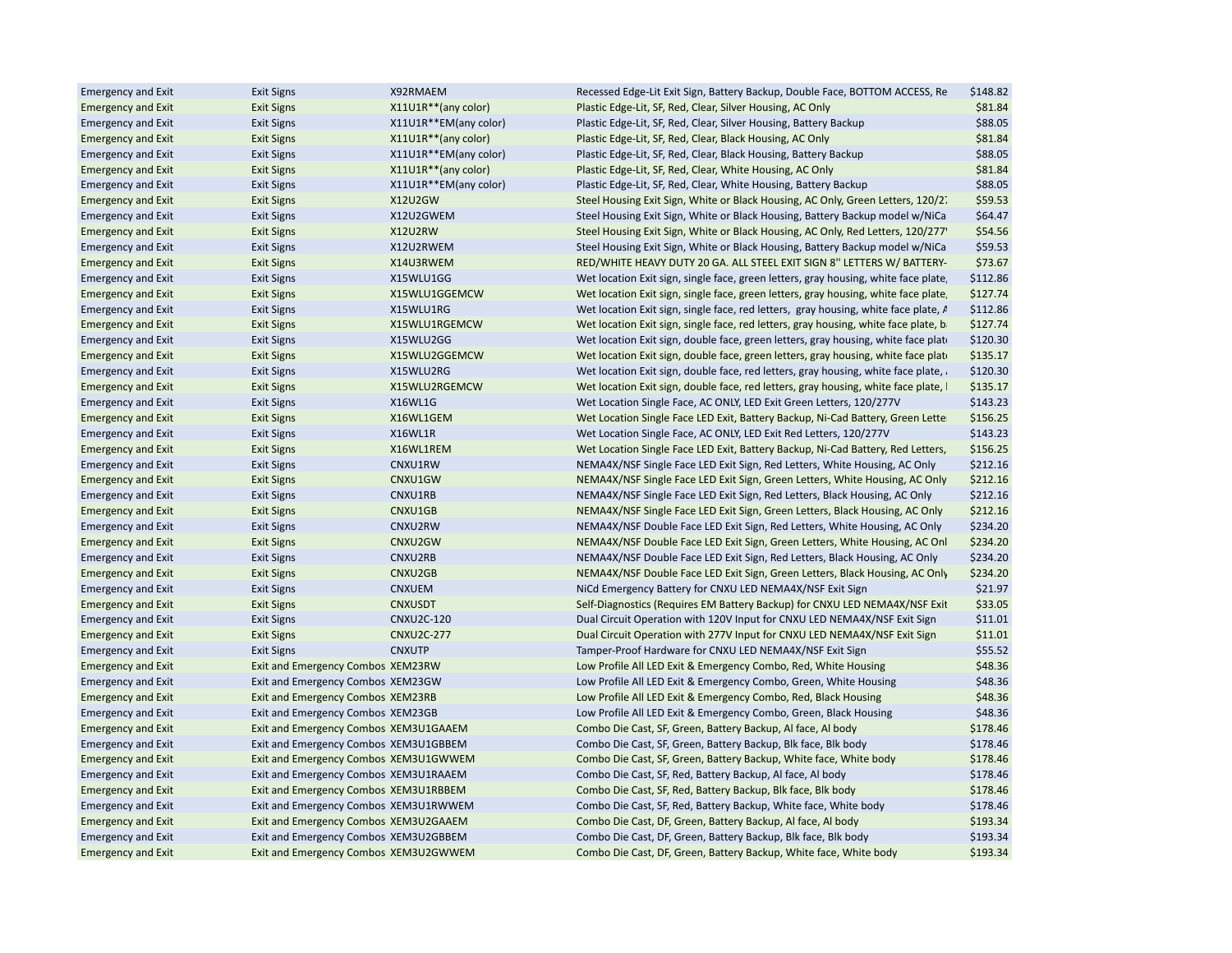| <b>Emergency and Exit</b> | <b>Exit Signs</b>                     | X92RMAEM              | Recessed Edge-Lit Exit Sign, Battery Backup, Double Face, BOTTOM ACCESS, Re                                                        | \$148.82           |
|---------------------------|---------------------------------------|-----------------------|------------------------------------------------------------------------------------------------------------------------------------|--------------------|
| <b>Emergency and Exit</b> | <b>Exit Signs</b>                     | X11U1R**(any color)   | Plastic Edge-Lit, SF, Red, Clear, Silver Housing, AC Only                                                                          | \$81.84            |
| <b>Emergency and Exit</b> | <b>Exit Signs</b>                     | X11U1R**EM(any color) | Plastic Edge-Lit, SF, Red, Clear, Silver Housing, Battery Backup                                                                   | \$88.05            |
| <b>Emergency and Exit</b> | <b>Exit Signs</b>                     | X11U1R**(any color)   | Plastic Edge-Lit, SF, Red, Clear, Black Housing, AC Only                                                                           | \$81.84            |
| <b>Emergency and Exit</b> | <b>Exit Signs</b>                     | X11U1R**EM(any color) | Plastic Edge-Lit, SF, Red, Clear, Black Housing, Battery Backup                                                                    | \$88.05            |
| <b>Emergency and Exit</b> | <b>Exit Signs</b>                     | X11U1R**(any color)   | Plastic Edge-Lit, SF, Red, Clear, White Housing, AC Only                                                                           | \$81.84            |
| <b>Emergency and Exit</b> | <b>Exit Signs</b>                     | X11U1R**EM(any color) | Plastic Edge-Lit, SF, Red, Clear, White Housing, Battery Backup                                                                    | \$88.05            |
| <b>Emergency and Exit</b> | <b>Exit Signs</b>                     | X12U2GW               | Steel Housing Exit Sign, White or Black Housing, AC Only, Green Letters, 120/2.                                                    | \$59.53            |
| <b>Emergency and Exit</b> | <b>Exit Signs</b>                     | X12U2GWEM             | Steel Housing Exit Sign, White or Black Housing, Battery Backup model w/NiCa                                                       | \$64.47            |
| <b>Emergency and Exit</b> | <b>Exit Signs</b>                     | X12U2RW               | Steel Housing Exit Sign, White or Black Housing, AC Only, Red Letters, 120/277'                                                    | \$54.56            |
| <b>Emergency and Exit</b> | <b>Exit Signs</b>                     | X12U2RWEM             | Steel Housing Exit Sign, White or Black Housing, Battery Backup model w/NiCa                                                       | \$59.53            |
| <b>Emergency and Exit</b> | <b>Exit Signs</b>                     | X14U3RWEM             | RED/WHITE HEAVY DUTY 20 GA. ALL STEEL EXIT SIGN 8" LETTERS W/ BATTERY-                                                             | \$73.67            |
| <b>Emergency and Exit</b> | <b>Exit Signs</b>                     | X15WLU1GG             | Wet location Exit sign, single face, green letters, gray housing, white face plate,                                                | \$112.86           |
| <b>Emergency and Exit</b> | <b>Exit Signs</b>                     | X15WLU1GGEMCW         | Wet location Exit sign, single face, green letters, gray housing, white face plate,                                                | \$127.74           |
| <b>Emergency and Exit</b> | <b>Exit Signs</b>                     | X15WLU1RG             | Wet location Exit sign, single face, red letters, gray housing, white face plate, A                                                | \$112.86           |
| <b>Emergency and Exit</b> | <b>Exit Signs</b>                     | X15WLU1RGEMCW         | Wet location Exit sign, single face, red letters, gray housing, white face plate, b                                                | \$127.74           |
| <b>Emergency and Exit</b> | <b>Exit Signs</b>                     | X15WLU2GG             | Wet location Exit sign, double face, green letters, gray housing, white face plate                                                 | \$120.30           |
| <b>Emergency and Exit</b> | <b>Exit Signs</b>                     | X15WLU2GGEMCW         | Wet location Exit sign, double face, green letters, gray housing, white face plate                                                 | \$135.17           |
| <b>Emergency and Exit</b> | <b>Exit Signs</b>                     | X15WLU2RG             | Wet location Exit sign, double face, red letters, gray housing, white face plate,                                                  | \$120.30           |
| <b>Emergency and Exit</b> | Exit Signs                            | X15WLU2RGEMCW         | Wet location Exit sign, double face, red letters, gray housing, white face plate, I                                                | \$135.17           |
| <b>Emergency and Exit</b> | <b>Exit Signs</b>                     | X16WL1G               | Wet Location Single Face, AC ONLY, LED Exit Green Letters, 120/277V                                                                | \$143.23           |
| <b>Emergency and Exit</b> | <b>Exit Signs</b>                     | X16WL1GEM             | Wet Location Single Face LED Exit, Battery Backup, Ni-Cad Battery, Green Lette                                                     | \$156.25           |
| <b>Emergency and Exit</b> | <b>Exit Signs</b>                     | X16WL1R               | Wet Location Single Face, AC ONLY, LED Exit Red Letters, 120/277V                                                                  | \$143.23           |
| <b>Emergency and Exit</b> | <b>Exit Signs</b>                     | X16WL1REM             | Wet Location Single Face LED Exit, Battery Backup, Ni-Cad Battery, Red Letters,                                                    | \$156.25           |
| <b>Emergency and Exit</b> | <b>Exit Signs</b>                     | CNXU1RW               | NEMA4X/NSF Single Face LED Exit Sign, Red Letters, White Housing, AC Only                                                          | \$212.16           |
| <b>Emergency and Exit</b> | <b>Exit Signs</b>                     | CNXU1GW               | NEMA4X/NSF Single Face LED Exit Sign, Green Letters, White Housing, AC Only                                                        | \$212.16           |
| <b>Emergency and Exit</b> | <b>Exit Signs</b>                     | CNXU1RB               | NEMA4X/NSF Single Face LED Exit Sign, Red Letters, Black Housing, AC Only                                                          | \$212.16           |
| <b>Emergency and Exit</b> | <b>Exit Signs</b>                     | CNXU1GB               | NEMA4X/NSF Single Face LED Exit Sign, Green Letters, Black Housing, AC Only                                                        | \$212.16           |
| <b>Emergency and Exit</b> | <b>Exit Signs</b>                     | CNXU2RW               | NEMA4X/NSF Double Face LED Exit Sign, Red Letters, White Housing, AC Only                                                          | \$234.20           |
| <b>Emergency and Exit</b> | Exit Signs                            | CNXU2GW               | NEMA4X/NSF Double Face LED Exit Sign, Green Letters, White Housing, AC Onl                                                         | \$234.20           |
| <b>Emergency and Exit</b> | <b>Exit Signs</b>                     | CNXU2RB               | NEMA4X/NSF Double Face LED Exit Sign, Red Letters, Black Housing, AC Only                                                          | \$234.20           |
| <b>Emergency and Exit</b> | <b>Exit Signs</b>                     | CNXU2GB               | NEMA4X/NSF Double Face LED Exit Sign, Green Letters, Black Housing, AC Only                                                        | \$234.20           |
| <b>Emergency and Exit</b> | <b>Exit Signs</b>                     | CNXUEM                | NiCd Emergency Battery for CNXU LED NEMA4X/NSF Exit Sign                                                                           | \$21.97            |
| <b>Emergency and Exit</b> | <b>Exit Signs</b>                     | <b>CNXUSDT</b>        | Self-Diagnostics (Requires EM Battery Backup) for CNXU LED NEMA4X/NSF Exit                                                         | \$33.05            |
| <b>Emergency and Exit</b> | <b>Exit Signs</b>                     | <b>CNXU2C-120</b>     | Dual Circuit Operation with 120V Input for CNXU LED NEMA4X/NSF Exit Sign                                                           | \$11.01            |
| <b>Emergency and Exit</b> | <b>Exit Signs</b>                     | <b>CNXU2C-277</b>     | Dual Circuit Operation with 277V Input for CNXU LED NEMA4X/NSF Exit Sign                                                           | \$11.01            |
| <b>Emergency and Exit</b> | <b>Exit Signs</b>                     | <b>CNXUTP</b>         | Tamper-Proof Hardware for CNXU LED NEMA4X/NSF Exit Sign                                                                            | \$55.52            |
| <b>Emergency and Exit</b> | Exit and Emergency Combos XEM23RW     |                       | Low Profile All LED Exit & Emergency Combo, Red, White Housing                                                                     | \$48.36            |
| <b>Emergency and Exit</b> | Exit and Emergency Combos XEM23GW     |                       | Low Profile All LED Exit & Emergency Combo, Green, White Housing                                                                   | \$48.36            |
|                           |                                       |                       |                                                                                                                                    |                    |
| <b>Emergency and Exit</b> | Exit and Emergency Combos XEM23RB     |                       | Low Profile All LED Exit & Emergency Combo, Red, Black Housing<br>Low Profile All LED Exit & Emergency Combo, Green, Black Housing | \$48.36<br>\$48.36 |
| <b>Emergency and Exit</b> | Exit and Emergency Combos XEM23GB     |                       |                                                                                                                                    |                    |
| <b>Emergency and Exit</b> | Exit and Emergency Combos XEM3U1GAAEM |                       | Combo Die Cast, SF, Green, Battery Backup, Al face, Al body                                                                        | \$178.46           |
| <b>Emergency and Exit</b> | Exit and Emergency Combos XEM3U1GBBEM |                       | Combo Die Cast, SF, Green, Battery Backup, Blk face, Blk body                                                                      | \$178.46           |
| <b>Emergency and Exit</b> | Exit and Emergency Combos XEM3U1GWWEM |                       | Combo Die Cast, SF, Green, Battery Backup, White face, White body                                                                  | \$178.46           |
| <b>Emergency and Exit</b> | Exit and Emergency Combos XEM3U1RAAEM |                       | Combo Die Cast, SF, Red, Battery Backup, Al face, Al body                                                                          | \$178.46           |
| <b>Emergency and Exit</b> | Exit and Emergency Combos XEM3U1RBBEM |                       | Combo Die Cast, SF, Red, Battery Backup, Blk face, Blk body                                                                        | \$178.46           |
| <b>Emergency and Exit</b> | Exit and Emergency Combos XEM3U1RWWEM |                       | Combo Die Cast, SF, Red, Battery Backup, White face, White body                                                                    | \$178.46           |
| <b>Emergency and Exit</b> | Exit and Emergency Combos XEM3U2GAAEM |                       | Combo Die Cast, DF, Green, Battery Backup, Al face, Al body                                                                        | \$193.34           |
| <b>Emergency and Exit</b> | Exit and Emergency Combos XEM3U2GBBEM |                       | Combo Die Cast, DF, Green, Battery Backup, Blk face, Blk body                                                                      | \$193.34           |
| <b>Emergency and Exit</b> | Exit and Emergency Combos XEM3U2GWWEM |                       | Combo Die Cast, DF, Green, Battery Backup, White face, White body                                                                  | \$193.34           |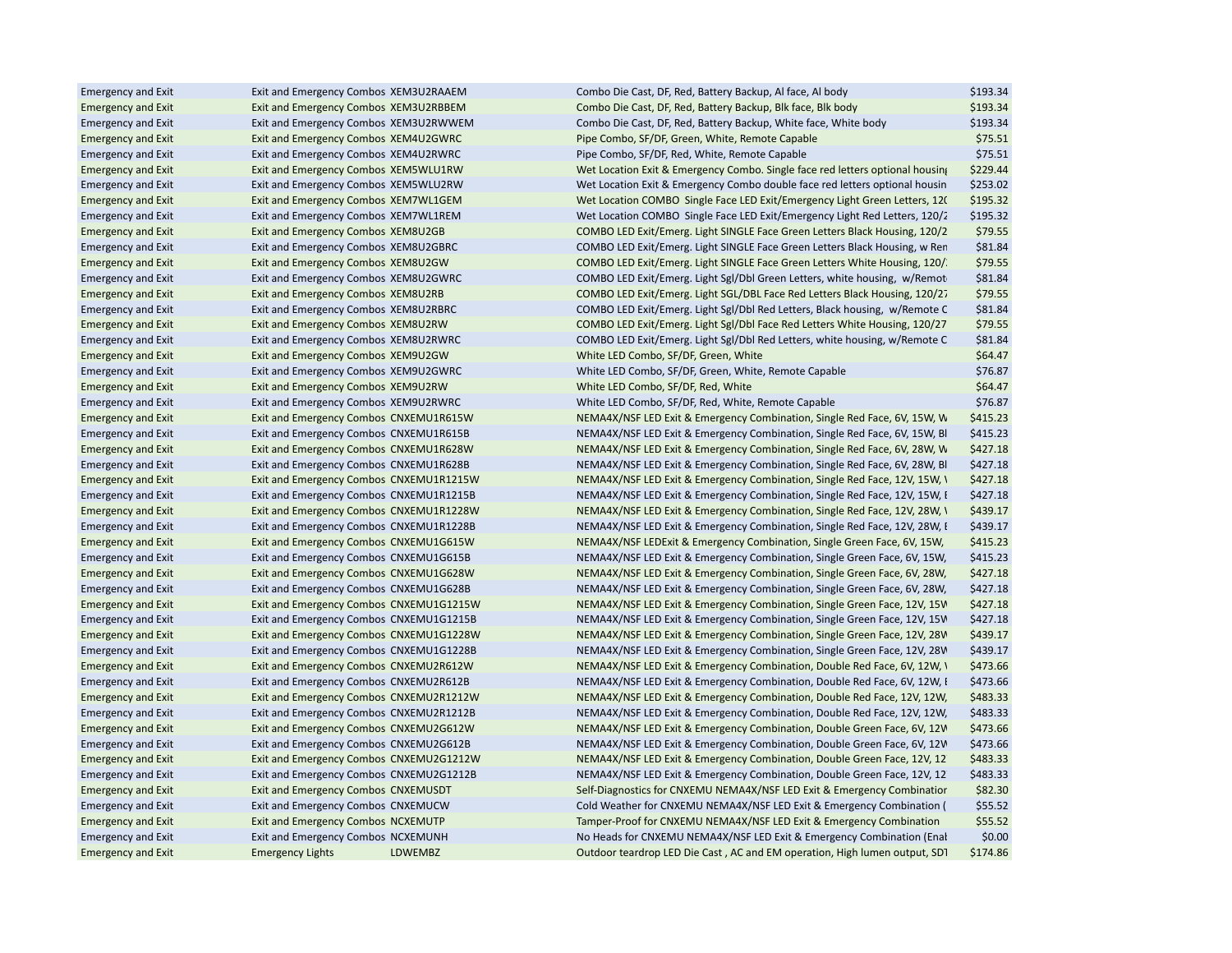| <b>Emergency and Exit</b> | Exit and Emergency Combos XEM3U2RAAEM   |         | Combo Die Cast, DF, Red, Battery Backup, Al face, Al body                     | \$193.34 |
|---------------------------|-----------------------------------------|---------|-------------------------------------------------------------------------------|----------|
| <b>Emergency and Exit</b> | Exit and Emergency Combos XEM3U2RBBEM   |         | Combo Die Cast, DF, Red, Battery Backup, Blk face, Blk body                   | \$193.34 |
| <b>Emergency and Exit</b> | Exit and Emergency Combos XEM3U2RWWEM   |         | Combo Die Cast, DF, Red, Battery Backup, White face, White body               | \$193.34 |
| <b>Emergency and Exit</b> | Exit and Emergency Combos XEM4U2GWRC    |         | Pipe Combo, SF/DF, Green, White, Remote Capable                               | \$75.51  |
| <b>Emergency and Exit</b> | Exit and Emergency Combos XEM4U2RWRC    |         | Pipe Combo, SF/DF, Red, White, Remote Capable                                 | \$75.51  |
| <b>Emergency and Exit</b> | Exit and Emergency Combos XEM5WLU1RW    |         | Wet Location Exit & Emergency Combo. Single face red letters optional housing | \$229.44 |
| <b>Emergency and Exit</b> | Exit and Emergency Combos XEM5WLU2RW    |         | Wet Location Exit & Emergency Combo double face red letters optional housin   | \$253.02 |
| <b>Emergency and Exit</b> | Exit and Emergency Combos XEM7WL1GEM    |         | Wet Location COMBO Single Face LED Exit/Emergency Light Green Letters, 12(    | \$195.32 |
| <b>Emergency and Exit</b> | Exit and Emergency Combos XEM7WL1REM    |         | Wet Location COMBO Single Face LED Exit/Emergency Light Red Letters, 120/2    | \$195.32 |
| <b>Emergency and Exit</b> | Exit and Emergency Combos XEM8U2GB      |         | COMBO LED Exit/Emerg. Light SINGLE Face Green Letters Black Housing, 120/2    | \$79.55  |
| <b>Emergency and Exit</b> | Exit and Emergency Combos XEM8U2GBRC    |         | COMBO LED Exit/Emerg. Light SINGLE Face Green Letters Black Housing, w Ren    | \$81.84  |
| <b>Emergency and Exit</b> | Exit and Emergency Combos XEM8U2GW      |         | COMBO LED Exit/Emerg. Light SINGLE Face Green Letters White Housing, 120/     | \$79.55  |
| <b>Emergency and Exit</b> | Exit and Emergency Combos XEM8U2GWRC    |         | COMBO LED Exit/Emerg. Light Sgl/Dbl Green Letters, white housing, w/Remot     | \$81.84  |
| <b>Emergency and Exit</b> | Exit and Emergency Combos XEM8U2RB      |         | COMBO LED Exit/Emerg. Light SGL/DBL Face Red Letters Black Housing, 120/27    | \$79.55  |
| <b>Emergency and Exit</b> | Exit and Emergency Combos XEM8U2RBRC    |         | COMBO LED Exit/Emerg. Light Sgl/Dbl Red Letters, Black housing, w/Remote C    | \$81.84  |
| <b>Emergency and Exit</b> | Exit and Emergency Combos XEM8U2RW      |         | COMBO LED Exit/Emerg. Light Sgl/Dbl Face Red Letters White Housing, 120/27    | \$79.55  |
| <b>Emergency and Exit</b> | Exit and Emergency Combos XEM8U2RWRC    |         | COMBO LED Exit/Emerg. Light Sgl/Dbl Red Letters, white housing, w/Remote C    | \$81.84  |
| <b>Emergency and Exit</b> | Exit and Emergency Combos XEM9U2GW      |         | White LED Combo, SF/DF, Green, White                                          | \$64.47  |
| <b>Emergency and Exit</b> | Exit and Emergency Combos XEM9U2GWRC    |         | White LED Combo, SF/DF, Green, White, Remote Capable                          | \$76.87  |
| <b>Emergency and Exit</b> | Exit and Emergency Combos XEM9U2RW      |         | White LED Combo, SF/DF, Red, White                                            | \$64.47  |
| <b>Emergency and Exit</b> | Exit and Emergency Combos XEM9U2RWRC    |         | White LED Combo, SF/DF, Red, White, Remote Capable                            | \$76.87  |
| <b>Emergency and Exit</b> | Exit and Emergency Combos CNXEMU1R615W  |         | NEMA4X/NSF LED Exit & Emergency Combination, Single Red Face, 6V, 15W, W      | \$415.23 |
| <b>Emergency and Exit</b> | Exit and Emergency Combos CNXEMU1R615B  |         | NEMA4X/NSF LED Exit & Emergency Combination, Single Red Face, 6V, 15W, BI     | \$415.23 |
| <b>Emergency and Exit</b> | Exit and Emergency Combos CNXEMU1R628W  |         | NEMA4X/NSF LED Exit & Emergency Combination, Single Red Face, 6V, 28W, W      | \$427.18 |
| <b>Emergency and Exit</b> | Exit and Emergency Combos CNXEMU1R628B  |         | NEMA4X/NSF LED Exit & Emergency Combination, Single Red Face, 6V, 28W, Bl     | \$427.18 |
| <b>Emergency and Exit</b> | Exit and Emergency Combos CNXEMU1R1215W |         | NEMA4X/NSF LED Exit & Emergency Combination, Single Red Face, 12V, 15W, \     | \$427.18 |
| <b>Emergency and Exit</b> | Exit and Emergency Combos CNXEMU1R1215B |         | NEMA4X/NSF LED Exit & Emergency Combination, Single Red Face, 12V, 15W, I     | \$427.18 |
| <b>Emergency and Exit</b> | Exit and Emergency Combos CNXEMU1R1228W |         | NEMA4X/NSF LED Exit & Emergency Combination, Single Red Face, 12V, 28W, \     | \$439.17 |
| <b>Emergency and Exit</b> | Exit and Emergency Combos CNXEMU1R1228B |         | NEMA4X/NSF LED Exit & Emergency Combination, Single Red Face, 12V, 28W, I     | \$439.17 |
| <b>Emergency and Exit</b> | Exit and Emergency Combos CNXEMU1G615W  |         | NEMA4X/NSF LEDExit & Emergency Combination, Single Green Face, 6V, 15W,       | \$415.23 |
| <b>Emergency and Exit</b> | Exit and Emergency Combos CNXEMU1G615B  |         | NEMA4X/NSF LED Exit & Emergency Combination, Single Green Face, 6V, 15W,      | \$415.23 |
| <b>Emergency and Exit</b> | Exit and Emergency Combos CNXEMU1G628W  |         | NEMA4X/NSF LED Exit & Emergency Combination, Single Green Face, 6V, 28W,      | \$427.18 |
| <b>Emergency and Exit</b> | Exit and Emergency Combos CNXEMU1G628B  |         | NEMA4X/NSF LED Exit & Emergency Combination, Single Green Face, 6V, 28W,      | \$427.18 |
| <b>Emergency and Exit</b> | Exit and Emergency Combos CNXEMU1G1215W |         | NEMA4X/NSF LED Exit & Emergency Combination, Single Green Face, 12V, 15V      | \$427.18 |
| <b>Emergency and Exit</b> | Exit and Emergency Combos CNXEMU1G1215B |         | NEMA4X/NSF LED Exit & Emergency Combination, Single Green Face, 12V, 15V      | \$427.18 |
| <b>Emergency and Exit</b> | Exit and Emergency Combos CNXEMU1G1228W |         | NEMA4X/NSF LED Exit & Emergency Combination, Single Green Face, 12V, 28V      | \$439.17 |
|                           |                                         |         | NEMA4X/NSF LED Exit & Emergency Combination, Single Green Face, 12V, 28V      | \$439.17 |
| <b>Emergency and Exit</b> | Exit and Emergency Combos CNXEMU1G1228B |         |                                                                               |          |
| <b>Emergency and Exit</b> | Exit and Emergency Combos CNXEMU2R612W  |         | NEMA4X/NSF LED Exit & Emergency Combination, Double Red Face, 6V, 12W, \      | \$473.66 |
| <b>Emergency and Exit</b> | Exit and Emergency Combos CNXEMU2R612B  |         | NEMA4X/NSF LED Exit & Emergency Combination, Double Red Face, 6V, 12W, I      | \$473.66 |
| <b>Emergency and Exit</b> | Exit and Emergency Combos CNXEMU2R1212W |         | NEMA4X/NSF LED Exit & Emergency Combination, Double Red Face, 12V, 12W,       | \$483.33 |
| <b>Emergency and Exit</b> | Exit and Emergency Combos CNXEMU2R1212B |         | NEMA4X/NSF LED Exit & Emergency Combination, Double Red Face, 12V, 12W,       | \$483.33 |
| <b>Emergency and Exit</b> | Exit and Emergency Combos CNXEMU2G612W  |         | NEMA4X/NSF LED Exit & Emergency Combination, Double Green Face, 6V, 12V       | \$473.66 |
| <b>Emergency and Exit</b> | Exit and Emergency Combos CNXEMU2G612B  |         | NEMA4X/NSF LED Exit & Emergency Combination, Double Green Face, 6V, 12V       | \$473.66 |
| <b>Emergency and Exit</b> | Exit and Emergency Combos CNXEMU2G1212W |         | NEMA4X/NSF LED Exit & Emergency Combination, Double Green Face, 12V, 12       | \$483.33 |
| <b>Emergency and Exit</b> | Exit and Emergency Combos CNXEMU2G1212B |         | NEMA4X/NSF LED Exit & Emergency Combination, Double Green Face, 12V, 12       | \$483.33 |
| <b>Emergency and Exit</b> | Exit and Emergency Combos CNXEMUSDT     |         | Self-Diagnostics for CNXEMU NEMA4X/NSF LED Exit & Emergency Combination       | \$82.30  |
| <b>Emergency and Exit</b> | Exit and Emergency Combos CNXEMUCW      |         | Cold Weather for CNXEMU NEMA4X/NSF LED Exit & Emergency Combination (         | \$55.52  |
| <b>Emergency and Exit</b> | Exit and Emergency Combos NCXEMUTP      |         | Tamper-Proof for CNXEMU NEMA4X/NSF LED Exit & Emergency Combination           | \$55.52  |
| <b>Emergency and Exit</b> | Exit and Emergency Combos NCXEMUNH      |         | No Heads for CNXEMU NEMA4X/NSF LED Exit & Emergency Combination (Enal         | \$0.00   |
| <b>Emergency and Exit</b> | <b>Emergency Lights</b>                 | LDWEMBZ | Outdoor teardrop LED Die Cast, AC and EM operation, High lumen output, SD1    | \$174.86 |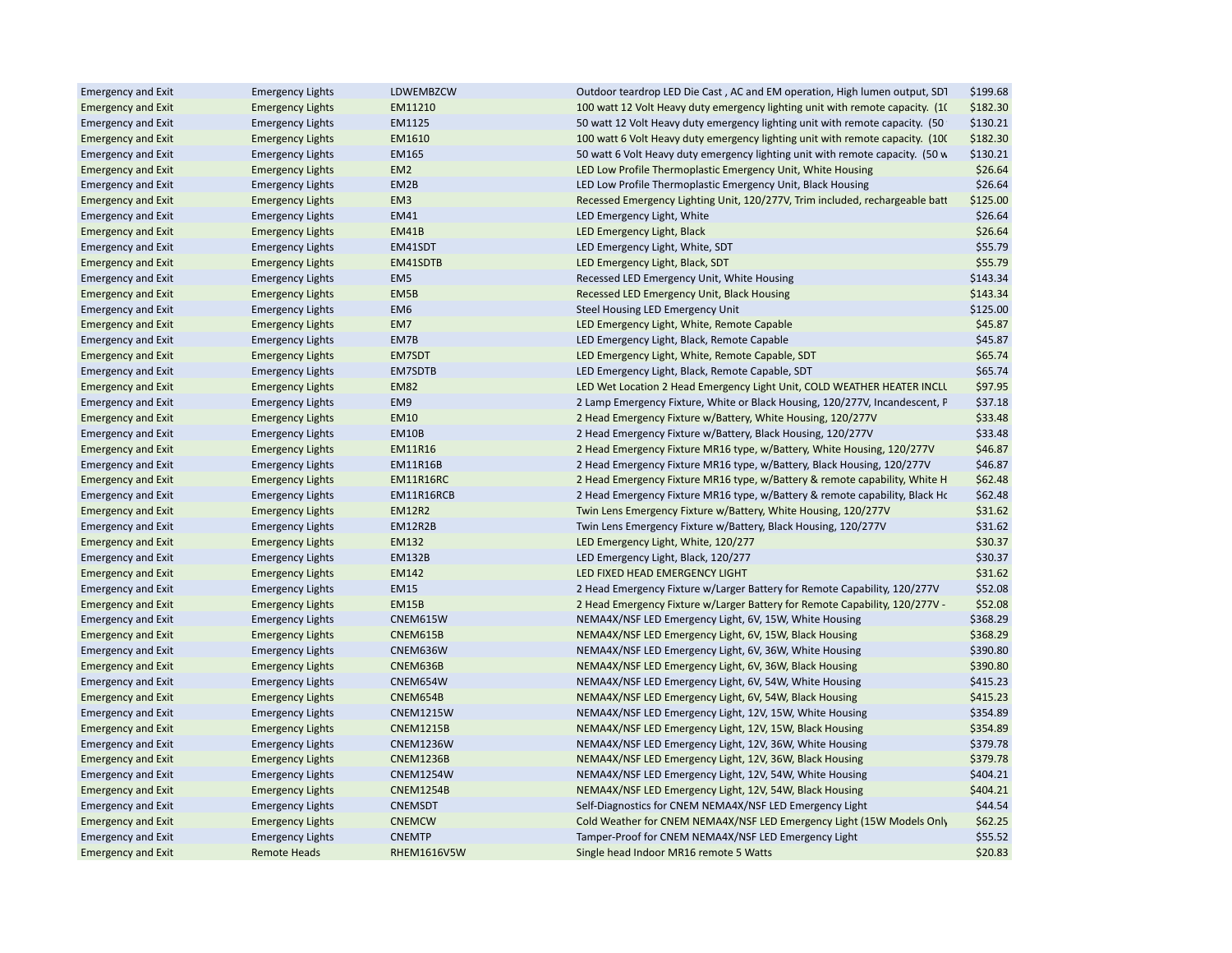| <b>Emergency and Exit</b> | <b>Emergency Lights</b> | LDWEMBZCW          | Outdoor teardrop LED Die Cast, AC and EM operation, High lumen output, SD1     | \$199.68 |
|---------------------------|-------------------------|--------------------|--------------------------------------------------------------------------------|----------|
| <b>Emergency and Exit</b> | <b>Emergency Lights</b> | EM11210            | 100 watt 12 Volt Heavy duty emergency lighting unit with remote capacity. (10) | \$182.30 |
| <b>Emergency and Exit</b> | <b>Emergency Lights</b> | EM1125             | 50 watt 12 Volt Heavy duty emergency lighting unit with remote capacity. (50   | \$130.21 |
| <b>Emergency and Exit</b> | <b>Emergency Lights</b> | EM1610             | 100 watt 6 Volt Heavy duty emergency lighting unit with remote capacity. (100) | \$182.30 |
| <b>Emergency and Exit</b> | <b>Emergency Lights</b> | <b>EM165</b>       | 50 watt 6 Volt Heavy duty emergency lighting unit with remote capacity. (50 w  | \$130.21 |
| <b>Emergency and Exit</b> | <b>Emergency Lights</b> | EM <sub>2</sub>    | LED Low Profile Thermoplastic Emergency Unit, White Housing                    | \$26.64  |
| <b>Emergency and Exit</b> | <b>Emergency Lights</b> | EM2B               | LED Low Profile Thermoplastic Emergency Unit, Black Housing                    | \$26.64  |
| <b>Emergency and Exit</b> | <b>Emergency Lights</b> | EM <sub>3</sub>    | Recessed Emergency Lighting Unit, 120/277V, Trim included, rechargeable batt   | \$125.00 |
| <b>Emergency and Exit</b> | <b>Emergency Lights</b> | <b>EM41</b>        | LED Emergency Light, White                                                     | \$26.64  |
| <b>Emergency and Exit</b> | <b>Emergency Lights</b> | EM41B              | LED Emergency Light, Black                                                     | \$26.64  |
| <b>Emergency and Exit</b> | <b>Emergency Lights</b> | EM41SDT            | LED Emergency Light, White, SDT                                                | \$55.79  |
| <b>Emergency and Exit</b> | <b>Emergency Lights</b> | EM41SDTB           | LED Emergency Light, Black, SDT                                                | \$55.79  |
| <b>Emergency and Exit</b> | <b>Emergency Lights</b> | EM <sub>5</sub>    | Recessed LED Emergency Unit, White Housing                                     | \$143.34 |
| <b>Emergency and Exit</b> | <b>Emergency Lights</b> | EM5B               | Recessed LED Emergency Unit, Black Housing                                     | \$143.34 |
| <b>Emergency and Exit</b> | <b>Emergency Lights</b> | EM <sub>6</sub>    | Steel Housing LED Emergency Unit                                               | \$125.00 |
| <b>Emergency and Exit</b> | <b>Emergency Lights</b> | EM7                | LED Emergency Light, White, Remote Capable                                     | \$45.87  |
| <b>Emergency and Exit</b> | <b>Emergency Lights</b> | EM7B               | LED Emergency Light, Black, Remote Capable                                     | \$45.87  |
| <b>Emergency and Exit</b> | <b>Emergency Lights</b> | EM7SDT             | LED Emergency Light, White, Remote Capable, SDT                                | \$65.74  |
| <b>Emergency and Exit</b> | <b>Emergency Lights</b> | EM7SDTB            | LED Emergency Light, Black, Remote Capable, SDT                                | \$65.74  |
| <b>Emergency and Exit</b> | <b>Emergency Lights</b> | <b>EM82</b>        | LED Wet Location 2 Head Emergency Light Unit, COLD WEATHER HEATER INCLU        | \$97.95  |
| <b>Emergency and Exit</b> | <b>Emergency Lights</b> | EM9                | 2 Lamp Emergency Fixture, White or Black Housing, 120/277V, Incandescent, P    | \$37.18  |
| <b>Emergency and Exit</b> | <b>Emergency Lights</b> | <b>EM10</b>        | 2 Head Emergency Fixture w/Battery, White Housing, 120/277V                    | \$33.48  |
| <b>Emergency and Exit</b> | <b>Emergency Lights</b> | EM10B              | 2 Head Emergency Fixture w/Battery, Black Housing, 120/277V                    | \$33.48  |
| <b>Emergency and Exit</b> | <b>Emergency Lights</b> | <b>EM11R16</b>     | 2 Head Emergency Fixture MR16 type, w/Battery, White Housing, 120/277V         | \$46.87  |
| <b>Emergency and Exit</b> | <b>Emergency Lights</b> | <b>EM11R16B</b>    | 2 Head Emergency Fixture MR16 type, w/Battery, Black Housing, 120/277V         | \$46.87  |
| <b>Emergency and Exit</b> | <b>Emergency Lights</b> | EM11R16RC          | 2 Head Emergency Fixture MR16 type, w/Battery & remote capability, White H     | \$62.48  |
| <b>Emergency and Exit</b> | <b>Emergency Lights</b> | EM11R16RCB         | 2 Head Emergency Fixture MR16 type, w/Battery & remote capability, Black Ho    | \$62.48  |
| <b>Emergency and Exit</b> | <b>Emergency Lights</b> | <b>EM12R2</b>      | Twin Lens Emergency Fixture w/Battery, White Housing, 120/277V                 | \$31.62  |
| <b>Emergency and Exit</b> | <b>Emergency Lights</b> | EM12R2B            | Twin Lens Emergency Fixture w/Battery, Black Housing, 120/277V                 | \$31.62  |
| <b>Emergency and Exit</b> | <b>Emergency Lights</b> | EM132              | LED Emergency Light, White, 120/277                                            | \$30.37  |
| <b>Emergency and Exit</b> | <b>Emergency Lights</b> | <b>EM132B</b>      | LED Emergency Light, Black, 120/277                                            | \$30.37  |
| <b>Emergency and Exit</b> | <b>Emergency Lights</b> | EM142              | LED FIXED HEAD EMERGENCY LIGHT                                                 | \$31.62  |
| <b>Emergency and Exit</b> | <b>Emergency Lights</b> | <b>EM15</b>        | 2 Head Emergency Fixture w/Larger Battery for Remote Capability, 120/277V      | \$52.08  |
| <b>Emergency and Exit</b> | <b>Emergency Lights</b> | EM15B              | 2 Head Emergency Fixture w/Larger Battery for Remote Capability, 120/277V -    | \$52.08  |
| <b>Emergency and Exit</b> | <b>Emergency Lights</b> | CNEM615W           | NEMA4X/NSF LED Emergency Light, 6V, 15W, White Housing                         | \$368.29 |
| <b>Emergency and Exit</b> | <b>Emergency Lights</b> | CNEM615B           | NEMA4X/NSF LED Emergency Light, 6V, 15W, Black Housing                         | \$368.29 |
| <b>Emergency and Exit</b> | <b>Emergency Lights</b> | CNEM636W           | NEMA4X/NSF LED Emergency Light, 6V, 36W, White Housing                         | \$390.80 |
| <b>Emergency and Exit</b> | <b>Emergency Lights</b> | CNEM636B           | NEMA4X/NSF LED Emergency Light, 6V, 36W, Black Housing                         | \$390.80 |
| <b>Emergency and Exit</b> | <b>Emergency Lights</b> | CNEM654W           | NEMA4X/NSF LED Emergency Light, 6V, 54W, White Housing                         | \$415.23 |
| <b>Emergency and Exit</b> | <b>Emergency Lights</b> | CNEM654B           | NEMA4X/NSF LED Emergency Light, 6V, 54W, Black Housing                         | \$415.23 |
| <b>Emergency and Exit</b> | <b>Emergency Lights</b> | <b>CNEM1215W</b>   | NEMA4X/NSF LED Emergency Light, 12V, 15W, White Housing                        | \$354.89 |
| <b>Emergency and Exit</b> | <b>Emergency Lights</b> | <b>CNEM1215B</b>   | NEMA4X/NSF LED Emergency Light, 12V, 15W, Black Housing                        | \$354.89 |
| <b>Emergency and Exit</b> | <b>Emergency Lights</b> | <b>CNEM1236W</b>   | NEMA4X/NSF LED Emergency Light, 12V, 36W, White Housing                        | \$379.78 |
| <b>Emergency and Exit</b> | <b>Emergency Lights</b> | <b>CNEM1236B</b>   | NEMA4X/NSF LED Emergency Light, 12V, 36W, Black Housing                        | \$379.78 |
| <b>Emergency and Exit</b> | <b>Emergency Lights</b> | <b>CNEM1254W</b>   | NEMA4X/NSF LED Emergency Light, 12V, 54W, White Housing                        | \$404.21 |
| <b>Emergency and Exit</b> | <b>Emergency Lights</b> | <b>CNEM1254B</b>   | NEMA4X/NSF LED Emergency Light, 12V, 54W, Black Housing                        | \$404.21 |
|                           |                         | <b>CNEMSDT</b>     |                                                                                | \$44.54  |
| <b>Emergency and Exit</b> | <b>Emergency Lights</b> | <b>CNEMCW</b>      | Self-Diagnostics for CNEM NEMA4X/NSF LED Emergency Light                       | \$62.25  |
| <b>Emergency and Exit</b> | <b>Emergency Lights</b> |                    | Cold Weather for CNEM NEMA4X/NSF LED Emergency Light (15W Models Only          |          |
| <b>Emergency and Exit</b> | <b>Emergency Lights</b> | <b>CNEMTP</b>      | Tamper-Proof for CNEM NEMA4X/NSF LED Emergency Light                           | \$55.52  |
| <b>Emergency and Exit</b> | <b>Remote Heads</b>     | <b>RHEM1616V5W</b> | Single head Indoor MR16 remote 5 Watts                                         | \$20.83  |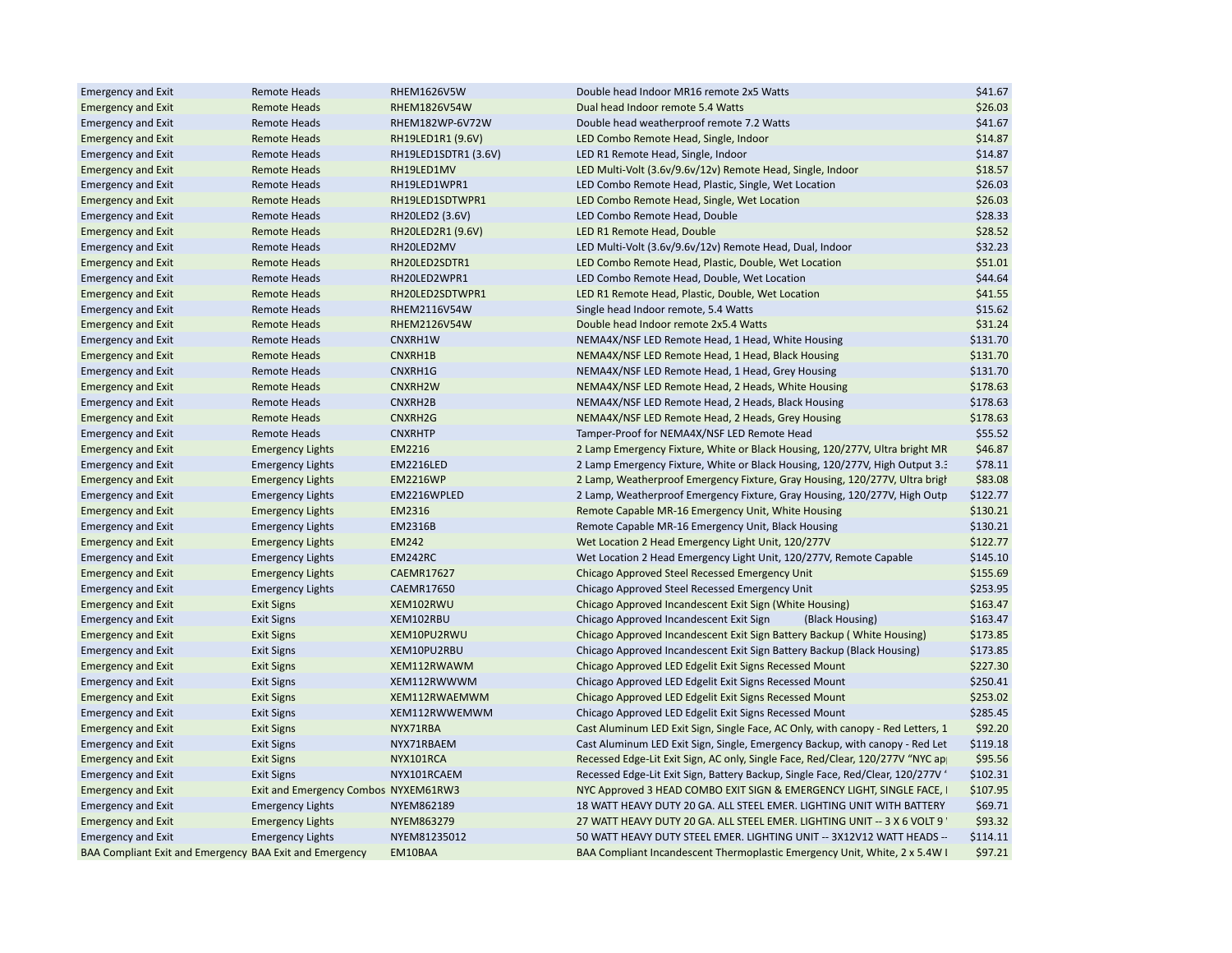| <b>Emergency and Exit</b>                               | <b>Remote Heads</b>                  | RHEM1626V5W          | Double head Indoor MR16 remote 2x5 Watts                                        | \$41.67  |
|---------------------------------------------------------|--------------------------------------|----------------------|---------------------------------------------------------------------------------|----------|
| <b>Emergency and Exit</b>                               | <b>Remote Heads</b>                  | RHEM1826V54W         | Dual head Indoor remote 5.4 Watts                                               | \$26.03  |
| <b>Emergency and Exit</b>                               | <b>Remote Heads</b>                  | RHEM182WP-6V72W      | Double head weatherproof remote 7.2 Watts                                       | \$41.67  |
| <b>Emergency and Exit</b>                               | <b>Remote Heads</b>                  | RH19LED1R1 (9.6V)    | LED Combo Remote Head, Single, Indoor                                           | \$14.87  |
| <b>Emergency and Exit</b>                               | <b>Remote Heads</b>                  | RH19LED1SDTR1 (3.6V) | LED R1 Remote Head, Single, Indoor                                              | \$14.87  |
| <b>Emergency and Exit</b>                               | <b>Remote Heads</b>                  | RH19LED1MV           | LED Multi-Volt (3.6v/9.6v/12v) Remote Head, Single, Indoor                      | \$18.57  |
| <b>Emergency and Exit</b>                               | <b>Remote Heads</b>                  | RH19LED1WPR1         | LED Combo Remote Head, Plastic, Single, Wet Location                            | \$26.03  |
| <b>Emergency and Exit</b>                               | <b>Remote Heads</b>                  | RH19LED1SDTWPR1      | LED Combo Remote Head, Single, Wet Location                                     | \$26.03  |
| <b>Emergency and Exit</b>                               | <b>Remote Heads</b>                  | RH20LED2 (3.6V)      | LED Combo Remote Head, Double                                                   | \$28.33  |
| <b>Emergency and Exit</b>                               | <b>Remote Heads</b>                  | RH20LED2R1 (9.6V)    | LED R1 Remote Head, Double                                                      | \$28.52  |
| <b>Emergency and Exit</b>                               | <b>Remote Heads</b>                  | RH20LED2MV           | LED Multi-Volt (3.6v/9.6v/12v) Remote Head, Dual, Indoor                        | \$32.23  |
| <b>Emergency and Exit</b>                               | <b>Remote Heads</b>                  | RH20LED2SDTR1        | LED Combo Remote Head, Plastic, Double, Wet Location                            | \$51.01  |
| <b>Emergency and Exit</b>                               | <b>Remote Heads</b>                  | RH20LED2WPR1         | LED Combo Remote Head, Double, Wet Location                                     | \$44.64  |
| <b>Emergency and Exit</b>                               | <b>Remote Heads</b>                  | RH20LED2SDTWPR1      | LED R1 Remote Head, Plastic, Double, Wet Location                               | \$41.55  |
| <b>Emergency and Exit</b>                               | <b>Remote Heads</b>                  | RHEM2116V54W         | Single head Indoor remote, 5.4 Watts                                            | \$15.62  |
| <b>Emergency and Exit</b>                               | <b>Remote Heads</b>                  | RHEM2126V54W         | Double head Indoor remote 2x5.4 Watts                                           | \$31.24  |
| <b>Emergency and Exit</b>                               | <b>Remote Heads</b>                  | CNXRH1W              | NEMA4X/NSF LED Remote Head, 1 Head, White Housing                               | \$131.70 |
| <b>Emergency and Exit</b>                               | <b>Remote Heads</b>                  | CNXRH1B              | NEMA4X/NSF LED Remote Head, 1 Head, Black Housing                               | \$131.70 |
| <b>Emergency and Exit</b>                               | <b>Remote Heads</b>                  | CNXRH1G              | NEMA4X/NSF LED Remote Head, 1 Head, Grey Housing                                | \$131.70 |
| <b>Emergency and Exit</b>                               | <b>Remote Heads</b>                  | CNXRH2W              | NEMA4X/NSF LED Remote Head, 2 Heads, White Housing                              | \$178.63 |
| <b>Emergency and Exit</b>                               | <b>Remote Heads</b>                  | CNXRH2B              | NEMA4X/NSF LED Remote Head, 2 Heads, Black Housing                              | \$178.63 |
| <b>Emergency and Exit</b>                               | <b>Remote Heads</b>                  | CNXRH2G              | NEMA4X/NSF LED Remote Head, 2 Heads, Grey Housing                               | \$178.63 |
| <b>Emergency and Exit</b>                               | <b>Remote Heads</b>                  | <b>CNXRHTP</b>       | Tamper-Proof for NEMA4X/NSF LED Remote Head                                     | \$55.52  |
| <b>Emergency and Exit</b>                               | <b>Emergency Lights</b>              | EM2216               | 2 Lamp Emergency Fixture, White or Black Housing, 120/277V, Ultra bright MR     | \$46.87  |
| <b>Emergency and Exit</b>                               | <b>Emergency Lights</b>              | <b>EM2216LED</b>     | 2. Lamp Emergency Fixture, White or Black Housing, 120/277V, High Output 3.5    | \$78.11  |
| <b>Emergency and Exit</b>                               | <b>Emergency Lights</b>              | <b>EM2216WP</b>      | 2 Lamp, Weatherproof Emergency Fixture, Gray Housing, 120/277V, Ultra bright    | \$83.08  |
| <b>Emergency and Exit</b>                               | <b>Emergency Lights</b>              | EM2216WPLED          | 2 Lamp, Weatherproof Emergency Fixture, Gray Housing, 120/277V, High Outp       | \$122.77 |
| <b>Emergency and Exit</b>                               | <b>Emergency Lights</b>              | EM2316               | Remote Capable MR-16 Emergency Unit, White Housing                              | \$130.21 |
| <b>Emergency and Exit</b>                               | <b>Emergency Lights</b>              | EM2316B              | Remote Capable MR-16 Emergency Unit, Black Housing                              | \$130.21 |
| <b>Emergency and Exit</b>                               | <b>Emergency Lights</b>              | <b>EM242</b>         | Wet Location 2 Head Emergency Light Unit, 120/277V                              | \$122.77 |
| <b>Emergency and Exit</b>                               | <b>Emergency Lights</b>              | <b>EM242RC</b>       | Wet Location 2 Head Emergency Light Unit, 120/277V, Remote Capable              | \$145.10 |
| <b>Emergency and Exit</b>                               | <b>Emergency Lights</b>              | <b>CAEMR17627</b>    | Chicago Approved Steel Recessed Emergency Unit                                  | \$155.69 |
| <b>Emergency and Exit</b>                               | <b>Emergency Lights</b>              | <b>CAEMR17650</b>    | Chicago Approved Steel Recessed Emergency Unit                                  | \$253.95 |
| <b>Emergency and Exit</b>                               | <b>Exit Signs</b>                    | XEM102RWU            | Chicago Approved Incandescent Exit Sign (White Housing)                         | \$163.47 |
| <b>Emergency and Exit</b>                               | <b>Exit Signs</b>                    | XEM102RBU            | Chicago Approved Incandescent Exit Sign<br>(Black Housing)                      | \$163.47 |
| <b>Emergency and Exit</b>                               | <b>Exit Signs</b>                    | XEM10PU2RWU          | Chicago Approved Incandescent Exit Sign Battery Backup (White Housing)          | \$173.85 |
| <b>Emergency and Exit</b>                               | <b>Exit Signs</b>                    | XEM10PU2RBU          | Chicago Approved Incandescent Exit Sign Battery Backup (Black Housing)          | \$173.85 |
| <b>Emergency and Exit</b>                               | <b>Exit Signs</b>                    | XEM112RWAWM          | Chicago Approved LED Edgelit Exit Signs Recessed Mount                          | \$227.30 |
| <b>Emergency and Exit</b>                               | <b>Exit Signs</b>                    | XEM112RWWWM          | Chicago Approved LED Edgelit Exit Signs Recessed Mount                          | \$250.41 |
| <b>Emergency and Exit</b>                               | <b>Exit Signs</b>                    | XEM112RWAEMWM        | Chicago Approved LED Edgelit Exit Signs Recessed Mount                          | \$253.02 |
| <b>Emergency and Exit</b>                               | <b>Exit Signs</b>                    | XEM112RWWEMWM        | Chicago Approved LED Edgelit Exit Signs Recessed Mount                          | \$285.45 |
| <b>Emergency and Exit</b>                               | <b>Exit Signs</b>                    | NYX71RBA             | Cast Aluminum LED Exit Sign, Single Face, AC Only, with canopy - Red Letters, 1 | \$92.20  |
| <b>Emergency and Exit</b>                               | <b>Exit Signs</b>                    | NYX71RBAEM           | Cast Aluminum LED Exit Sign, Single, Emergency Backup, with canopy - Red Let    | \$119.18 |
| <b>Emergency and Exit</b>                               | <b>Exit Signs</b>                    | NYX101RCA            | Recessed Edge-Lit Exit Sign, AC only, Single Face, Red/Clear, 120/277V "NYC ap  | \$95.56  |
| <b>Emergency and Exit</b>                               | <b>Exit Signs</b>                    | NYX101RCAEM          | Recessed Edge-Lit Exit Sign, Battery Backup, Single Face, Red/Clear, 120/277V ' | \$102.31 |
| <b>Emergency and Exit</b>                               | Exit and Emergency Combos NYXEM61RW3 |                      | NYC Approved 3 HEAD COMBO EXIT SIGN & EMERGENCY LIGHT, SINGLE FACE, I           | \$107.95 |
| <b>Emergency and Exit</b>                               | <b>Emergency Lights</b>              | NYEM862189           | 18 WATT HEAVY DUTY 20 GA. ALL STEEL EMER. LIGHTING UNIT WITH BATTERY            | \$69.71  |
| <b>Emergency and Exit</b>                               | <b>Emergency Lights</b>              | NYEM863279           | 27 WATT HEAVY DUTY 20 GA. ALL STEEL EMER. LIGHTING UNIT -- 3 X 6 VOLT 9         | \$93.32  |
| <b>Emergency and Exit</b>                               |                                      | NYEM81235012         | 50 WATT HEAVY DUTY STEEL EMER. LIGHTING UNIT -- 3X12V12 WATT HEADS --           | \$114.11 |
|                                                         | <b>Emergency Lights</b>              |                      |                                                                                 | \$97.21  |
| BAA Compliant Exit and Emergency BAA Exit and Emergency |                                      | EM10BAA              | BAA Compliant Incandescent Thermoplastic Emergency Unit, White, 2 x 5.4W I      |          |